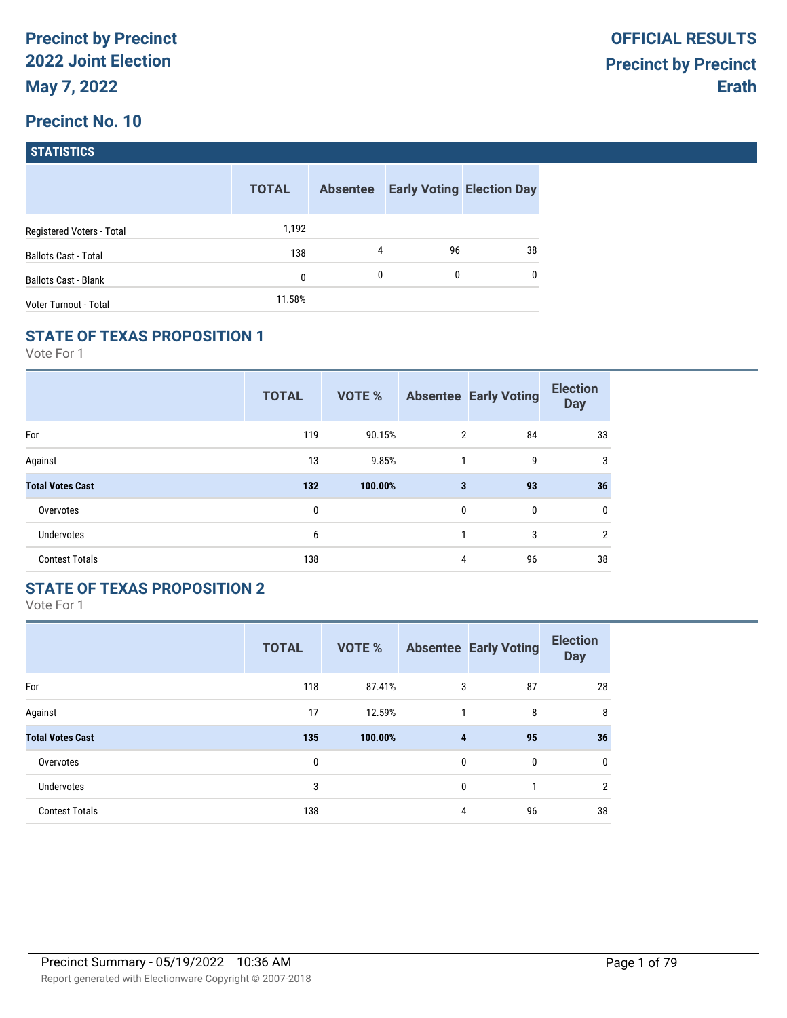| <b>STATISTICS</b> |  |
|-------------------|--|
|                   |  |

|                             | <b>TOTAL</b> | <b>Absentee</b> |    | <b>Early Voting Election Day</b> |
|-----------------------------|--------------|-----------------|----|----------------------------------|
| Registered Voters - Total   | 1,192        |                 |    |                                  |
| <b>Ballots Cast - Total</b> | 138          | 4               | 96 | 38                               |
| <b>Ballots Cast - Blank</b> | 0            | $\mathbf{0}$    | 0  | $\mathbf{0}$                     |
| Voter Turnout - Total       | 11.58%       |                 |    |                                  |

### **STATE OF TEXAS PROPOSITION 1**

Vote For 1

|                         | <b>TOTAL</b> | <b>VOTE %</b> |              | <b>Absentee Early Voting</b> | <b>Election</b><br><b>Day</b> |
|-------------------------|--------------|---------------|--------------|------------------------------|-------------------------------|
| For                     | 119          | 90.15%        | 2            | 84                           | 33                            |
| Against                 | 13           | 9.85%         | 1            | 9                            | 3                             |
| <b>Total Votes Cast</b> | 132          | 100.00%       | 3            | 93                           | 36                            |
| Overvotes               | 0            |               | $\mathbf{0}$ | 0                            | 0                             |
| <b>Undervotes</b>       | 6            |               | 1            | 3                            | $\overline{2}$                |
| <b>Contest Totals</b>   | 138          |               | 4            | 96                           | 38                            |

## **STATE OF TEXAS PROPOSITION 2**

|                         | <b>TOTAL</b> | <b>VOTE %</b> |              | <b>Absentee Early Voting</b> | <b>Election</b><br><b>Day</b> |
|-------------------------|--------------|---------------|--------------|------------------------------|-------------------------------|
| For                     | 118          | 87.41%        | 3            | 87                           | 28                            |
| Against                 | 17           | 12.59%        |              | 8                            | 8                             |
| <b>Total Votes Cast</b> | 135          | 100.00%       | 4            | 95                           | 36                            |
| Overvotes               | 0            |               | $\mathbf{0}$ | $\mathbf{0}$                 | $\mathbf 0$                   |
| <b>Undervotes</b>       | 3            |               | 0            | 1                            | $\overline{2}$                |
| <b>Contest Totals</b>   | 138          |               | 4            | 96                           | 38                            |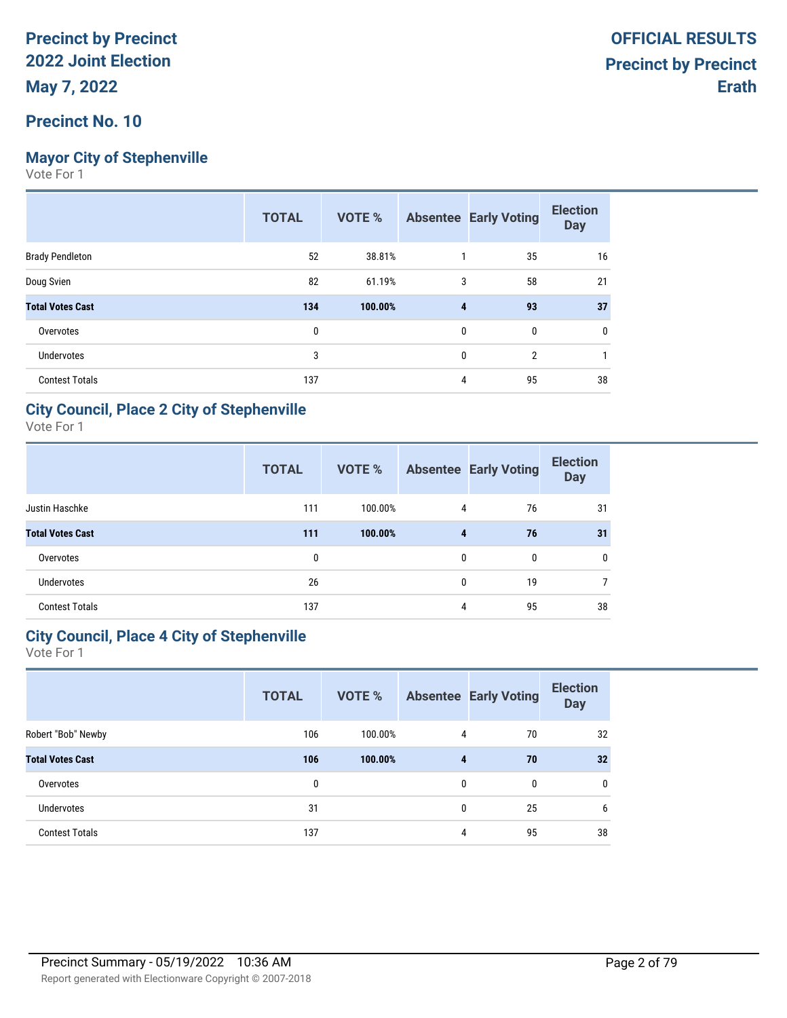# **Mayor City of Stephenville**

Vote For 1

|                         | <b>TOTAL</b> | VOTE %  |              | <b>Absentee Early Voting</b> | <b>Election</b><br><b>Day</b> |
|-------------------------|--------------|---------|--------------|------------------------------|-------------------------------|
| <b>Brady Pendleton</b>  | 52           | 38.81%  |              | 35                           | 16                            |
| Doug Svien              | 82           | 61.19%  | 3            | 58                           | 21                            |
| <b>Total Votes Cast</b> | 134          | 100.00% | 4            | 93                           | 37                            |
| Overvotes               | 0            |         | 0            | 0                            | 0                             |
| <b>Undervotes</b>       | 3            |         | $\mathbf{0}$ | $\overline{2}$               |                               |
| <b>Contest Totals</b>   | 137          |         | 4            | 95                           | 38                            |

### **City Council, Place 2 City of Stephenville**

Vote For 1

|                         | <b>TOTAL</b> | <b>VOTE %</b> |   | <b>Absentee Early Voting</b> | <b>Election</b><br><b>Day</b> |
|-------------------------|--------------|---------------|---|------------------------------|-------------------------------|
| Justin Haschke          | 111          | 100.00%       | 4 | 76                           | 31                            |
| <b>Total Votes Cast</b> | 111          | 100.00%       | 4 | 76                           | 31                            |
| Overvotes               | 0            |               | 0 | 0                            | 0                             |
| <b>Undervotes</b>       | 26           |               | 0 | 19                           | $\overline{7}$                |
| <b>Contest Totals</b>   | 137          |               | 4 | 95                           | 38                            |

## **City Council, Place 4 City of Stephenville**

|                         | <b>TOTAL</b> | VOTE %  |   | <b>Absentee Early Voting</b> | <b>Election</b><br><b>Day</b> |
|-------------------------|--------------|---------|---|------------------------------|-------------------------------|
| Robert "Bob" Newby      | 106          | 100.00% | 4 | 70                           | 32                            |
| <b>Total Votes Cast</b> | 106          | 100.00% | 4 | 70                           | 32                            |
| Overvotes               | 0            |         | 0 | $\mathbf{0}$                 | 0                             |
| <b>Undervotes</b>       | 31           |         | 0 | 25                           | 6                             |
| <b>Contest Totals</b>   | 137          |         | 4 | 95                           | 38                            |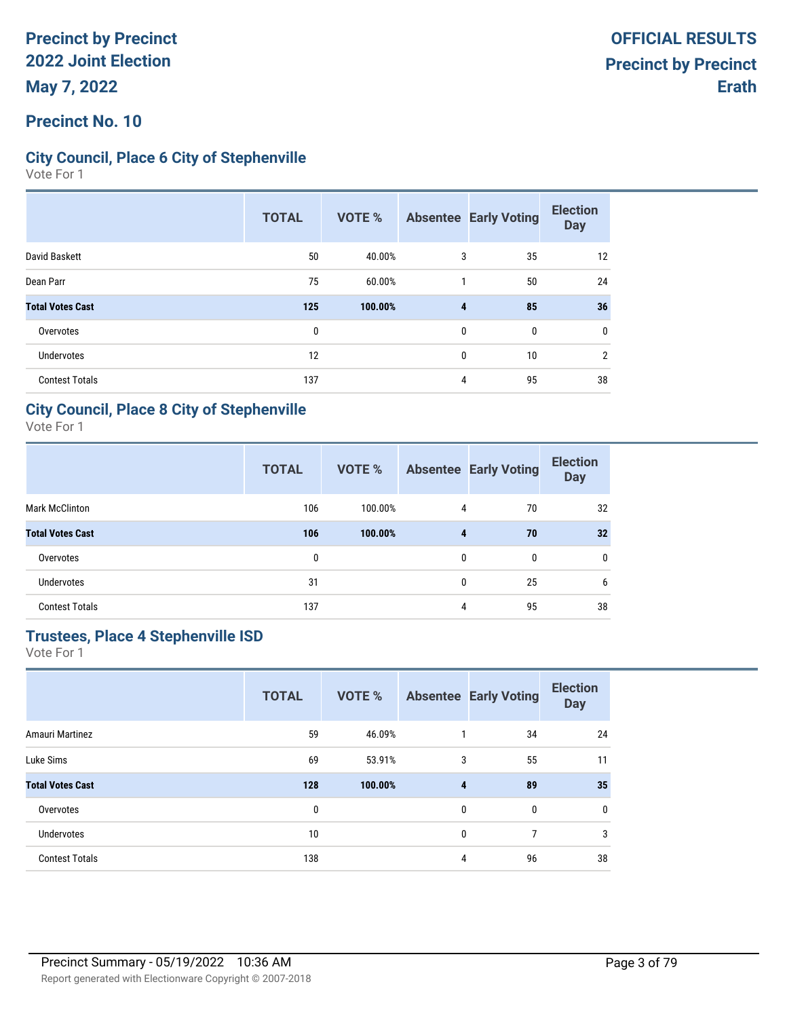### **Precinct No. 10**

### **City Council, Place 6 City of Stephenville**

Vote For 1

|                         | <b>TOTAL</b> | VOTE %  |   | <b>Absentee Early Voting</b> | <b>Election</b><br><b>Day</b> |
|-------------------------|--------------|---------|---|------------------------------|-------------------------------|
| David Baskett           | 50           | 40.00%  | 3 | 35                           | 12                            |
| Dean Parr               | 75           | 60.00%  | 1 | 50                           | 24                            |
| <b>Total Votes Cast</b> | 125          | 100.00% | 4 | 85                           | 36                            |
| Overvotes               | 0            |         | 0 | $\mathbf{0}$                 | 0                             |
| Undervotes              | 12           |         | 0 | 10                           | $\mathfrak{p}$                |
| <b>Contest Totals</b>   | 137          |         | 4 | 95                           | 38                            |

### **City Council, Place 8 City of Stephenville**

Vote For 1

|                         | <b>TOTAL</b> | <b>VOTE %</b> |              | <b>Absentee Early Voting</b> | <b>Election</b><br><b>Day</b> |
|-------------------------|--------------|---------------|--------------|------------------------------|-------------------------------|
| <b>Mark McClinton</b>   | 106          | 100.00%       | 4            | 70                           | 32                            |
| <b>Total Votes Cast</b> | 106          | 100.00%       | 4            | 70                           | 32                            |
| Overvotes               | 0            |               | $\mathbf{0}$ | $\mathbf{0}$                 | $\mathbf{0}$                  |
| <b>Undervotes</b>       | 31           |               | $\mathbf{0}$ | 25                           | 6                             |
| <b>Contest Totals</b>   | 137          |               | 4            | 95                           | 38                            |

# **Trustees, Place 4 Stephenville ISD**

|                         | <b>TOTAL</b> | <b>VOTE %</b> |   | <b>Absentee Early Voting</b> | <b>Election</b><br><b>Day</b> |
|-------------------------|--------------|---------------|---|------------------------------|-------------------------------|
| Amauri Martinez         | 59           | 46.09%        | 1 | 34                           | 24                            |
| Luke Sims               | 69           | 53.91%        | 3 | 55                           | 11                            |
| <b>Total Votes Cast</b> | 128          | 100.00%       | 4 | 89                           | 35                            |
| Overvotes               | 0            |               | 0 | 0                            | 0                             |
| <b>Undervotes</b>       | 10           |               | 0 | 7                            | 3                             |
| <b>Contest Totals</b>   | 138          |               | 4 | 96                           | 38                            |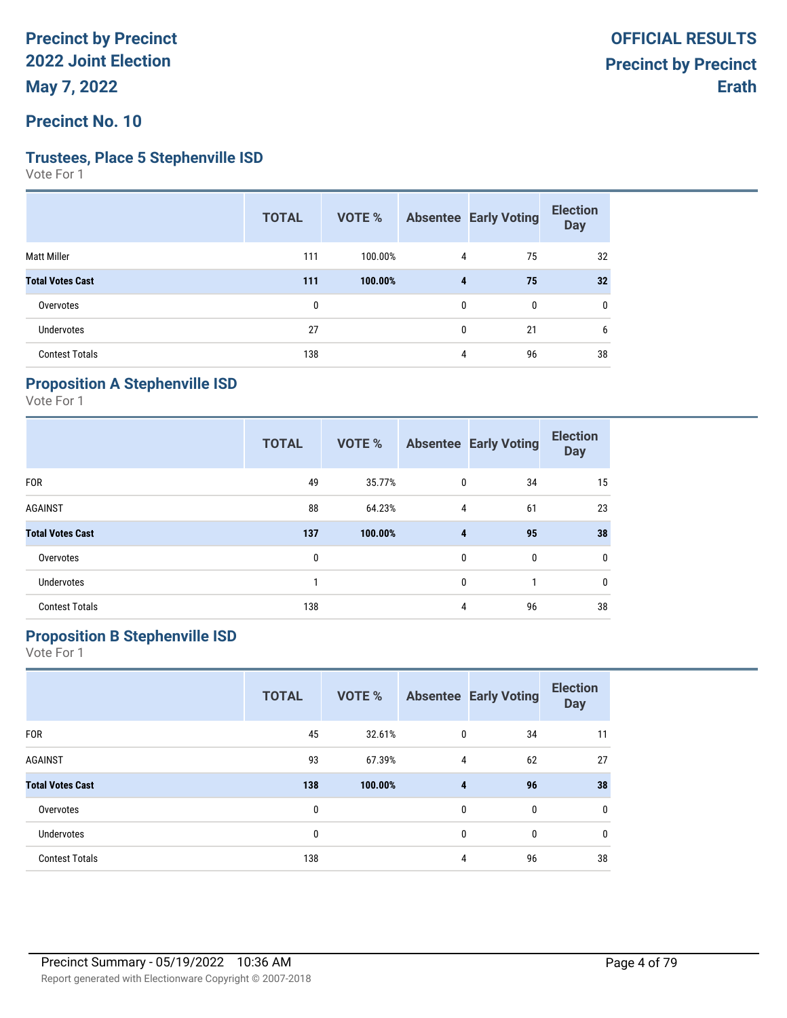**Precinct No. 10**

#### **Trustees, Place 5 Stephenville ISD**

Vote For 1

|                         | <b>TOTAL</b> | VOTE %  |                         | <b>Absentee Early Voting</b> | <b>Election</b><br><b>Day</b> |
|-------------------------|--------------|---------|-------------------------|------------------------------|-------------------------------|
| <b>Matt Miller</b>      | 111          | 100.00% | 4                       | 75                           | 32                            |
| <b>Total Votes Cast</b> | 111          | 100.00% | $\overline{\mathbf{4}}$ | 75                           | 32                            |
| Overvotes               | $\mathbf{0}$ |         | 0                       | 0                            | 0                             |
| Undervotes              | 27           |         | $\mathbf{0}$            | 21                           | 6                             |
| <b>Contest Totals</b>   | 138          |         | 4                       | 96                           | 38                            |

## **Proposition A Stephenville ISD**

Vote For 1

|                         | <b>TOTAL</b> | <b>VOTE %</b> |              | <b>Absentee Early Voting</b> | <b>Election</b><br><b>Day</b> |
|-------------------------|--------------|---------------|--------------|------------------------------|-------------------------------|
| <b>FOR</b>              | 49           | 35.77%        | $\mathbf{0}$ | 34                           | 15                            |
| <b>AGAINST</b>          | 88           | 64.23%        | 4            | 61                           | 23                            |
| <b>Total Votes Cast</b> | 137          | 100.00%       | 4            | 95                           | 38                            |
| Overvotes               | 0            |               | $\mathbf{0}$ | $\mathbf{0}$                 | $\mathbf 0$                   |
| <b>Undervotes</b>       |              |               | $\mathbf{0}$ |                              | 0                             |
| <b>Contest Totals</b>   | 138          |               | 4            | 96                           | 38                            |

## **Proposition B Stephenville ISD**

|                         | <b>TOTAL</b> | <b>VOTE %</b> |   | <b>Absentee Early Voting</b> | <b>Election</b><br><b>Day</b> |
|-------------------------|--------------|---------------|---|------------------------------|-------------------------------|
| <b>FOR</b>              | 45           | 32.61%        | 0 | 34                           | 11                            |
| <b>AGAINST</b>          | 93           | 67.39%        | 4 | 62                           | 27                            |
| <b>Total Votes Cast</b> | 138          | 100.00%       | 4 | 96                           | 38                            |
| Overvotes               | 0            |               | 0 | 0                            | $\mathbf 0$                   |
| <b>Undervotes</b>       | 0            |               | 0 | 0                            | 0                             |
| <b>Contest Totals</b>   | 138          |               | 4 | 96                           | 38                            |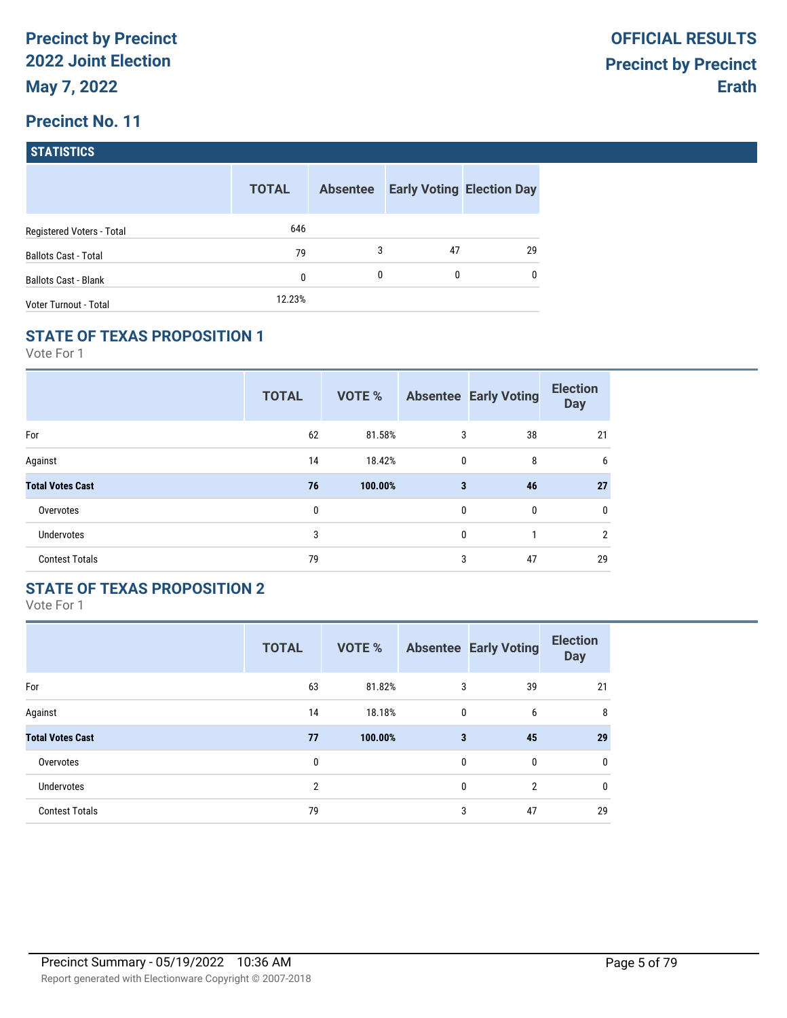| <b>STATISTICS</b> |  |
|-------------------|--|
|                   |  |

|                             | <b>TOTAL</b> | <b>Absentee</b> |    | <b>Early Voting Election Day</b> |
|-----------------------------|--------------|-----------------|----|----------------------------------|
| Registered Voters - Total   | 646          |                 |    |                                  |
| <b>Ballots Cast - Total</b> | 79           | 3               | 47 | 29                               |
| <b>Ballots Cast - Blank</b> | 0            | 0               | 0  | $\mathbf{0}$                     |
| Voter Turnout - Total       | 12.23%       |                 |    |                                  |

#### **STATE OF TEXAS PROPOSITION 1**

Vote For 1

|                         | <b>TOTAL</b> | <b>VOTE %</b> |              | <b>Absentee Early Voting</b> | <b>Election</b><br><b>Day</b> |
|-------------------------|--------------|---------------|--------------|------------------------------|-------------------------------|
| For                     | 62           | 81.58%        | 3            | 38                           | 21                            |
| Against                 | 14           | 18.42%        | $\mathbf 0$  | 8                            | 6                             |
| <b>Total Votes Cast</b> | 76           | 100.00%       | 3            | 46                           | 27                            |
| Overvotes               | 0            |               | $\mathbf{0}$ | 0                            | 0                             |
| Undervotes              | 3            |               | 0            |                              | 2                             |
| <b>Contest Totals</b>   | 79           |               | 3            | 47                           | 29                            |

## **STATE OF TEXAS PROPOSITION 2**

|                         | <b>TOTAL</b>   | <b>VOTE %</b> |              | <b>Absentee Early Voting</b> | <b>Election</b><br><b>Day</b> |
|-------------------------|----------------|---------------|--------------|------------------------------|-------------------------------|
| For                     | 63             | 81.82%        | 3            | 39                           | 21                            |
| Against                 | 14             | 18.18%        | $\mathbf{0}$ | 6                            | 8                             |
| <b>Total Votes Cast</b> | 77             | 100.00%       | 3            | 45                           | 29                            |
| Overvotes               | 0              |               | $\mathbf{0}$ | $\mathbf{0}$                 | $\mathbf{0}$                  |
| <b>Undervotes</b>       | $\overline{2}$ |               | $\mathbf{0}$ | $\overline{2}$               | 0                             |
| <b>Contest Totals</b>   | 79             |               | 3            | 47                           | 29                            |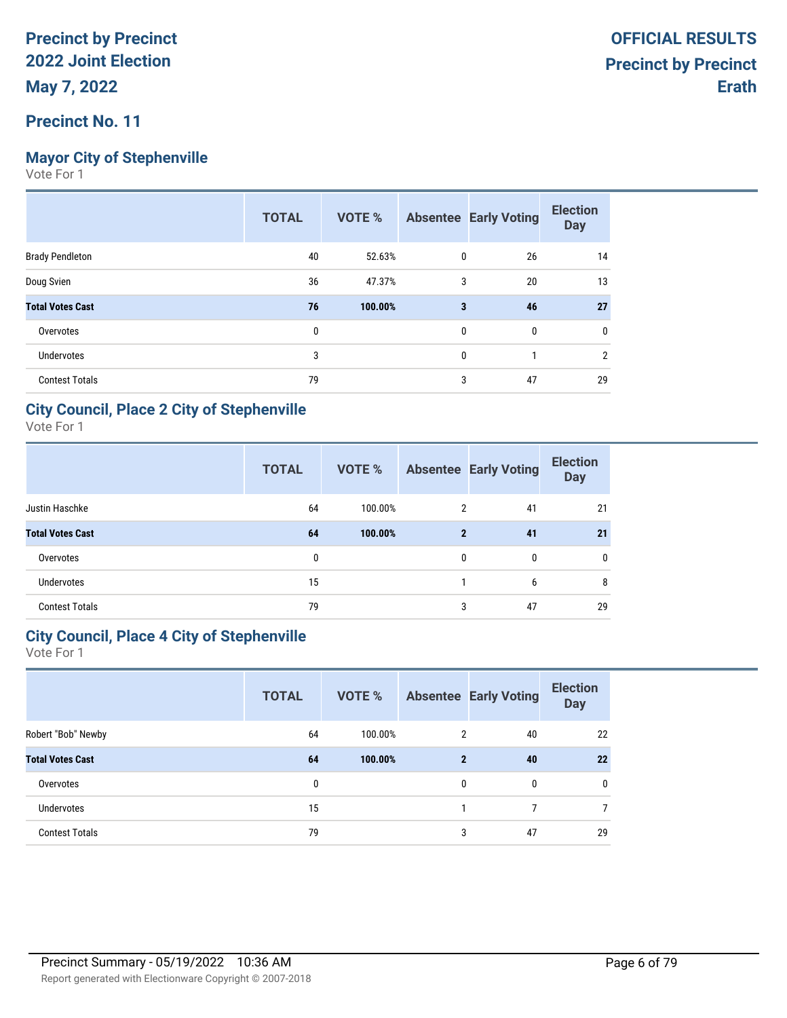### **Precinct No. 11**

### **Mayor City of Stephenville**

Vote For 1

|                         | <b>TOTAL</b> | VOTE %  |              | <b>Absentee Early Voting</b> | <b>Election</b><br><b>Day</b> |
|-------------------------|--------------|---------|--------------|------------------------------|-------------------------------|
| <b>Brady Pendleton</b>  | 40           | 52.63%  | 0            | 26                           | 14                            |
| Doug Svien              | 36           | 47.37%  | 3            | 20                           | 13                            |
| <b>Total Votes Cast</b> | 76           | 100.00% | 3            | 46                           | 27                            |
| Overvotes               | 0            |         | 0            | 0                            | 0                             |
| <b>Undervotes</b>       | 3            |         | $\mathbf{0}$ | 1                            | 2                             |
| <b>Contest Totals</b>   | 79           |         | 3            | 47                           | 29                            |

### **City Council, Place 2 City of Stephenville**

Vote For 1

|                         | <b>TOTAL</b> | VOTE %  |              | <b>Absentee Early Voting</b> | <b>Election</b><br><b>Day</b> |
|-------------------------|--------------|---------|--------------|------------------------------|-------------------------------|
| Justin Haschke          | 64           | 100.00% | 2            | 41                           | 21                            |
| <b>Total Votes Cast</b> | 64           | 100.00% | $\mathbf{2}$ | 41                           | 21                            |
| Overvotes               | 0            |         | $\mathbf{0}$ | $\mathbf{0}$                 | 0                             |
| <b>Undervotes</b>       | 15           |         |              | 6                            | 8                             |
| <b>Contest Totals</b>   | 79           |         | 3            | 47                           | 29                            |

### **City Council, Place 4 City of Stephenville**

|                         | <b>TOTAL</b> | <b>VOTE %</b> |              | <b>Absentee Early Voting</b> | <b>Election</b><br><b>Day</b> |
|-------------------------|--------------|---------------|--------------|------------------------------|-------------------------------|
| Robert "Bob" Newby      | 64           | 100.00%       | 2            | 40                           | 22                            |
| <b>Total Votes Cast</b> | 64           | 100.00%       | $\mathbf{2}$ | 40                           | 22                            |
| Overvotes               | 0            |               | 0            | $\mathbf{0}$                 | $\mathbf{0}$                  |
| <b>Undervotes</b>       | 15           |               |              | 7                            | 7                             |
| <b>Contest Totals</b>   | 79           |               | 3            | 47                           | 29                            |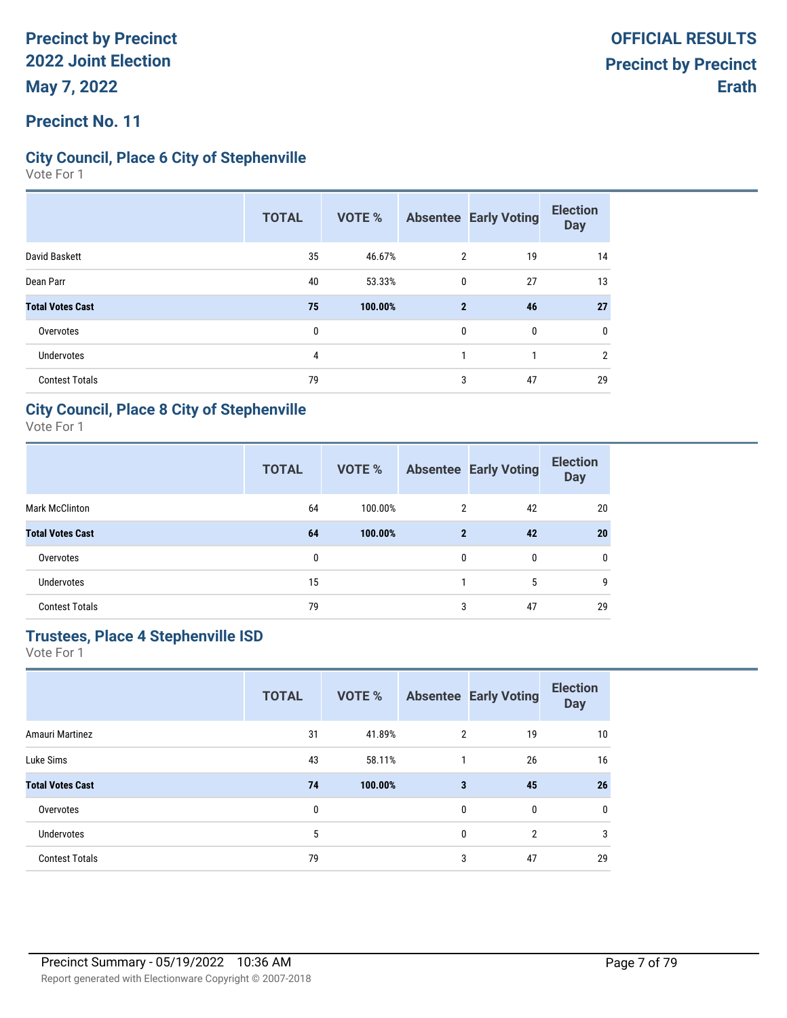### **Precinct No. 11**

### **City Council, Place 6 City of Stephenville**

Vote For 1

|                         | <b>TOTAL</b> | <b>VOTE %</b> |              | <b>Absentee Early Voting</b> | <b>Election</b><br><b>Day</b> |
|-------------------------|--------------|---------------|--------------|------------------------------|-------------------------------|
| David Baskett           | 35           | 46.67%        | 2            | 19                           | 14                            |
| Dean Parr               | 40           | 53.33%        | 0            | 27                           | 13                            |
| <b>Total Votes Cast</b> | 75           | 100.00%       | $\mathbf{2}$ | 46                           | 27                            |
| Overvotes               | $\mathbf{0}$ |               | $\mathbf{0}$ | 0                            | 0                             |
| Undervotes              | 4            |               |              | 1                            | 2                             |
| <b>Contest Totals</b>   | 79           |               | 3            | 47                           | 29                            |

### **City Council, Place 8 City of Stephenville**

Vote For 1

|                         | <b>TOTAL</b> | <b>VOTE %</b> |              | <b>Absentee Early Voting</b> | <b>Election</b><br><b>Day</b> |
|-------------------------|--------------|---------------|--------------|------------------------------|-------------------------------|
| <b>Mark McClinton</b>   | 64           | 100.00%       | 2            | 42                           | 20                            |
| <b>Total Votes Cast</b> | 64           | 100.00%       | $\mathbf{2}$ | 42                           | 20                            |
| Overvotes               | 0            |               | $\mathbf{0}$ | 0                            | 0                             |
| <b>Undervotes</b>       | 15           |               |              | 5                            | 9                             |
| <b>Contest Totals</b>   | 79           |               | 3            | 47                           | 29                            |

# **Trustees, Place 4 Stephenville ISD**

|                         | <b>TOTAL</b> | <b>VOTE %</b> |                | <b>Absentee Early Voting</b> | <b>Election</b><br><b>Day</b> |
|-------------------------|--------------|---------------|----------------|------------------------------|-------------------------------|
| Amauri Martinez         | 31           | 41.89%        | $\overline{2}$ | 19                           | 10                            |
| Luke Sims               | 43           | 58.11%        | $\mathbf{1}$   | 26                           | 16                            |
| <b>Total Votes Cast</b> | 74           | 100.00%       | 3              | 45                           | 26                            |
| Overvotes               | 0            |               | 0              | 0                            | 0                             |
| <b>Undervotes</b>       | 5            |               | 0              | $\overline{2}$               | 3                             |
| <b>Contest Totals</b>   | 79           |               | 3              | 47                           | 29                            |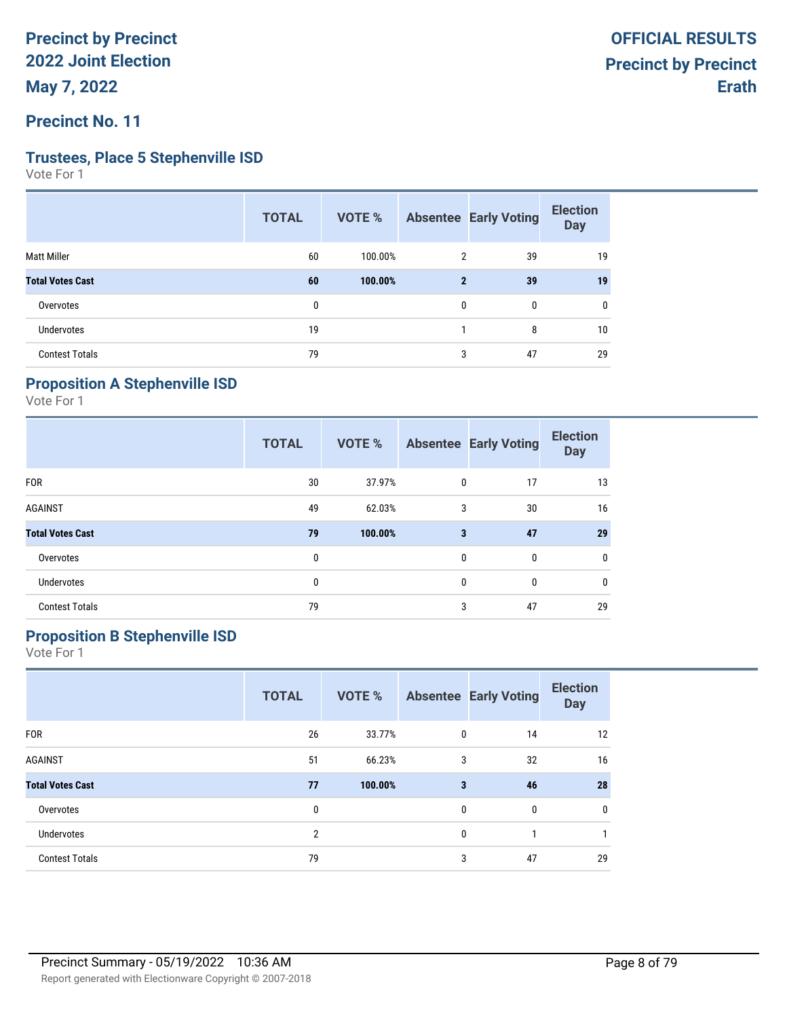## **Precinct No. 11**

#### **Trustees, Place 5 Stephenville ISD**

Vote For 1

| <b>TOTAL</b> | VOTE %  |                |    | <b>Election</b><br><b>Day</b> |
|--------------|---------|----------------|----|-------------------------------|
| 60           | 100.00% | $\overline{2}$ | 39 | 19                            |
| 60           | 100.00% | $\mathbf{2}$   | 39 | 19                            |
| 0            |         | 0              | 0  | 0                             |
| 19           |         |                | 8  | 10                            |
| 79           |         | 3              | 47 | 29                            |
|              |         |                |    | <b>Absentee Early Voting</b>  |

## **Proposition A Stephenville ISD**

Vote For 1

|                         | <b>TOTAL</b> | <b>VOTE %</b> |              | <b>Absentee Early Voting</b> | <b>Election</b><br><b>Day</b> |
|-------------------------|--------------|---------------|--------------|------------------------------|-------------------------------|
| <b>FOR</b>              | 30           | 37.97%        | $\mathbf{0}$ | 17                           | 13                            |
| <b>AGAINST</b>          | 49           | 62.03%        | 3            | 30                           | 16                            |
| <b>Total Votes Cast</b> | 79           | 100.00%       | 3            | 47                           | 29                            |
| Overvotes               | 0            |               | $\mathbf{0}$ | $\mathbf{0}$                 | $\mathbf 0$                   |
| <b>Undervotes</b>       | 0            |               | $\mathbf{0}$ | $\mathbf{0}$                 | 0                             |
| <b>Contest Totals</b>   | 79           |               | 3            | 47                           | 29                            |

# **Proposition B Stephenville ISD**

|                         | <b>TOTAL</b>   | <b>VOTE %</b> |   | <b>Absentee Early Voting</b> | <b>Election</b><br><b>Day</b> |
|-------------------------|----------------|---------------|---|------------------------------|-------------------------------|
| <b>FOR</b>              | 26             | 33.77%        | 0 | 14                           | 12                            |
| <b>AGAINST</b>          | 51             | 66.23%        | 3 | 32                           | 16                            |
| <b>Total Votes Cast</b> | 77             | 100.00%       | 3 | 46                           | 28                            |
| Overvotes               | 0              |               | 0 | 0                            | 0                             |
| <b>Undervotes</b>       | $\overline{2}$ |               | 0 |                              |                               |
| <b>Contest Totals</b>   | 79             |               | 3 | 47                           | 29                            |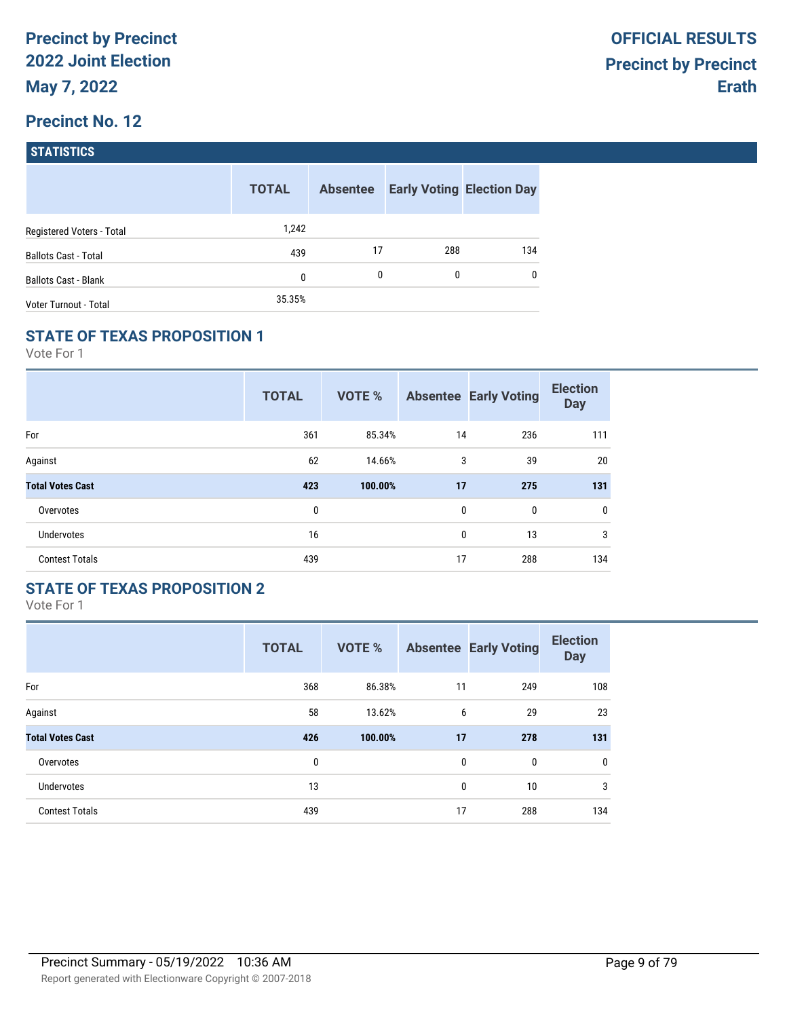| <b>STATISTICS</b> |  |
|-------------------|--|
|                   |  |

|                              | <b>TOTAL</b> | <b>Absentee</b> |     | <b>Early Voting Election Day</b> |
|------------------------------|--------------|-----------------|-----|----------------------------------|
| Registered Voters - Total    | 1,242        |                 |     |                                  |
| <b>Ballots Cast - Total</b>  | 439          | 17              | 288 | 134                              |
| <b>Ballots Cast - Blank</b>  | 0            | 0               | 0   | $\mathbf{0}$                     |
| <b>Voter Turnout - Total</b> | 35.35%       |                 |     |                                  |

### **STATE OF TEXAS PROPOSITION 1**

Vote For 1

|                         | <b>TOTAL</b> | <b>VOTE %</b> |              | <b>Absentee Early Voting</b> | <b>Election</b><br><b>Day</b> |
|-------------------------|--------------|---------------|--------------|------------------------------|-------------------------------|
| For                     | 361          | 85.34%        | 14           | 236                          | 111                           |
| Against                 | 62           | 14.66%        | 3            | 39                           | 20                            |
| <b>Total Votes Cast</b> | 423          | 100.00%       | 17           | 275                          | 131                           |
| Overvotes               | 0            |               | $\mathbf{0}$ | $\mathbf{0}$                 | $\mathbf{0}$                  |
| <b>Undervotes</b>       | 16           |               | 0            | 13                           | 3                             |
| <b>Contest Totals</b>   | 439          |               | 17           | 288                          | 134                           |

## **STATE OF TEXAS PROPOSITION 2**

|                         | <b>TOTAL</b> | <b>VOTE %</b> |              | <b>Absentee Early Voting</b> | <b>Election</b><br><b>Day</b> |
|-------------------------|--------------|---------------|--------------|------------------------------|-------------------------------|
| For                     | 368          | 86.38%        | 11           | 249                          | 108                           |
| Against                 | 58           | 13.62%        | 6            | 29                           | 23                            |
| <b>Total Votes Cast</b> | 426          | 100.00%       | 17           | 278                          | 131                           |
| Overvotes               | 0            |               | $\mathbf{0}$ | 0                            | $\mathbf 0$                   |
| <b>Undervotes</b>       | 13           |               | 0            | 10                           | 3                             |
| <b>Contest Totals</b>   | 439          |               | 17           | 288                          | 134                           |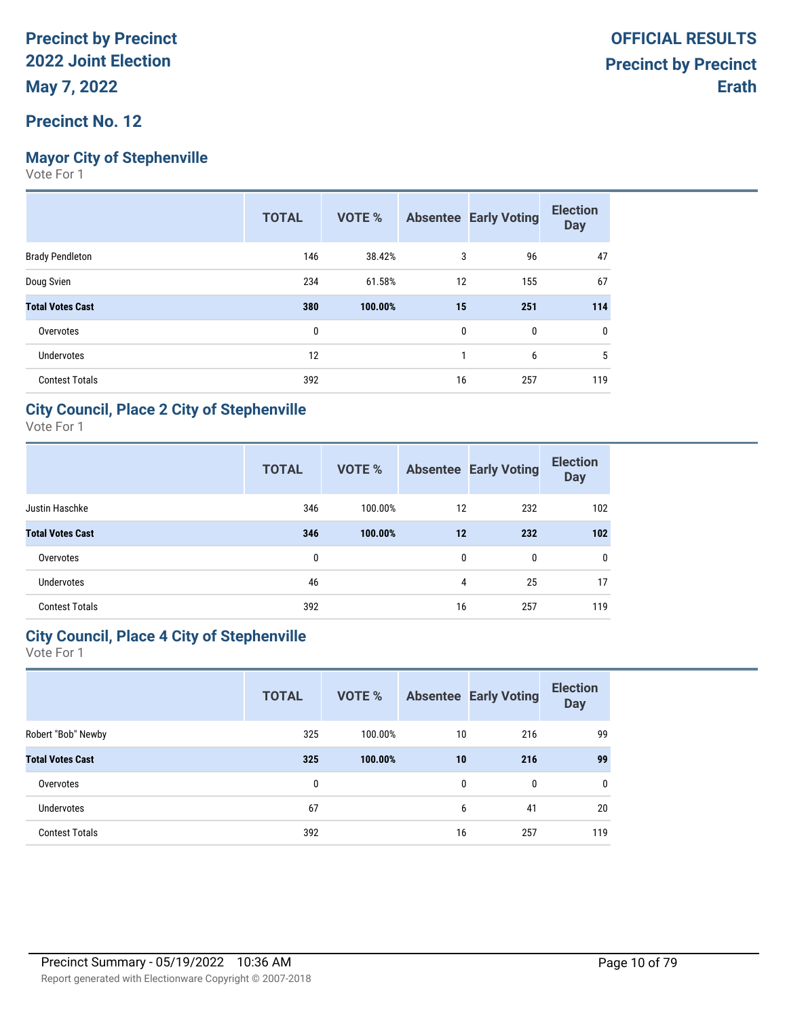## **Mayor City of Stephenville**

Vote For 1

| <b>TOTAL</b> | <b>VOTE %</b> |     | <b>Election</b><br><b>Day</b>                            |
|--------------|---------------|-----|----------------------------------------------------------|
| 146          | 38.42%        | 96  | 47                                                       |
| 234          | 61.58%        | 155 | 67                                                       |
| 380          | 100.00%       | 251 | 114                                                      |
| 0            |               | 0   | 0                                                        |
| 12           |               | 6   | 5                                                        |
| 392          |               | 257 | 119                                                      |
|              |               |     | <b>Absentee Early Voting</b><br>3<br>12<br>15<br>0<br>16 |

### **City Council, Place 2 City of Stephenville**

Vote For 1

|                         | <b>TOTAL</b> | <b>VOTE %</b> |              | <b>Absentee Early Voting</b> | <b>Election</b><br><b>Day</b> |
|-------------------------|--------------|---------------|--------------|------------------------------|-------------------------------|
| Justin Haschke          | 346          | 100.00%       | 12           | 232                          | 102                           |
| <b>Total Votes Cast</b> | 346          | 100.00%       | 12           | 232                          | 102                           |
| Overvotes               | 0            |               | $\mathbf{0}$ | $\mathbf{0}$                 | 0                             |
| <b>Undervotes</b>       | 46           |               | 4            | 25                           | 17                            |
| <b>Contest Totals</b>   | 392          |               | 16           | 257                          | 119                           |

## **City Council, Place 4 City of Stephenville**

|                         | <b>TOTAL</b> | <b>VOTE %</b> |    | <b>Absentee Early Voting</b> | <b>Election</b><br><b>Day</b> |
|-------------------------|--------------|---------------|----|------------------------------|-------------------------------|
| Robert "Bob" Newby      | 325          | 100.00%       | 10 | 216                          | 99                            |
| <b>Total Votes Cast</b> | 325          | 100.00%       | 10 | 216                          | 99                            |
| Overvotes               | 0            |               | 0  | $\mathbf{0}$                 | $\mathbf{0}$                  |
| <b>Undervotes</b>       | 67           |               | 6  | 41                           | 20                            |
| <b>Contest Totals</b>   | 392          |               | 16 | 257                          | 119                           |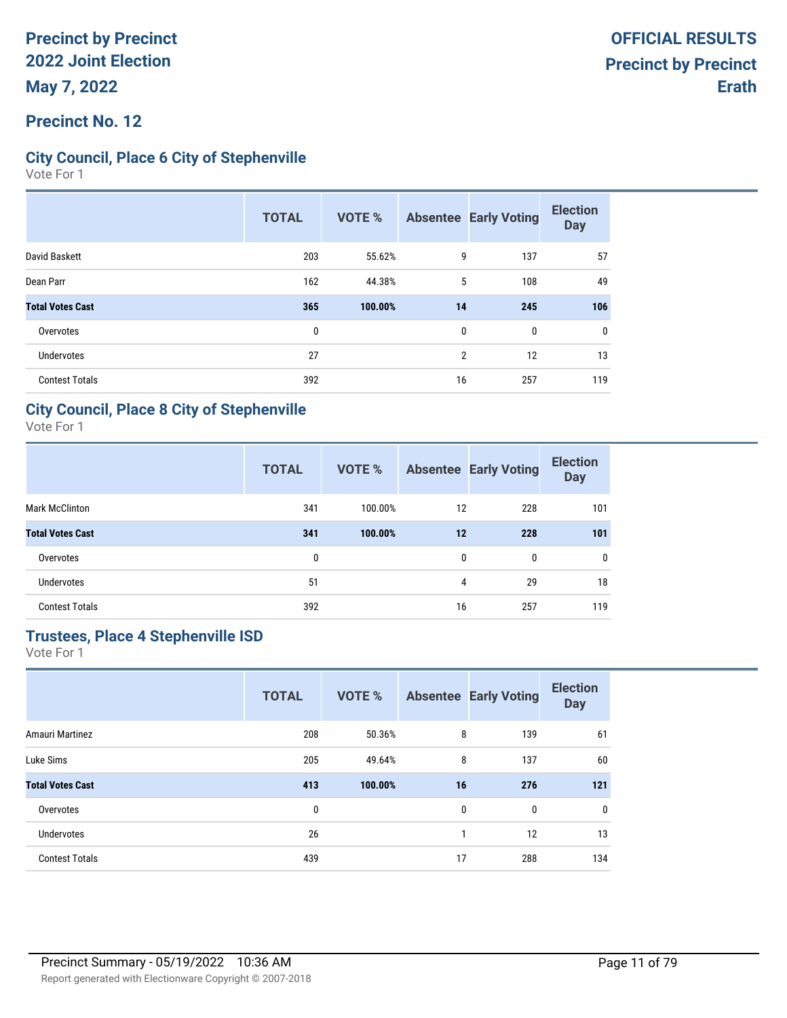### **Precinct No. 12**

### **City Council, Place 6 City of Stephenville**

Vote For 1

|                         | <b>TOTAL</b> | <b>VOTE %</b> |    | <b>Absentee Early Voting</b> | <b>Election</b><br><b>Day</b> |
|-------------------------|--------------|---------------|----|------------------------------|-------------------------------|
| David Baskett           | 203          | 55.62%        | 9  | 137                          | 57                            |
| Dean Parr               | 162          | 44.38%        | 5  | 108                          | 49                            |
| <b>Total Votes Cast</b> | 365          | 100.00%       | 14 | 245                          | 106                           |
| Overvotes               | 0            |               | 0  | $\mathbf{0}$                 | 0                             |
| Undervotes              | 27           |               | 2  | 12                           | 13                            |
| <b>Contest Totals</b>   | 392          |               | 16 | 257                          | 119                           |

### **City Council, Place 8 City of Stephenville**

Vote For 1

|                         | <b>TOTAL</b> | <b>VOTE %</b> |              | <b>Absentee Early Voting</b> | <b>Election</b><br><b>Day</b> |
|-------------------------|--------------|---------------|--------------|------------------------------|-------------------------------|
| <b>Mark McClinton</b>   | 341          | 100.00%       | 12           | 228                          | 101                           |
| <b>Total Votes Cast</b> | 341          | 100.00%       | 12           | 228                          | 101                           |
| Overvotes               | 0            |               | $\mathbf{0}$ | $\mathbf{0}$                 | 0                             |
| <b>Undervotes</b>       | 51           |               | 4            | 29                           | 18                            |
| <b>Contest Totals</b>   | 392          |               | 16           | 257                          | 119                           |

### **Trustees, Place 4 Stephenville ISD**

|                         | <b>TOTAL</b> | <b>VOTE %</b> |    | <b>Absentee Early Voting</b> | <b>Election</b><br><b>Day</b> |
|-------------------------|--------------|---------------|----|------------------------------|-------------------------------|
| Amauri Martinez         | 208          | 50.36%        | 8  | 139                          | 61                            |
| Luke Sims               | 205          | 49.64%        | 8  | 137                          | 60                            |
| <b>Total Votes Cast</b> | 413          | 100.00%       | 16 | 276                          | 121                           |
| Overvotes               | 0            |               | 0  | 0                            | $\mathbf 0$                   |
| <b>Undervotes</b>       | 26           |               | 1  | 12                           | 13                            |
| <b>Contest Totals</b>   | 439          |               | 17 | 288                          | 134                           |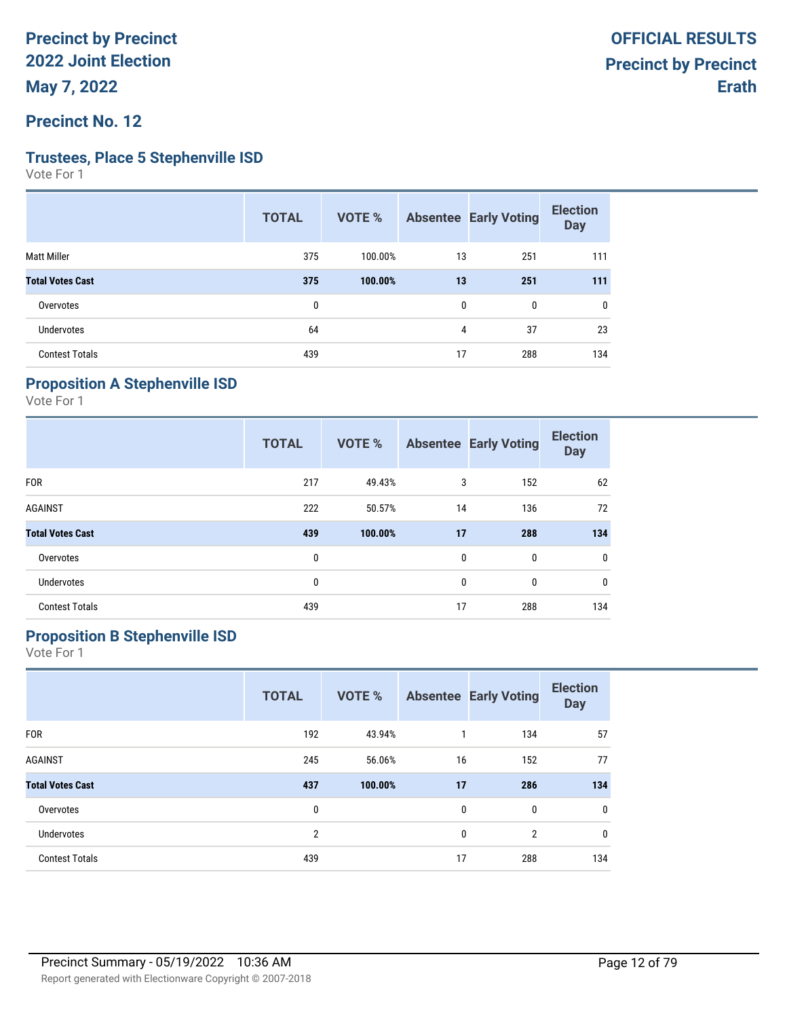### **Precinct No. 12**

#### **Trustees, Place 5 Stephenville ISD**

Vote For 1

| <b>TOTAL</b> | <b>VOTE %</b> |    |              | <b>Election</b><br><b>Day</b> |
|--------------|---------------|----|--------------|-------------------------------|
| 375          | 100.00%       | 13 | 251          | 111                           |
| 375          | 100.00%       | 13 | 251          | 111                           |
| 0            |               | 0  | $\mathbf{0}$ | 0                             |
| 64           |               | 4  | 37           | 23                            |
| 439          |               | 17 | 288          | 134                           |
|              |               |    |              | <b>Absentee Early Voting</b>  |

## **Proposition A Stephenville ISD**

Vote For 1

|                         | <b>TOTAL</b> | <b>VOTE %</b> |              | <b>Absentee Early Voting</b> | <b>Election</b><br><b>Day</b> |
|-------------------------|--------------|---------------|--------------|------------------------------|-------------------------------|
| <b>FOR</b>              | 217          | 49.43%        | 3            | 152                          | 62                            |
| <b>AGAINST</b>          | 222          | 50.57%        | 14           | 136                          | 72                            |
| <b>Total Votes Cast</b> | 439          | 100.00%       | 17           | 288                          | 134                           |
| Overvotes               | 0            |               | $\mathbf{0}$ | 0                            | $\mathbf 0$                   |
| <b>Undervotes</b>       | 0            |               | $\mathbf{0}$ | $\mathbf{0}$                 | 0                             |
| <b>Contest Totals</b>   | 439          |               | 17           | 288                          | 134                           |

## **Proposition B Stephenville ISD**

|                         | <b>TOTAL</b>   | <b>VOTE %</b> |             | <b>Absentee Early Voting</b> | <b>Election</b><br><b>Day</b> |
|-------------------------|----------------|---------------|-------------|------------------------------|-------------------------------|
| <b>FOR</b>              | 192            | 43.94%        | 1           | 134                          | 57                            |
| <b>AGAINST</b>          | 245            | 56.06%        | 16          | 152                          | 77                            |
| <b>Total Votes Cast</b> | 437            | 100.00%       | 17          | 286                          | 134                           |
| Overvotes               | 0              |               | 0           | 0                            | $\mathbf 0$                   |
| <b>Undervotes</b>       | $\overline{2}$ |               | $\mathbf 0$ | $\overline{2}$               | $\mathbf 0$                   |
| <b>Contest Totals</b>   | 439            |               | 17          | 288                          | 134                           |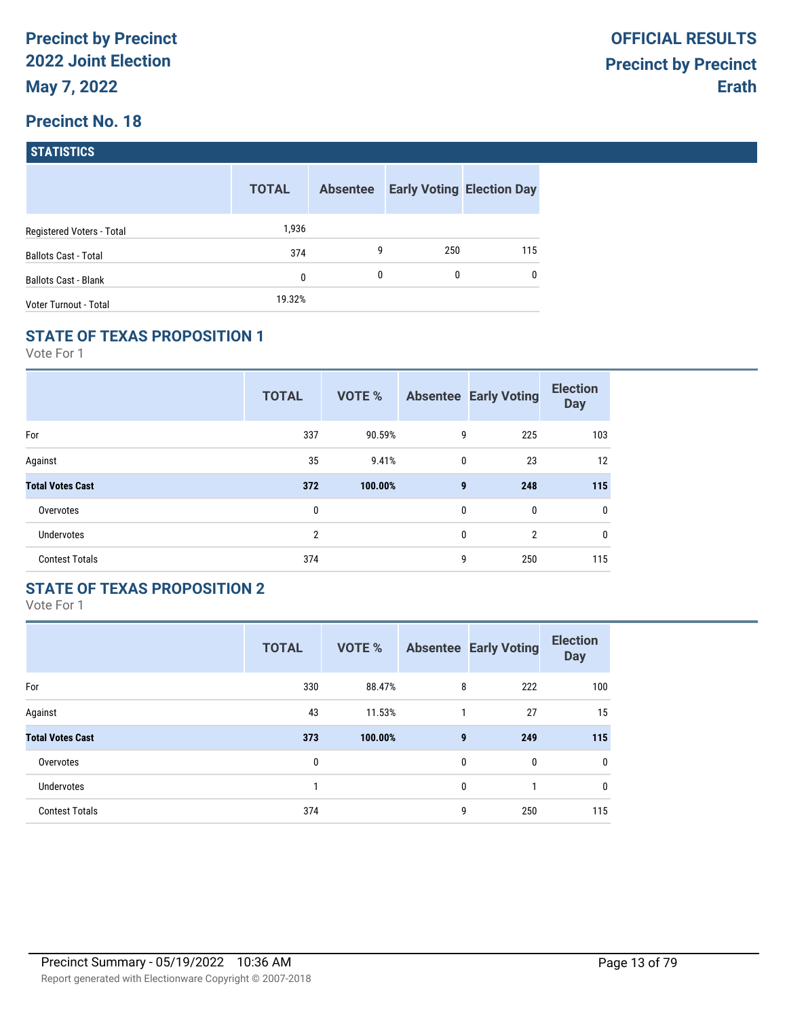| <b>STATISTICS</b> |  |
|-------------------|--|
|                   |  |
|                   |  |

|                             | <b>TOTAL</b> | <b>Absentee</b> |     | <b>Early Voting Election Day</b> |
|-----------------------------|--------------|-----------------|-----|----------------------------------|
| Registered Voters - Total   | 1,936        |                 |     |                                  |
| <b>Ballots Cast - Total</b> | 374          | 9               | 250 | 115                              |
| <b>Ballots Cast - Blank</b> | 0            | 0               | 0   | $\mathbf{0}$                     |
| Voter Turnout - Total       | 19.32%       |                 |     |                                  |

### **STATE OF TEXAS PROPOSITION 1**

Vote For 1

|                         | <b>TOTAL</b>   | <b>VOTE %</b> |              | <b>Absentee Early Voting</b> | <b>Election</b><br><b>Day</b> |
|-------------------------|----------------|---------------|--------------|------------------------------|-------------------------------|
| For                     | 337            | 90.59%        | 9            | 225                          | 103                           |
| Against                 | 35             | 9.41%         | $\mathbf{0}$ | 23                           | 12                            |
| <b>Total Votes Cast</b> | 372            | 100.00%       | 9            | 248                          | 115                           |
| Overvotes               | 0              |               | 0            | 0                            | 0                             |
| <b>Undervotes</b>       | $\overline{2}$ |               | 0            | $\overline{2}$               | 0                             |
| <b>Contest Totals</b>   | 374            |               | 9            | 250                          | 115                           |

## **STATE OF TEXAS PROPOSITION 2**

|                         | <b>TOTAL</b> | <b>VOTE %</b> |              | <b>Absentee Early Voting</b> | <b>Election</b><br><b>Day</b> |
|-------------------------|--------------|---------------|--------------|------------------------------|-------------------------------|
| For                     | 330          | 88.47%        | 8            | 222                          | 100                           |
| Against                 | 43           | 11.53%        | 1            | 27                           | 15                            |
| <b>Total Votes Cast</b> | 373          | 100.00%       | 9            | 249                          | 115                           |
| Overvotes               | 0            |               | $\mathbf{0}$ | $\mathbf{0}$                 | $\mathbf 0$                   |
| <b>Undervotes</b>       | 1            |               | $\mathbf{0}$ | 1                            | $\mathbf 0$                   |
| <b>Contest Totals</b>   | 374          |               | 9            | 250                          | 115                           |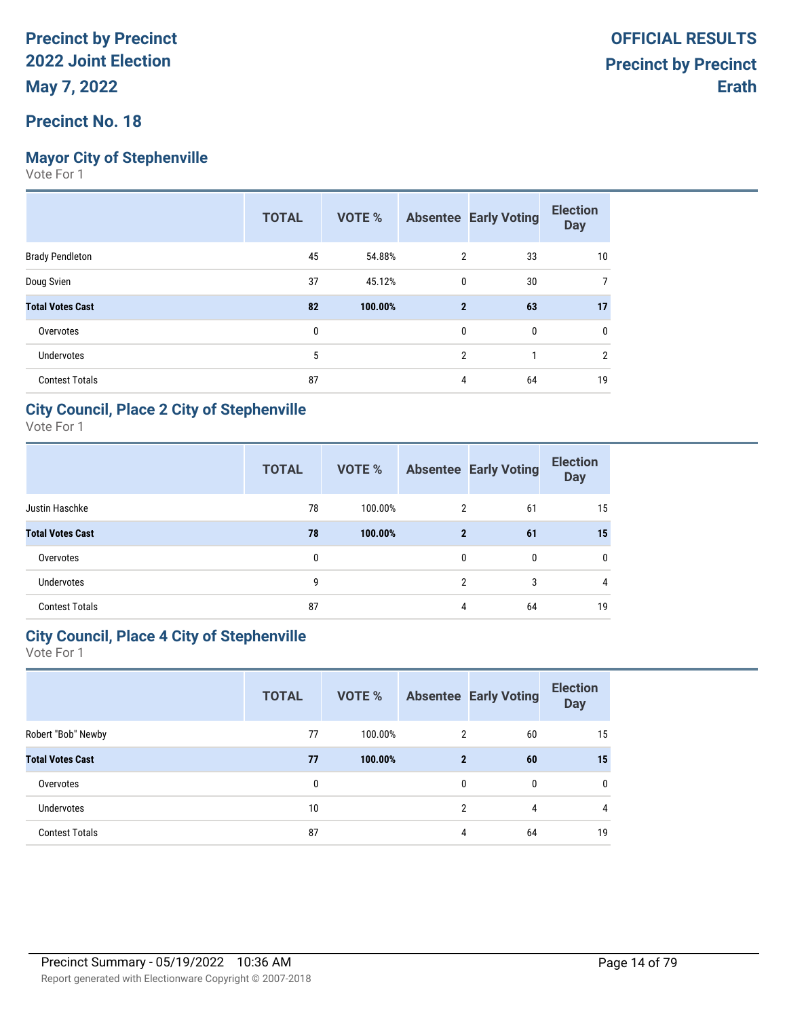## **Mayor City of Stephenville**

Vote For 1

|                         | <b>TOTAL</b> | VOTE %  |                | <b>Absentee Early Voting</b> | <b>Election</b><br><b>Day</b> |
|-------------------------|--------------|---------|----------------|------------------------------|-------------------------------|
| <b>Brady Pendleton</b>  | 45           | 54.88%  | 2              | 33                           | 10                            |
| Doug Svien              | 37           | 45.12%  | $\mathbf{0}$   | 30                           |                               |
| <b>Total Votes Cast</b> | 82           | 100.00% | $\mathbf{2}$   | 63                           | 17                            |
| Overvotes               | 0            |         | 0              | 0                            | 0                             |
| <b>Undervotes</b>       | 5            |         | $\overline{2}$ | 1                            | $\overline{2}$                |
| <b>Contest Totals</b>   | 87           |         | 4              | 64                           | 19                            |

### **City Council, Place 2 City of Stephenville**

Vote For 1

|                         | <b>TOTAL</b> | VOTE %  |                | <b>Absentee Early Voting</b> | <b>Election</b><br><b>Day</b> |
|-------------------------|--------------|---------|----------------|------------------------------|-------------------------------|
| Justin Haschke          | 78           | 100.00% | $\overline{2}$ | 61                           | 15                            |
| <b>Total Votes Cast</b> | 78           | 100.00% | $\mathbf{2}$   | 61                           | 15                            |
| Overvotes               | 0            |         | 0              | $\mathbf{0}$                 | 0                             |
| <b>Undervotes</b>       | 9            |         | 2              | 3                            | 4                             |
| <b>Contest Totals</b>   | 87           |         | 4              | 64                           | 19                            |

### **City Council, Place 4 City of Stephenville**

|                         | <b>TOTAL</b> | <b>VOTE %</b> |                | <b>Absentee Early Voting</b> | <b>Election</b><br><b>Day</b> |
|-------------------------|--------------|---------------|----------------|------------------------------|-------------------------------|
| Robert "Bob" Newby      | 77           | 100.00%       | 2              | 60                           | 15                            |
| <b>Total Votes Cast</b> | 77           | 100.00%       | $\mathbf{2}$   | 60                           | 15                            |
| Overvotes               | 0            |               | 0              | $\mathbf{0}$                 | $\mathbf{0}$                  |
| <b>Undervotes</b>       | 10           |               | $\overline{2}$ | 4                            | 4                             |
| <b>Contest Totals</b>   | 87           |               | 4              | 64                           | 19                            |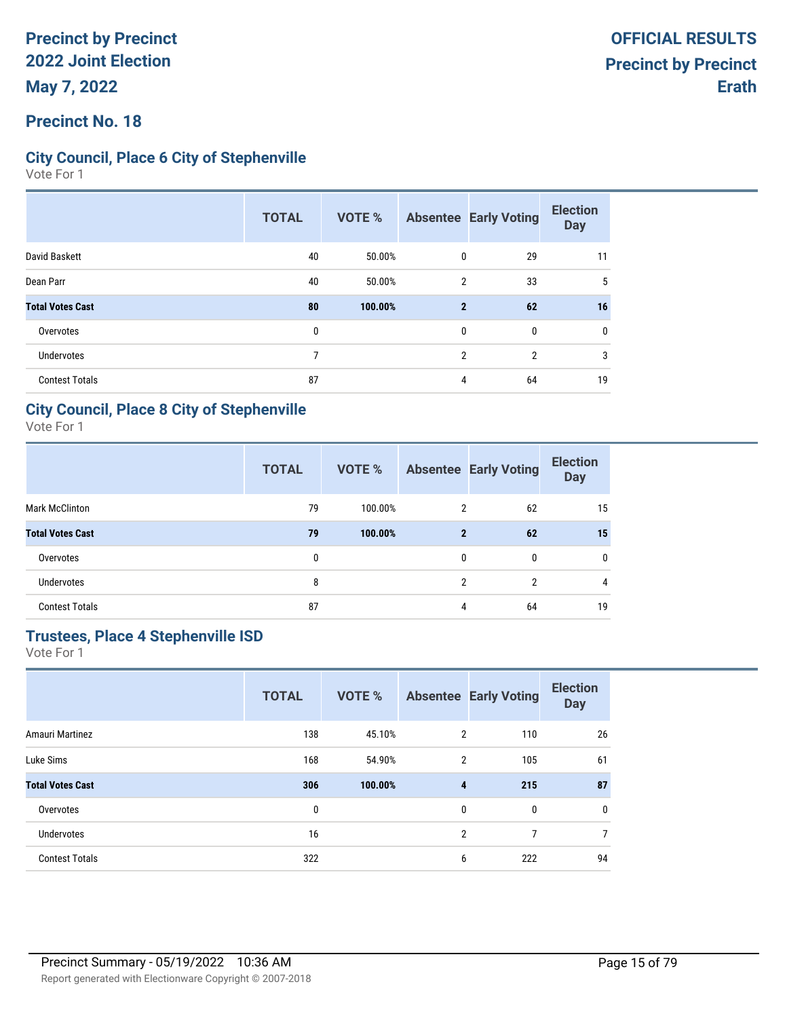### **Precinct No. 18**

### **City Council, Place 6 City of Stephenville**

Vote For 1

|                         | <b>TOTAL</b> | VOTE %  |              | <b>Absentee Early Voting</b> | <b>Election</b><br><b>Day</b> |
|-------------------------|--------------|---------|--------------|------------------------------|-------------------------------|
| David Baskett           | 40           | 50.00%  | 0            | 29                           | 11                            |
| Dean Parr               | 40           | 50.00%  | 2            | 33                           | 5                             |
| <b>Total Votes Cast</b> | 80           | 100.00% | $\mathbf{2}$ | 62                           | 16                            |
| Overvotes               | 0            |         | 0            | 0                            | 0                             |
| <b>Undervotes</b>       | 7            |         | 2            | $\mathfrak{p}$               | 3                             |
| <b>Contest Totals</b>   | 87           |         | 4            | 64                           | 19                            |

### **City Council, Place 8 City of Stephenville**

Vote For 1

|                         | <b>TOTAL</b> | VOTE %  |                | <b>Absentee Early Voting</b> | <b>Election</b><br><b>Day</b> |
|-------------------------|--------------|---------|----------------|------------------------------|-------------------------------|
| <b>Mark McClinton</b>   | 79           | 100.00% | 2              | 62                           | 15                            |
| <b>Total Votes Cast</b> | 79           | 100.00% | $\mathbf{2}$   | 62                           | 15                            |
| Overvotes               | 0            |         | 0              | $\mathbf{0}$                 | $\mathbf{0}$                  |
| <b>Undervotes</b>       | 8            |         | $\mathfrak{p}$ | 2                            | 4                             |
| <b>Contest Totals</b>   | 87           |         | 4              | 64                           | 19                            |

### **Trustees, Place 4 Stephenville ISD**

|                         | <b>TOTAL</b> | <b>VOTE %</b> |                | <b>Absentee Early Voting</b> | <b>Election</b><br><b>Day</b> |
|-------------------------|--------------|---------------|----------------|------------------------------|-------------------------------|
| Amauri Martinez         | 138          | 45.10%        | $\overline{2}$ | 110                          | 26                            |
| Luke Sims               | 168          | 54.90%        | 2              | 105                          | 61                            |
| <b>Total Votes Cast</b> | 306          | 100.00%       | 4              | 215                          | 87                            |
| Overvotes               | 0            |               | 0              | 0                            | 0                             |
| <b>Undervotes</b>       | 16           |               | $\overline{2}$ | 7                            | $\overline{7}$                |
| <b>Contest Totals</b>   | 322          |               | 6              | 222                          | 94                            |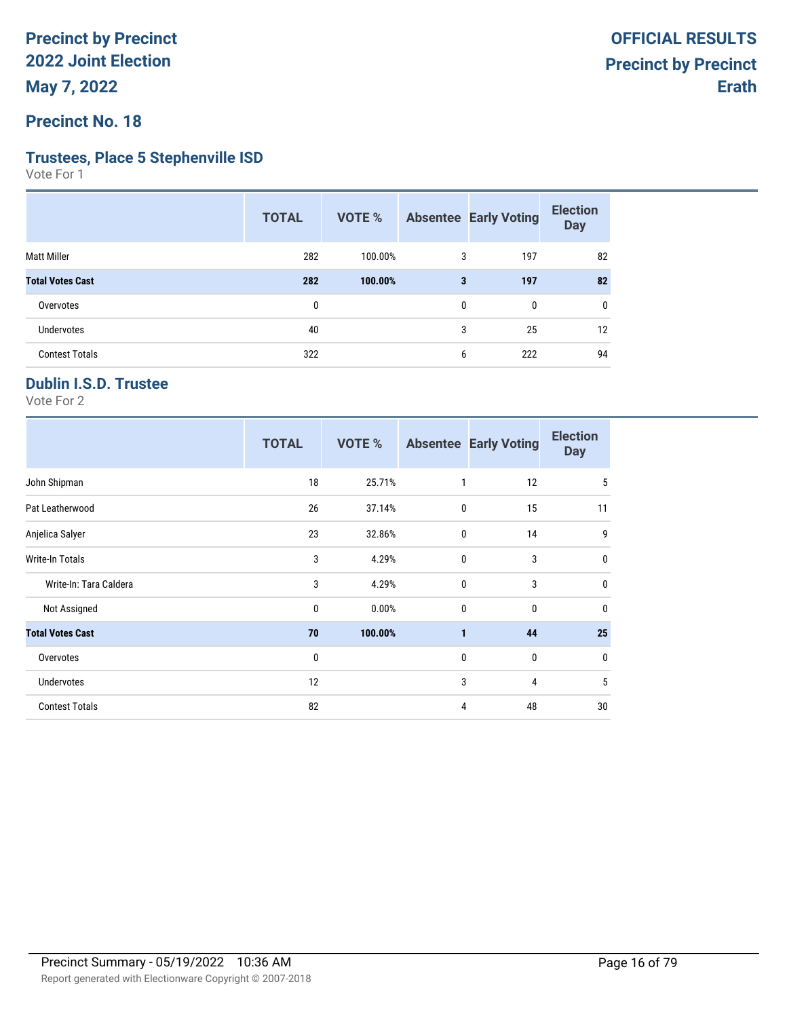**Precinct No. 18**

#### **Trustees, Place 5 Stephenville ISD**

Vote For 1

|                         | <b>TOTAL</b> | VOTE %  |   | <b>Absentee Early Voting</b> | <b>Election</b><br><b>Day</b> |
|-------------------------|--------------|---------|---|------------------------------|-------------------------------|
| <b>Matt Miller</b>      | 282          | 100.00% | 3 | 197                          | 82                            |
| <b>Total Votes Cast</b> | 282          | 100.00% | 3 | 197                          | 82                            |
| Overvotes               | 0            |         | 0 | 0                            | 0                             |
| <b>Undervotes</b>       | 40           |         | 3 | 25                           | 12                            |
| <b>Contest Totals</b>   | 322          |         | 6 | 222                          | 94                            |
|                         |              |         |   |                              |                               |

## **Dublin I.S.D. Trustee**

|                         | <b>TOTAL</b> | VOTE %  |             | <b>Absentee Early Voting</b> | <b>Election</b><br><b>Day</b> |
|-------------------------|--------------|---------|-------------|------------------------------|-------------------------------|
| John Shipman            | 18           | 25.71%  | 1           | 12                           | 5                             |
| Pat Leatherwood         | 26           | 37.14%  | 0           | 15                           | 11                            |
| Anjelica Salyer         | 23           | 32.86%  | 0           | 14                           | 9                             |
| Write-In Totals         | 3            | 4.29%   | 0           | 3                            | $\mathbf 0$                   |
| Write-In: Tara Caldera  | 3            | 4.29%   | $\mathbf 0$ | 3                            | $\mathbf 0$                   |
| Not Assigned            | 0            | 0.00%   | $\mathbf 0$ | $\mathbf{0}$                 | $\mathbf 0$                   |
| <b>Total Votes Cast</b> | 70           | 100.00% | 1           | 44                           | 25                            |
| Overvotes               | 0            |         | 0           | 0                            | $\mathbf 0$                   |
| Undervotes              | 12           |         | 3           | 4                            | 5                             |
| <b>Contest Totals</b>   | 82           |         | 4           | 48                           | 30                            |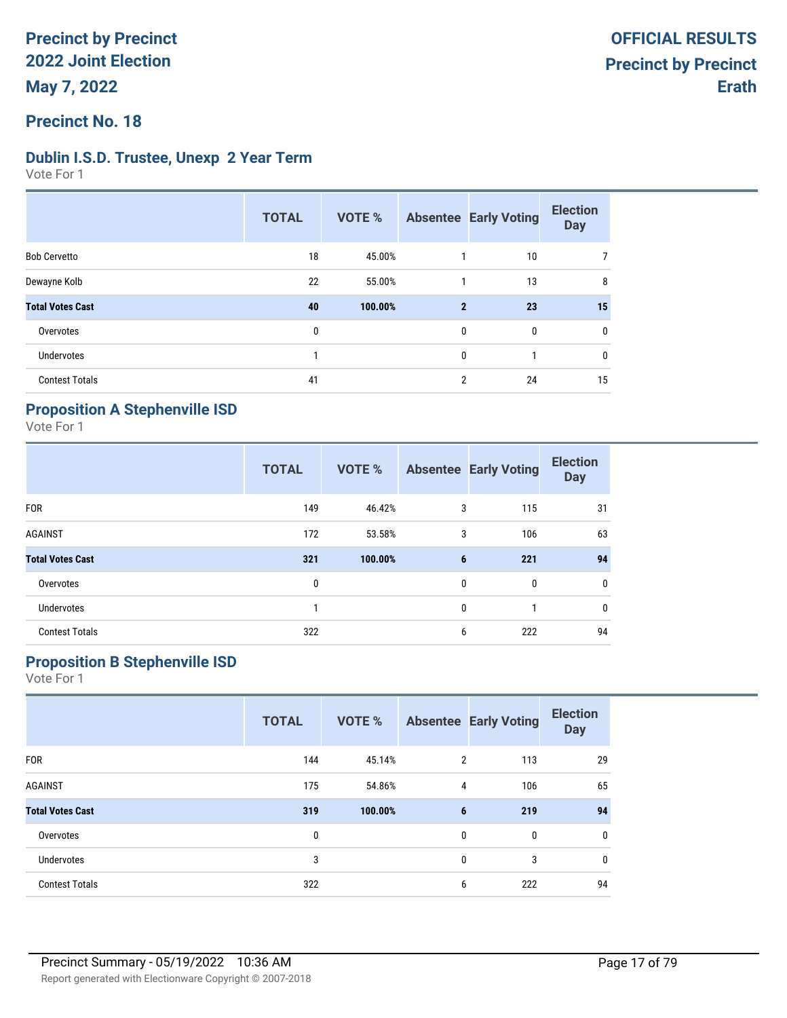### **Precinct No. 18**

### **Dublin I.S.D. Trustee, Unexp 2 Year Term**

Vote For 1

|                         | <b>TOTAL</b> | <b>VOTE %</b> |                | <b>Absentee Early Voting</b> | <b>Election</b><br><b>Day</b> |
|-------------------------|--------------|---------------|----------------|------------------------------|-------------------------------|
| <b>Bob Cervetto</b>     | 18           | 45.00%        |                | 10                           |                               |
| Dewayne Kolb            | 22           | 55.00%        |                | 13                           | 8                             |
| <b>Total Votes Cast</b> | 40           | 100.00%       | $\mathbf{2}$   | 23                           | 15                            |
| Overvotes               | 0            |               | $\mathbf{0}$   | 0                            | 0                             |
| Undervotes              |              |               | $\mathbf{0}$   | 1                            | 0                             |
| <b>Contest Totals</b>   | 41           |               | $\overline{2}$ | 24                           | 15                            |

### **Proposition A Stephenville ISD**

Vote For 1

|                         | <b>TOTAL</b> | <b>VOTE %</b> |              | <b>Absentee Early Voting</b> | <b>Election</b><br><b>Day</b> |
|-------------------------|--------------|---------------|--------------|------------------------------|-------------------------------|
| <b>FOR</b>              | 149          | 46.42%        | 3            | 115                          | 31                            |
| <b>AGAINST</b>          | 172          | 53.58%        | 3            | 106                          | 63                            |
| <b>Total Votes Cast</b> | 321          | 100.00%       | 6            | 221                          | 94                            |
| Overvotes               | 0            |               | 0            | 0                            | 0                             |
| <b>Undervotes</b>       | 1            |               | $\mathbf{0}$ | 1                            | 0                             |
| <b>Contest Totals</b>   | 322          |               | 6            | 222                          | 94                            |

## **Proposition B Stephenville ISD**

|                         | <b>TOTAL</b> | <b>VOTE %</b> |              | <b>Absentee Early Voting</b> | <b>Election</b><br><b>Day</b> |
|-------------------------|--------------|---------------|--------------|------------------------------|-------------------------------|
| <b>FOR</b>              | 144          | 45.14%        | 2            | 113                          | 29                            |
| <b>AGAINST</b>          | 175          | 54.86%        | 4            | 106                          | 65                            |
| <b>Total Votes Cast</b> | 319          | 100.00%       | 6            | 219                          | 94                            |
| Overvotes               | 0            |               | $\mathbf{0}$ | 0                            | 0                             |
| <b>Undervotes</b>       | 3            |               | $\mathbf{0}$ | 3                            | 0                             |
| <b>Contest Totals</b>   | 322          |               | 6            | 222                          | 94                            |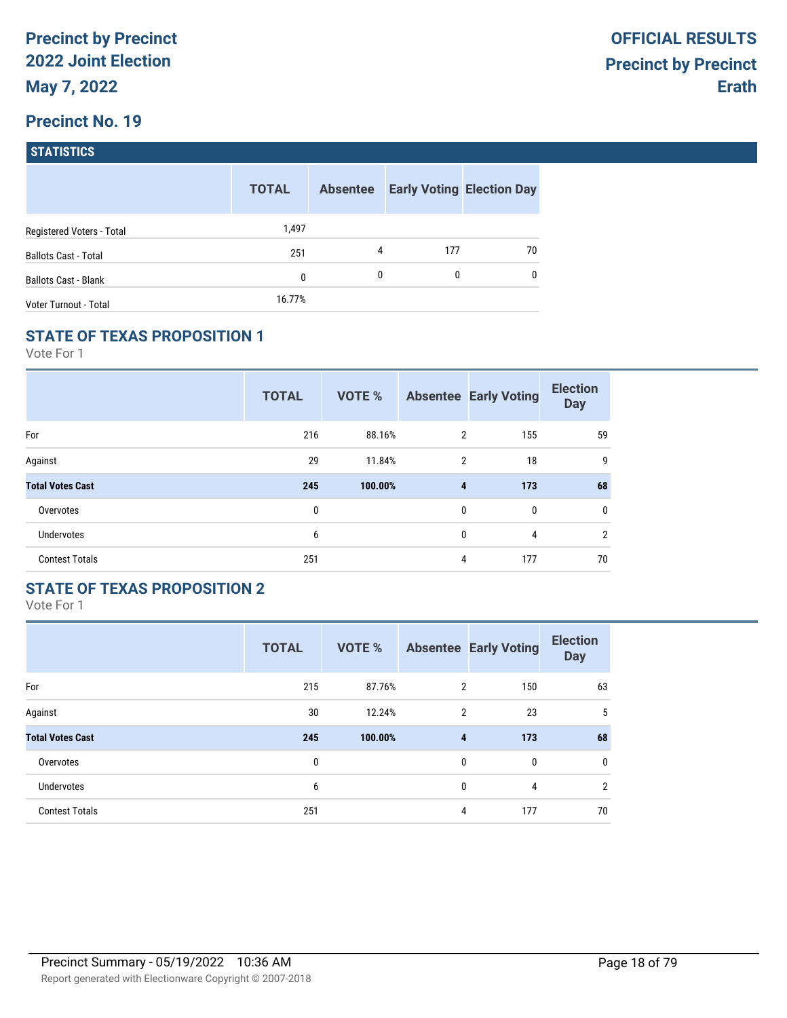| <b>STATISTICS</b> |  |
|-------------------|--|
|                   |  |

|                             | <b>TOTAL</b> | <b>Absentee</b> |     | <b>Early Voting Election Day</b> |
|-----------------------------|--------------|-----------------|-----|----------------------------------|
| Registered Voters - Total   | 1,497        |                 |     |                                  |
| <b>Ballots Cast - Total</b> | 251          | 4               | 177 | 70                               |
| <b>Ballots Cast - Blank</b> | 0            | $\mathbf{0}$    | 0   | $\mathbf{0}$                     |
| Voter Turnout - Total       | 16.77%       |                 |     |                                  |

### **STATE OF TEXAS PROPOSITION 1**

Vote For 1

|                         | <b>TOTAL</b> | <b>VOTE %</b> |                | <b>Absentee Early Voting</b> | <b>Election</b><br><b>Day</b> |
|-------------------------|--------------|---------------|----------------|------------------------------|-------------------------------|
| For                     | 216          | 88.16%        | $\overline{2}$ | 155                          | 59                            |
| Against                 | 29           | 11.84%        | $\overline{2}$ | 18                           | 9                             |
| <b>Total Votes Cast</b> | 245          | 100.00%       | 4              | 173                          | 68                            |
| Overvotes               | 0            |               | 0              | 0                            | 0                             |
| <b>Undervotes</b>       | 6            |               | 0              | 4                            | $\overline{2}$                |
| <b>Contest Totals</b>   | 251          |               | 4              | 177                          | 70                            |

## **STATE OF TEXAS PROPOSITION 2**

|                         | <b>TOTAL</b> | <b>VOTE %</b> |                | <b>Absentee Early Voting</b> | <b>Election</b><br><b>Day</b> |
|-------------------------|--------------|---------------|----------------|------------------------------|-------------------------------|
| For                     | 215          | 87.76%        | $\overline{2}$ | 150                          | 63                            |
| Against                 | 30           | 12.24%        | $\overline{2}$ | 23                           | 5                             |
| <b>Total Votes Cast</b> | 245          | 100.00%       | 4              | 173                          | 68                            |
| Overvotes               | $\mathbf{0}$ |               | $\mathbf{0}$   | $\mathbf{0}$                 | 0                             |
| Undervotes              | 6            |               | 0              | 4                            | $\overline{2}$                |
| <b>Contest Totals</b>   | 251          |               | 4              | 177                          | 70                            |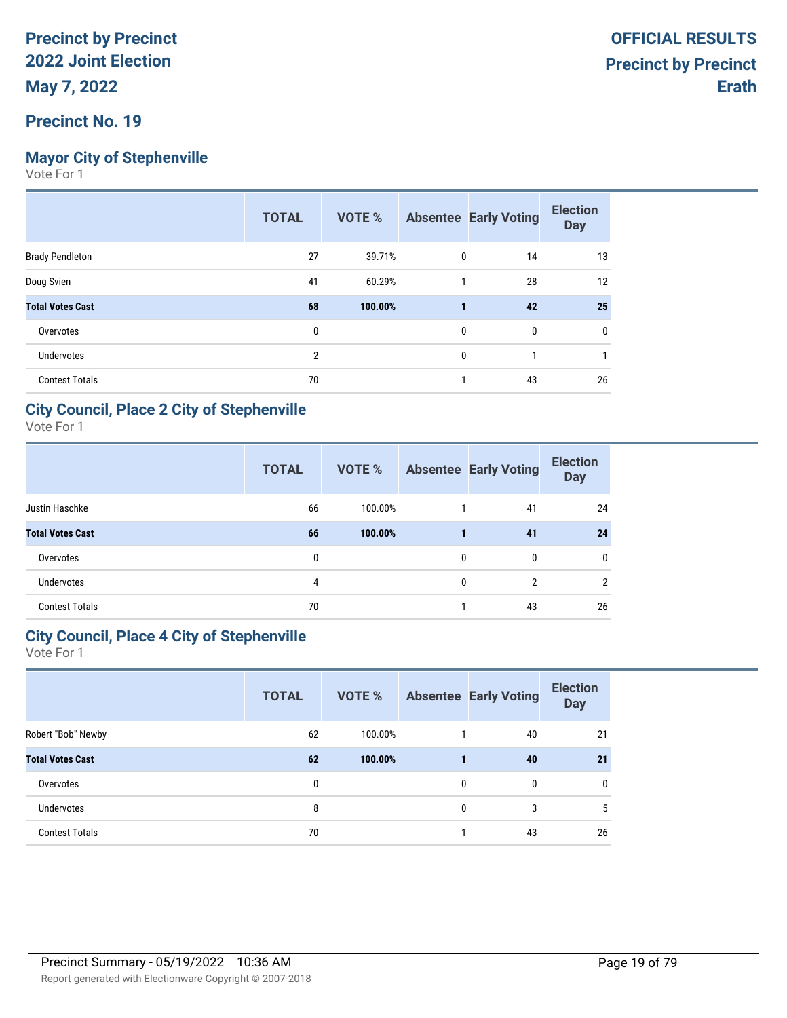# **Mayor City of Stephenville**

Vote For 1

|                         | <b>TOTAL</b>   | <b>VOTE %</b> |              | <b>Absentee Early Voting</b> | <b>Election</b><br><b>Day</b> |
|-------------------------|----------------|---------------|--------------|------------------------------|-------------------------------|
| <b>Brady Pendleton</b>  | 27             | 39.71%        | 0            | 14                           | 13                            |
| Doug Svien              | 41             | 60.29%        | 1            | 28                           | 12                            |
| <b>Total Votes Cast</b> | 68             | 100.00%       | 1            | 42                           | 25                            |
| Overvotes               | 0              |               | 0            | 0                            | 0                             |
| <b>Undervotes</b>       | $\overline{2}$ |               | $\mathbf{0}$ |                              |                               |
| <b>Contest Totals</b>   | 70             |               | 1            | 43                           | 26                            |

### **City Council, Place 2 City of Stephenville**

Vote For 1

|                         | <b>TOTAL</b> | VOTE %  |   | <b>Absentee Early Voting</b> | <b>Election</b><br><b>Day</b> |
|-------------------------|--------------|---------|---|------------------------------|-------------------------------|
| Justin Haschke          | 66           | 100.00% |   | 41                           | 24                            |
| <b>Total Votes Cast</b> | 66           | 100.00% |   | 41                           | 24                            |
| Overvotes               | 0            |         | 0 | 0                            | $\mathbf{0}$                  |
| <b>Undervotes</b>       | 4            |         | 0 | $\overline{2}$               | 2                             |
| <b>Contest Totals</b>   | 70           |         |   | 43                           | 26                            |

## **City Council, Place 4 City of Stephenville**

|                         | <b>TOTAL</b> | <b>VOTE %</b> |              | <b>Absentee Early Voting</b> | <b>Election</b><br><b>Day</b> |
|-------------------------|--------------|---------------|--------------|------------------------------|-------------------------------|
| Robert "Bob" Newby      | 62           | 100.00%       |              | 40                           | 21                            |
| <b>Total Votes Cast</b> | 62           | 100.00%       |              | 40                           | 21                            |
| Overvotes               | 0            |               | $\mathbf{0}$ | $\mathbf{0}$                 | $\mathbf{0}$                  |
| <b>Undervotes</b>       | 8            |               | $\mathbf{0}$ | 3                            | 5                             |
| <b>Contest Totals</b>   | 70           |               |              | 43                           | 26                            |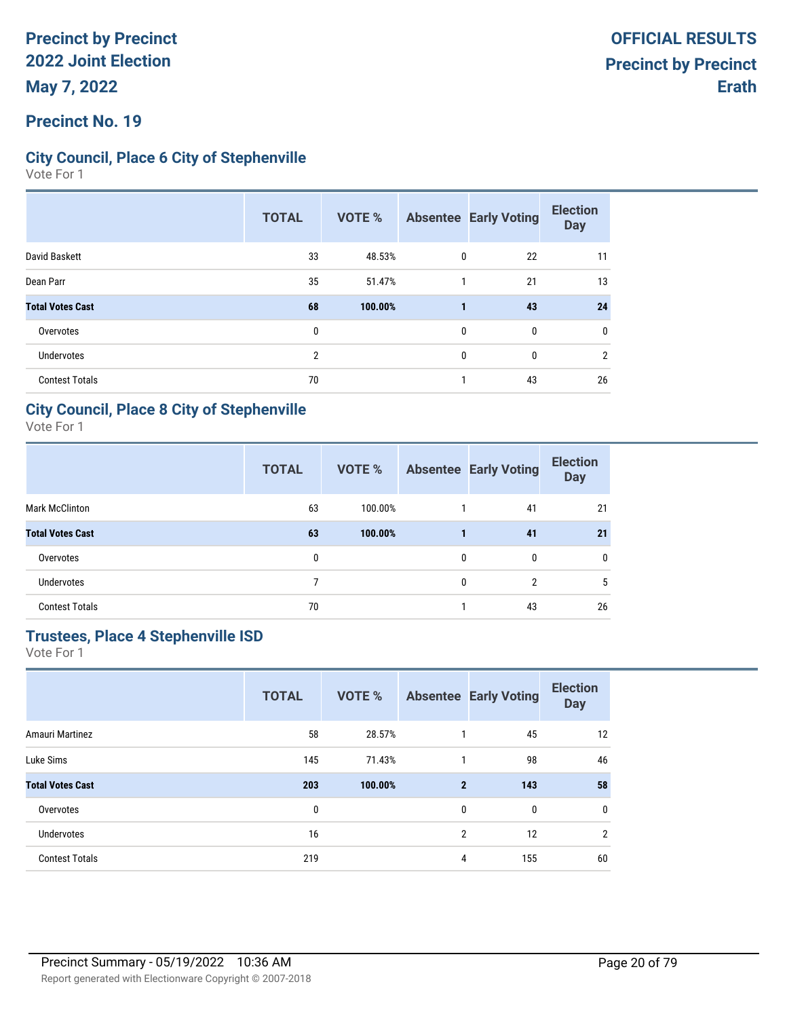### **Precinct No. 19**

### **City Council, Place 6 City of Stephenville**

Vote For 1

|                         | <b>TOTAL</b>   | VOTE %  |              | <b>Absentee Early Voting</b> | <b>Election</b><br><b>Day</b> |
|-------------------------|----------------|---------|--------------|------------------------------|-------------------------------|
| David Baskett           | 33             | 48.53%  | $\mathbf 0$  | 22                           | 11                            |
| Dean Parr               | 35             | 51.47%  | 1            | 21                           | 13                            |
| <b>Total Votes Cast</b> | 68             | 100.00% |              | 43                           | 24                            |
| Overvotes               | 0              |         | $\mathbf{0}$ | $\mathbf{0}$                 | 0                             |
| <b>Undervotes</b>       | $\overline{2}$ |         | $\mathbf{0}$ | $\mathbf{0}$                 | $\overline{2}$                |
| <b>Contest Totals</b>   | 70             |         |              | 43                           | 26                            |

### **City Council, Place 8 City of Stephenville**

Vote For 1

|                         | <b>TOTAL</b> | VOTE %  |              | <b>Absentee Early Voting</b> | <b>Election</b><br><b>Day</b> |
|-------------------------|--------------|---------|--------------|------------------------------|-------------------------------|
| <b>Mark McClinton</b>   | 63           | 100.00% |              | 41                           | 21                            |
| <b>Total Votes Cast</b> | 63           | 100.00% |              | 41                           | 21                            |
| Overvotes               | 0            |         | 0            | $\mathbf{0}$                 | $\mathbf{0}$                  |
| <b>Undervotes</b>       |              |         | $\mathbf{0}$ | $\overline{2}$               | 5                             |
| <b>Contest Totals</b>   | 70           |         |              | 43                           | 26                            |

# **Trustees, Place 4 Stephenville ISD**

|                         | <b>TOTAL</b> | <b>VOTE %</b> |                | <b>Absentee Early Voting</b> | <b>Election</b><br><b>Day</b> |
|-------------------------|--------------|---------------|----------------|------------------------------|-------------------------------|
| Amauri Martinez         | 58           | 28.57%        | 1              | 45                           | 12                            |
| Luke Sims               | 145          | 71.43%        | $\mathbf{1}$   | 98                           | 46                            |
| <b>Total Votes Cast</b> | 203          | 100.00%       | $\mathbf{2}$   | 143                          | 58                            |
| Overvotes               | 0            |               | 0              | 0                            | $\mathbf 0$                   |
| <b>Undervotes</b>       | 16           |               | $\overline{2}$ | 12                           | $\overline{2}$                |
| <b>Contest Totals</b>   | 219          |               | 4              | 155                          | 60                            |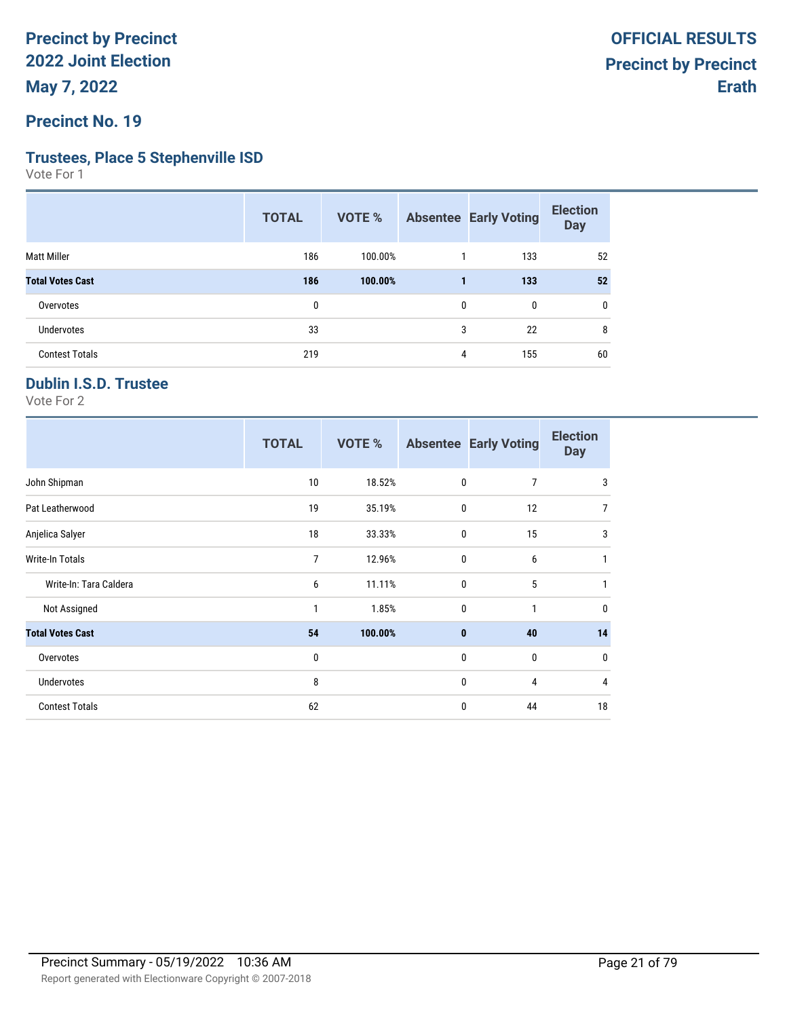**Precinct No. 19**

#### **Trustees, Place 5 Stephenville ISD**

Vote For 1

| <b>TOTAL</b> | <b>VOTE %</b> |   |     | <b>Election</b><br><b>Day</b> |
|--------------|---------------|---|-----|-------------------------------|
| 186          | 100.00%       |   | 133 | 52                            |
| 186          | 100.00%       |   | 133 | 52                            |
| 0            |               | 0 | 0   | $\mathbf{0}$                  |
| 33           |               | 3 | 22  | 8                             |
| 219          |               | 4 | 155 | 60                            |
|              |               |   |     | <b>Absentee Early Voting</b>  |

## **Dublin I.S.D. Trustee**

|                         | <b>TOTAL</b>   | VOTE %  |              | <b>Absentee Early Voting</b> | <b>Election</b><br><b>Day</b> |
|-------------------------|----------------|---------|--------------|------------------------------|-------------------------------|
| John Shipman            | 10             | 18.52%  | 0            | 7                            | 3                             |
| Pat Leatherwood         | 19             | 35.19%  | 0            | 12                           | $\overline{7}$                |
| Anjelica Salyer         | 18             | 33.33%  | 0            | 15                           | 3                             |
| Write-In Totals         | $\overline{7}$ | 12.96%  | 0            | 6                            | 1                             |
| Write-In: Tara Caldera  | 6              | 11.11%  | $\mathbf 0$  | 5                            | 1                             |
| Not Assigned            | 1              | 1.85%   | $\mathbf 0$  | $\mathbf{1}$                 | $\mathbf 0$                   |
| <b>Total Votes Cast</b> | 54             | 100.00% | $\mathbf{0}$ | 40                           | 14                            |
| Overvotes               | 0              |         | 0            | 0                            | $\mathbf 0$                   |
| Undervotes              | 8              |         | 0            | 4                            | $\overline{4}$                |
| <b>Contest Totals</b>   | 62             |         | 0            | 44                           | 18                            |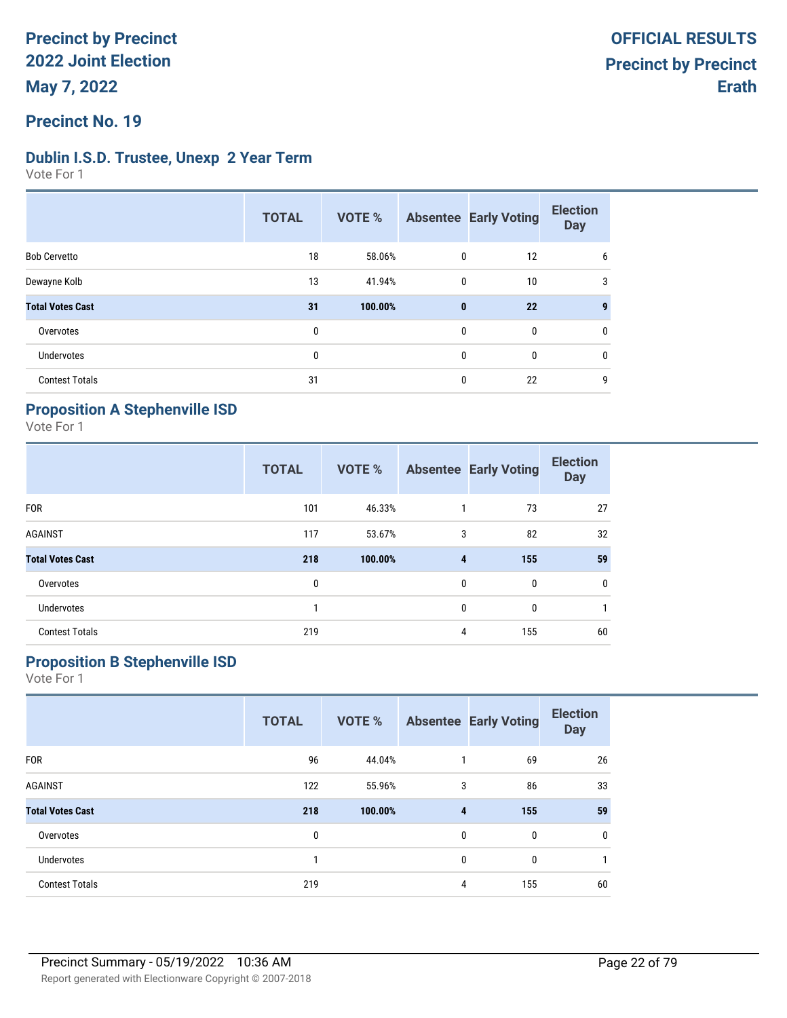### **Precinct No. 19**

### **Dublin I.S.D. Trustee, Unexp 2 Year Term**

Vote For 1

|                         | <b>TOTAL</b> | <b>VOTE %</b> |              | <b>Absentee Early Voting</b> | <b>Election</b><br><b>Day</b> |
|-------------------------|--------------|---------------|--------------|------------------------------|-------------------------------|
| <b>Bob Cervetto</b>     | 18           | 58.06%        | $\mathbf{0}$ | 12                           | 6                             |
| Dewayne Kolb            | 13           | 41.94%        | $\mathbf{0}$ | 10                           | 3                             |
| <b>Total Votes Cast</b> | 31           | 100.00%       | $\mathbf{0}$ | 22                           |                               |
| Overvotes               | $\mathbf{0}$ |               | $\mathbf{0}$ | 0                            | 0                             |
| <b>Undervotes</b>       | $\mathbf{0}$ |               | $\mathbf{0}$ | 0                            | 0                             |
| <b>Contest Totals</b>   | 31           |               | $\mathbf{0}$ | 22                           | 9                             |

### **Proposition A Stephenville ISD**

Vote For 1

|                         | <b>TOTAL</b> | <b>VOTE %</b> |                | <b>Absentee Early Voting</b> | <b>Election</b><br><b>Day</b> |
|-------------------------|--------------|---------------|----------------|------------------------------|-------------------------------|
| <b>FOR</b>              | 101          | 46.33%        | 1              | 73                           | 27                            |
| <b>AGAINST</b>          | 117          | 53.67%        | 3              | 82                           | 32                            |
| <b>Total Votes Cast</b> | 218          | 100.00%       | $\overline{4}$ | 155                          | 59                            |
| Overvotes               | 0            |               | $\mathbf{0}$   | $\mathbf{0}$                 | 0                             |
| Undervotes              |              |               | $\mathbf{0}$   | 0                            |                               |
| <b>Contest Totals</b>   | 219          |               | 4              | 155                          | 60                            |

## **Proposition B Stephenville ISD**

|                         | <b>TOTAL</b> | VOTE %  |              | <b>Absentee Early Voting</b> | <b>Election</b><br><b>Day</b> |
|-------------------------|--------------|---------|--------------|------------------------------|-------------------------------|
| <b>FOR</b>              | 96           | 44.04%  | 1            | 69                           | 26                            |
| <b>AGAINST</b>          | 122          | 55.96%  | 3            | 86                           | 33                            |
| <b>Total Votes Cast</b> | 218          | 100.00% | 4            | 155                          | 59                            |
| Overvotes               | $\mathbf 0$  |         | $\mathbf{0}$ | 0                            | 0                             |
| <b>Undervotes</b>       | 1            |         | $\mathbf{0}$ | $\mathbf{0}$                 |                               |
| <b>Contest Totals</b>   | 219          |         | 4            | 155                          | 60                            |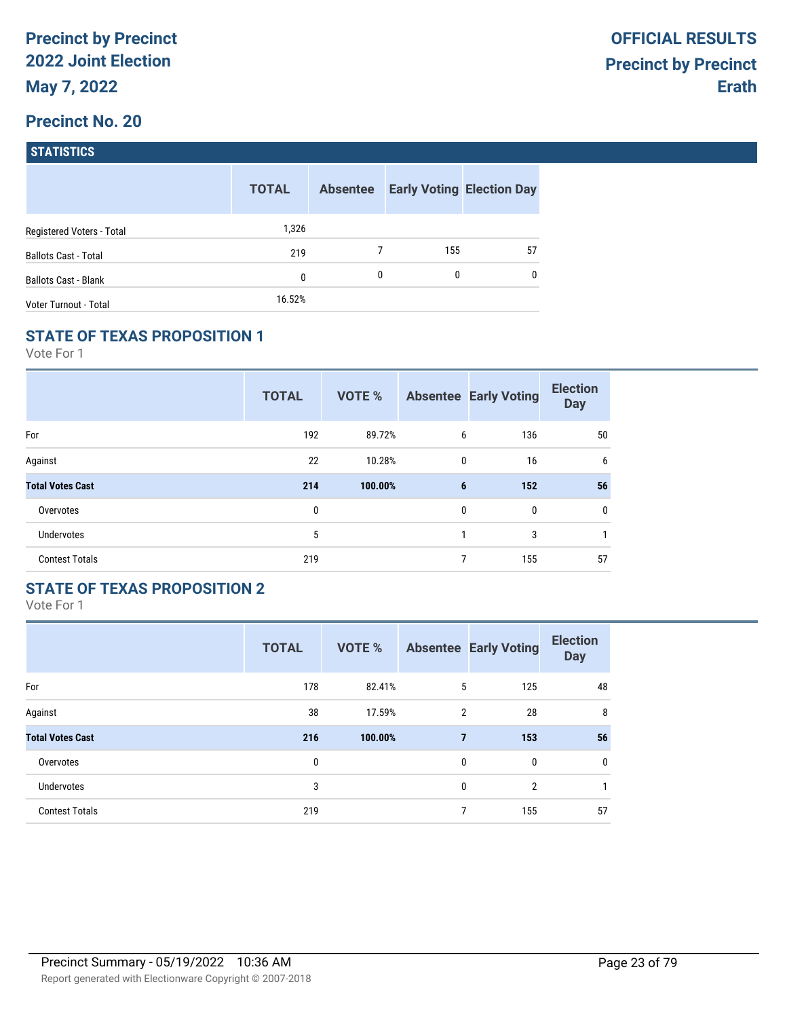| <b>STATISTICS</b> |
|-------------------|
|                   |

|                             | <b>TOTAL</b> | <b>Absentee</b> |     | <b>Early Voting Election Day</b> |
|-----------------------------|--------------|-----------------|-----|----------------------------------|
| Registered Voters - Total   | 1,326        |                 |     |                                  |
| <b>Ballots Cast - Total</b> | 219          |                 | 155 | 57                               |
| <b>Ballots Cast - Blank</b> | 0            | 0               | 0   | $\mathbf{0}$                     |
| Voter Turnout - Total       | 16.52%       |                 |     |                                  |

### **STATE OF TEXAS PROPOSITION 1**

Vote For 1

|                         | <b>TOTAL</b> | <b>VOTE %</b> |                | <b>Absentee Early Voting</b> | <b>Election</b><br><b>Day</b> |
|-------------------------|--------------|---------------|----------------|------------------------------|-------------------------------|
| For                     | 192          | 89.72%        | 6              | 136                          | 50                            |
| Against                 | 22           | 10.28%        | 0              | 16                           | 6                             |
| <b>Total Votes Cast</b> | 214          | 100.00%       | $6\phantom{1}$ | 152                          | 56                            |
| Overvotes               | 0            |               | 0              | 0                            | 0                             |
| <b>Undervotes</b>       | 5            |               | 1              | 3                            | 1                             |
| <b>Contest Totals</b>   | 219          |               | $\overline{7}$ | 155                          | 57                            |

## **STATE OF TEXAS PROPOSITION 2**

|                         | <b>TOTAL</b> | <b>VOTE %</b> |                | <b>Absentee Early Voting</b> | <b>Election</b><br><b>Day</b> |
|-------------------------|--------------|---------------|----------------|------------------------------|-------------------------------|
| For                     | 178          | 82.41%        | 5              | 125                          | 48                            |
| Against                 | 38           | 17.59%        | $\overline{2}$ | 28                           | 8                             |
| <b>Total Votes Cast</b> | 216          | 100.00%       | $\overline{7}$ | 153                          | 56                            |
| Overvotes               | 0            |               | $\mathbf{0}$   | $\mathbf{0}$                 | 0                             |
| Undervotes              | 3            |               | $\mathbf{0}$   | $\overline{2}$               | $\mathbf{1}$                  |
| <b>Contest Totals</b>   | 219          |               | 7              | 155                          | 57                            |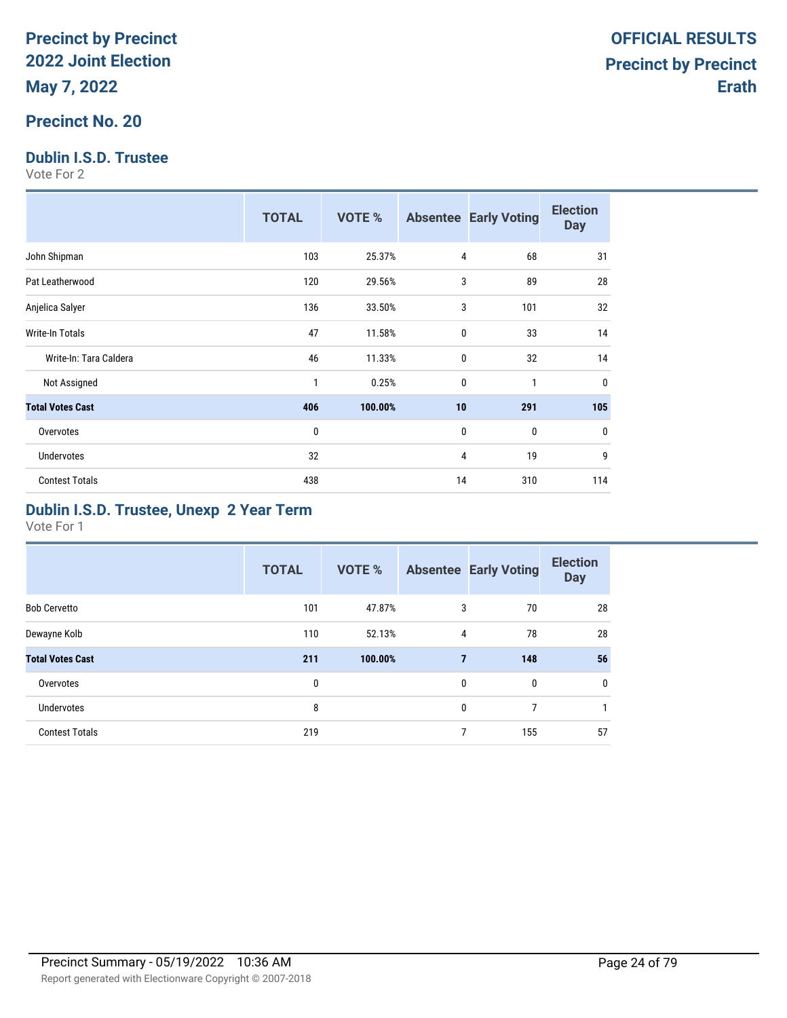### **Precinct No. 20**

## **Dublin I.S.D. Trustee**

Vote For 2

|                         | <b>TOTAL</b> | VOTE %  |              | <b>Absentee Early Voting</b> | <b>Election</b><br><b>Day</b> |
|-------------------------|--------------|---------|--------------|------------------------------|-------------------------------|
| John Shipman            | 103          | 25.37%  | 4            | 68                           | 31                            |
| Pat Leatherwood         | 120          | 29.56%  | 3            | 89                           | 28                            |
| Anjelica Salyer         | 136          | 33.50%  | 3            | 101                          | 32                            |
| <b>Write-In Totals</b>  | 47           | 11.58%  | $\mathbf 0$  | 33                           | 14                            |
| Write-In: Tara Caldera  | 46           | 11.33%  | $\mathbf{0}$ | 32                           | 14                            |
| Not Assigned            | 1            | 0.25%   | $\mathbf{0}$ | 1                            | 0                             |
| <b>Total Votes Cast</b> | 406          | 100.00% | 10           | 291                          | 105                           |
| Overvotes               | $\bf{0}$     |         | 0            | 0                            | 0                             |
| <b>Undervotes</b>       | 32           |         | 4            | 19                           | 9                             |
| <b>Contest Totals</b>   | 438          |         | 14           | 310                          | 114                           |

### **Dublin I.S.D. Trustee, Unexp 2 Year Term**

|                         | <b>TOTAL</b> | <b>VOTE %</b> |                | <b>Absentee Early Voting</b> | <b>Election</b><br><b>Day</b> |
|-------------------------|--------------|---------------|----------------|------------------------------|-------------------------------|
| <b>Bob Cervetto</b>     | 101          | 47.87%        | 3              | 70                           | 28                            |
| Dewayne Kolb            | 110          | 52.13%        | 4              | 78                           | 28                            |
| <b>Total Votes Cast</b> | 211          | 100.00%       | $\overline{7}$ | 148                          | 56                            |
| Overvotes               | 0            |               | 0              | $\mathbf{0}$                 | $\mathbf 0$                   |
| Undervotes              | 8            |               | $\mathbf{0}$   | 7                            |                               |
| <b>Contest Totals</b>   | 219          |               | $\overline{ }$ | 155                          | 57                            |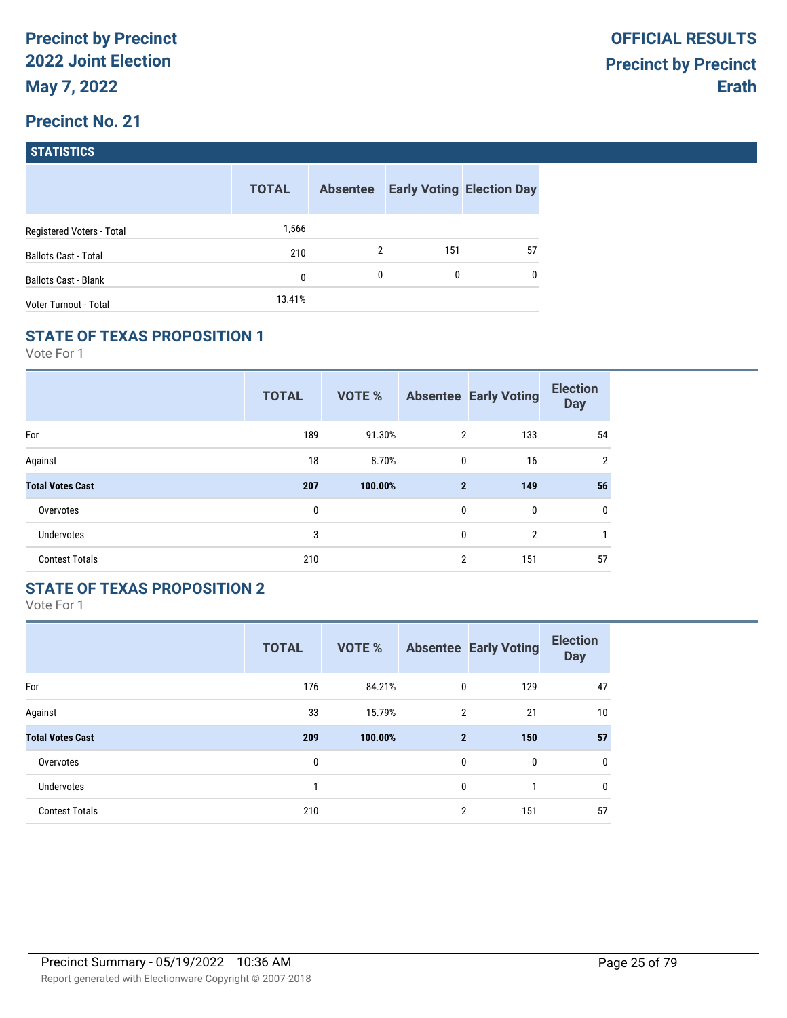| <b>STATISTICS</b> |  |
|-------------------|--|
|                   |  |

|                             | <b>TOTAL</b> | <b>Absentee</b> |              | <b>Early Voting Election Day</b> |
|-----------------------------|--------------|-----------------|--------------|----------------------------------|
| Registered Voters - Total   | 1,566        |                 |              |                                  |
| <b>Ballots Cast - Total</b> | 210          | 2               | 151          | 57                               |
| <b>Ballots Cast - Blank</b> | 0            | 0               | $\mathbf{0}$ | $\mathbf{0}$                     |
| Voter Turnout - Total       | 13.41%       |                 |              |                                  |

#### **STATE OF TEXAS PROPOSITION 1**

Vote For 1

|                         | <b>TOTAL</b> | VOTE %  |                | <b>Absentee Early Voting</b> | <b>Election</b><br><b>Day</b> |
|-------------------------|--------------|---------|----------------|------------------------------|-------------------------------|
| For                     | 189          | 91.30%  | $\overline{2}$ | 133                          | 54                            |
| Against                 | 18           | 8.70%   | 0              | 16                           | $\overline{2}$                |
| <b>Total Votes Cast</b> | 207          | 100.00% | $\mathbf{2}$   | 149                          | 56                            |
| Overvotes               | 0            |         | 0              | 0                            | 0                             |
| <b>Undervotes</b>       | 3            |         | 0              | $\overline{2}$               | 1                             |
| <b>Contest Totals</b>   | 210          |         | $\overline{2}$ | 151                          | 57                            |

## **STATE OF TEXAS PROPOSITION 2**

|                         | <b>TOTAL</b> | <b>VOTE %</b> |                | <b>Absentee Early Voting</b> | <b>Election</b><br><b>Day</b> |
|-------------------------|--------------|---------------|----------------|------------------------------|-------------------------------|
| For                     | 176          | 84.21%        | $\mathbf{0}$   | 129                          | 47                            |
| Against                 | 33           | 15.79%        | 2              | 21                           | 10                            |
| <b>Total Votes Cast</b> | 209          | 100.00%       | $\overline{2}$ | 150                          | 57                            |
| Overvotes               | 0            |               | $\mathbf{0}$   | $\mathbf{0}$                 | 0                             |
| Undervotes              | 1            |               | $\mathbf{0}$   | 1                            | 0                             |
| <b>Contest Totals</b>   | 210          |               | $\overline{2}$ | 151                          | 57                            |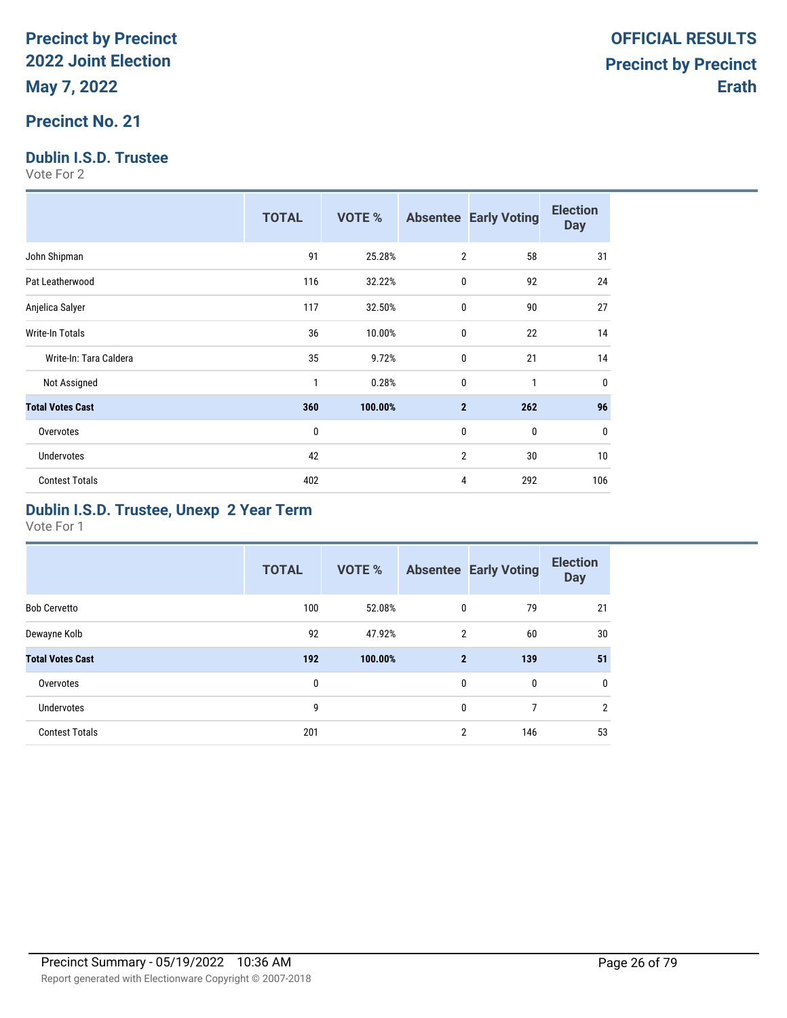## **Precinct No. 21**

## **Dublin I.S.D. Trustee**

Vote For 2

|                         | <b>TOTAL</b> | <b>VOTE %</b> |                | <b>Absentee Early Voting</b> | <b>Election</b><br><b>Day</b> |
|-------------------------|--------------|---------------|----------------|------------------------------|-------------------------------|
| John Shipman            | 91           | 25.28%        | $\overline{2}$ | 58                           | 31                            |
| Pat Leatherwood         | 116          | 32.22%        | 0              | 92                           | 24                            |
| Anjelica Salyer         | 117          | 32.50%        | $\mathbf{0}$   | 90                           | 27                            |
| <b>Write-In Totals</b>  | 36           | 10.00%        | $\mathbf{0}$   | 22                           | 14                            |
| Write-In: Tara Caldera  | 35           | 9.72%         | $\mathbf{0}$   | 21                           | 14                            |
| Not Assigned            | $\mathbf{1}$ | 0.28%         | 0              | 1                            | 0                             |
| <b>Total Votes Cast</b> | 360          | 100.00%       | $\mathbf{2}$   | 262                          | 96                            |
| Overvotes               | $\mathbf{0}$ |               | $\mathbf{0}$   | 0                            | 0                             |
| <b>Undervotes</b>       | 42           |               | $\overline{2}$ | 30                           | 10                            |
| <b>Contest Totals</b>   | 402          |               | 4              | 292                          | 106                           |

### **Dublin I.S.D. Trustee, Unexp 2 Year Term**

|                         | <b>TOTAL</b> | <b>VOTE %</b> |                | <b>Absentee Early Voting</b> | <b>Election</b><br><b>Day</b> |
|-------------------------|--------------|---------------|----------------|------------------------------|-------------------------------|
| <b>Bob Cervetto</b>     | 100          | 52.08%        | 0              | 79                           | 21                            |
| Dewayne Kolb            | 92           | 47.92%        | $\overline{2}$ | 60                           | 30                            |
| <b>Total Votes Cast</b> | 192          | 100.00%       | $\overline{2}$ | 139                          | 51                            |
| Overvotes               | 0            |               | $\mathbf{0}$   | $\mathbf{0}$                 | $\mathbf 0$                   |
| <b>Undervotes</b>       | 9            |               | $\mathbf{0}$   | 7                            | $\overline{2}$                |
| <b>Contest Totals</b>   | 201          |               | $\overline{2}$ | 146                          | 53                            |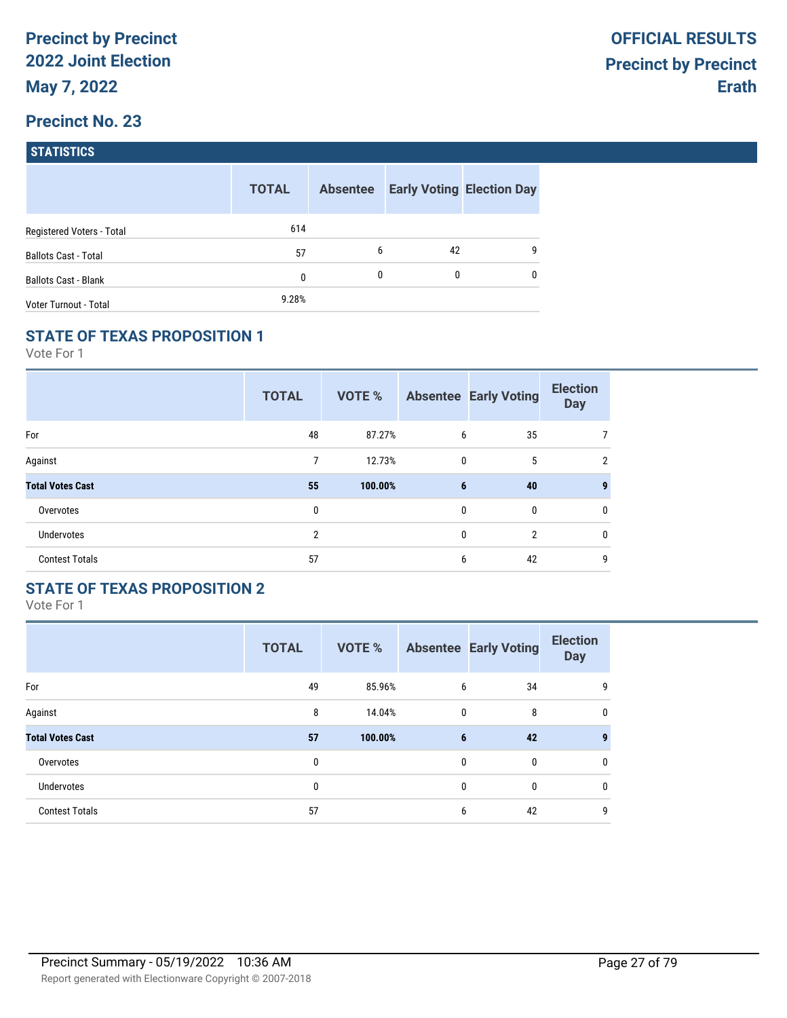| <b>STATISTICS</b> |
|-------------------|
|                   |

|                             | <b>TOTAL</b> | <b>Absentee</b> |    | <b>Early Voting Election Day</b> |
|-----------------------------|--------------|-----------------|----|----------------------------------|
| Registered Voters - Total   | 614          |                 |    |                                  |
| <b>Ballots Cast - Total</b> | 57           | 6               | 42 | 9                                |
| <b>Ballots Cast - Blank</b> | 0            | 0               | 0  | $\mathbf{0}$                     |
| Voter Turnout - Total       | 9.28%        |                 |    |                                  |

#### **STATE OF TEXAS PROPOSITION 1**

Vote For 1

|                         | <b>TOTAL</b>   | VOTE %  |             | <b>Absentee Early Voting</b> | <b>Election</b><br><b>Day</b> |
|-------------------------|----------------|---------|-------------|------------------------------|-------------------------------|
| For                     | 48             | 87.27%  | 6           | 35                           |                               |
| Against                 | 7              | 12.73%  | $\mathbf 0$ | 5                            | $\overline{2}$                |
| <b>Total Votes Cast</b> | 55             | 100.00% | 6           | 40                           | 9                             |
| Overvotes               | 0              |         | 0           | 0                            | $\mathbf{0}$                  |
| <b>Undervotes</b>       | $\overline{2}$ |         | 0           | $\overline{2}$               | $\mathbf{0}$                  |
| <b>Contest Totals</b>   | 57             |         | 6           | 42                           | 9                             |

## **STATE OF TEXAS PROPOSITION 2**

|                         | <b>TOTAL</b> | VOTE %  |              | <b>Absentee Early Voting</b> | <b>Election</b><br><b>Day</b> |
|-------------------------|--------------|---------|--------------|------------------------------|-------------------------------|
| For                     | 49           | 85.96%  | 6            | 34                           | 9                             |
| Against                 | 8            | 14.04%  | $\mathbf{0}$ | 8                            | 0                             |
| <b>Total Votes Cast</b> | 57           | 100.00% | 6            | 42                           | 9                             |
| Overvotes               | 0            |         | $\mathbf{0}$ | $\mathbf{0}$                 | 0                             |
| Undervotes              | 0            |         | $\mathbf{0}$ | $\mathbf{0}$                 | 0                             |
| <b>Contest Totals</b>   | 57           |         | 6            | 42                           | 9                             |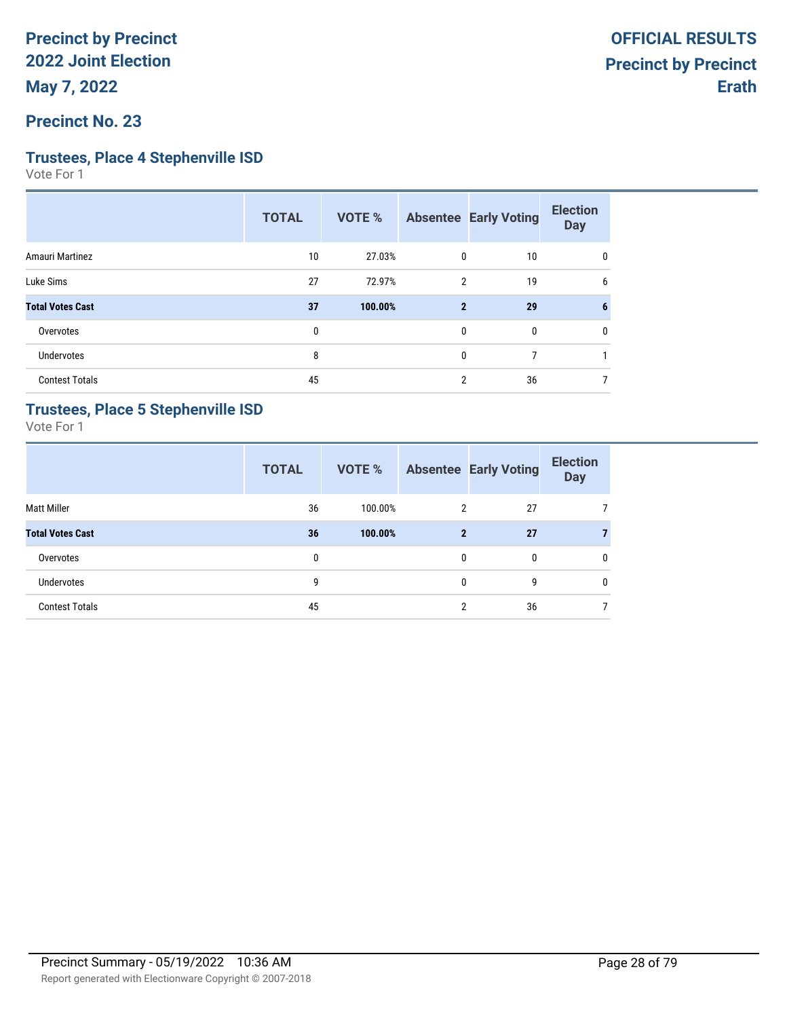#### **Precinct No. 23**

#### **Trustees, Place 4 Stephenville ISD**

Vote For 1

|                         | <b>TOTAL</b> | <b>VOTE %</b> |                | <b>Absentee Early Voting</b> | <b>Election</b><br><b>Day</b> |
|-------------------------|--------------|---------------|----------------|------------------------------|-------------------------------|
| Amauri Martinez         | 10           | 27.03%        | 0              | 10                           | 0                             |
| Luke Sims               | 27           | 72.97%        | 2              | 19                           | 6                             |
| <b>Total Votes Cast</b> | 37           | 100.00%       | $\overline{2}$ | 29                           | 6                             |
| Overvotes               | 0            |               | 0              | 0                            | 0                             |
| Undervotes              | 8            |               | 0              | 7                            |                               |
| <b>Contest Totals</b>   | 45           |               | $\overline{2}$ | 36                           |                               |

### **Trustees, Place 5 Stephenville ISD**

|                         | <b>TOTAL</b> | <b>VOTE %</b> |                | <b>Absentee Early Voting</b> | <b>Election</b><br><b>Day</b> |
|-------------------------|--------------|---------------|----------------|------------------------------|-------------------------------|
| <b>Matt Miller</b>      | 36           | 100.00%       | $\overline{2}$ | 27                           |                               |
| <b>Total Votes Cast</b> | 36           | 100.00%       | $\mathbf{2}$   | 27                           | 7                             |
| Overvotes               | $\mathbf{0}$ |               | 0              | 0                            | $\mathbf{0}$                  |
| Undervotes              | 9            |               | 0              | 9                            | $\mathbf{0}$                  |
| <b>Contest Totals</b>   | 45           |               | C              | 36                           |                               |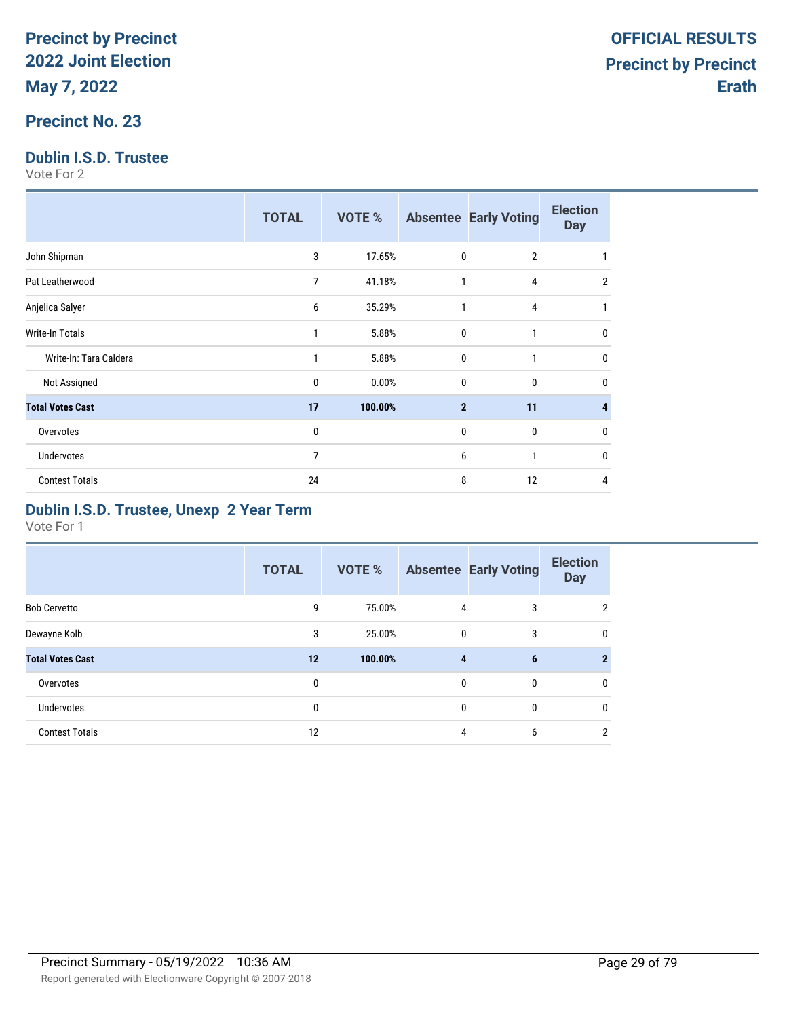### **Precinct No. 23**

### **Dublin I.S.D. Trustee**

Vote For 2

|                         | <b>TOTAL</b>   | <b>VOTE %</b> |                | <b>Absentee Early Voting</b> | <b>Election</b><br><b>Day</b> |
|-------------------------|----------------|---------------|----------------|------------------------------|-------------------------------|
| John Shipman            | 3              | 17.65%        | $\mathbf 0$    | $\overline{2}$               |                               |
| Pat Leatherwood         | 7              | 41.18%        | 1              | 4                            | 2                             |
| Anjelica Salyer         | 6              | 35.29%        | $\mathbf{1}$   | 4                            |                               |
| <b>Write-In Totals</b>  | 1              | 5.88%         | $\mathbf{0}$   | 1                            | $\Omega$                      |
| Write-In: Tara Caldera  | 1              | 5.88%         | $\mathbf 0$    | 1                            | $\Omega$                      |
| Not Assigned            | 0              | 0.00%         | $\mathbf 0$    | $\mathbf{0}$                 | 0                             |
| <b>Total Votes Cast</b> | 17             | 100.00%       | $\overline{2}$ | 11                           |                               |
| Overvotes               | 0              |               | $\mathbf 0$    | $\mathbf{0}$                 | $\Omega$                      |
| <b>Undervotes</b>       | $\overline{7}$ |               | 6              | 1                            | $\Omega$                      |
| <b>Contest Totals</b>   | 24             |               | 8              | 12                           | 4                             |

### **Dublin I.S.D. Trustee, Unexp 2 Year Term**

|                         | <b>TOTAL</b> | VOTE %  |              | <b>Absentee Early Voting</b> | <b>Election</b><br><b>Day</b> |
|-------------------------|--------------|---------|--------------|------------------------------|-------------------------------|
| <b>Bob Cervetto</b>     | 9            | 75.00%  | 4            | 3                            | $\mathfrak{p}$                |
| Dewayne Kolb            | 3            | 25.00%  | $\mathbf 0$  | 3                            | $\mathbf 0$                   |
| <b>Total Votes Cast</b> | 12           | 100.00% | 4            | 6                            | 2                             |
| Overvotes               | 0            |         | $\mathbf{0}$ | $\mathbf{0}$                 | 0                             |
| Undervotes              | 0            |         | $\mathbf{0}$ | $\mathbf{0}$                 | $\mathbf{0}$                  |
| <b>Contest Totals</b>   | 12           |         | 4            | 6                            | 2                             |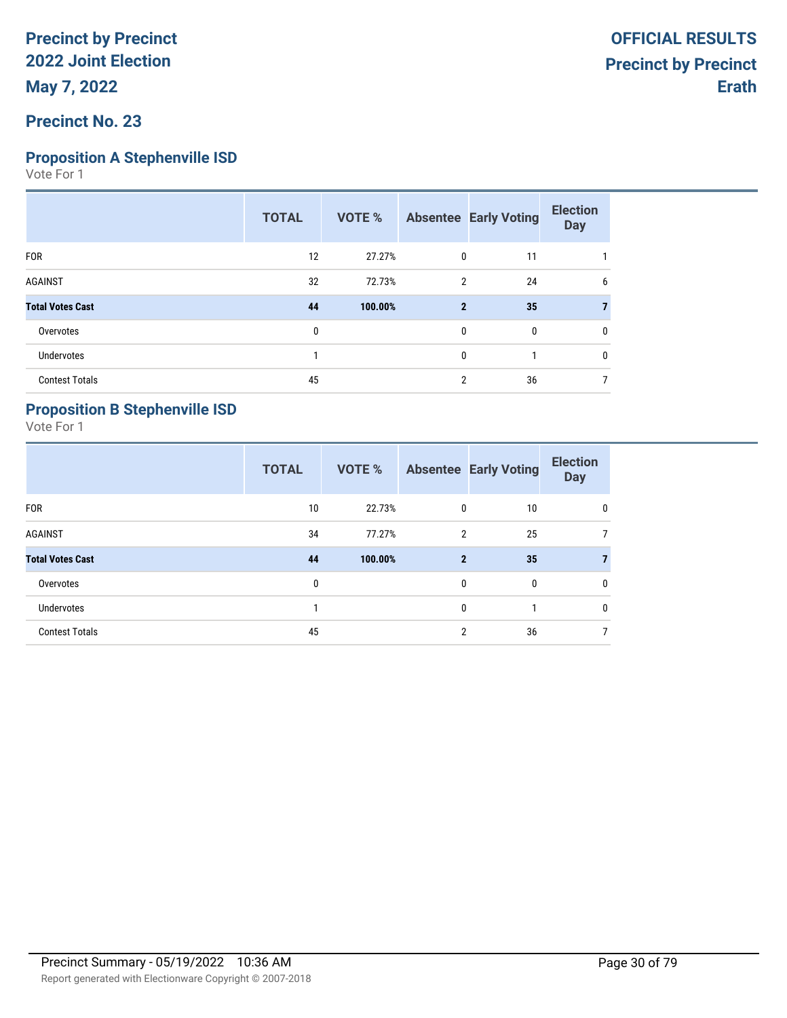# **Proposition A Stephenville ISD**

Vote For 1

|                         | <b>TOTAL</b> | <b>VOTE %</b> |              | <b>Absentee Early Voting</b> | <b>Election</b><br><b>Day</b> |
|-------------------------|--------------|---------------|--------------|------------------------------|-------------------------------|
| <b>FOR</b>              | 12           | 27.27%        | 0            | 11                           |                               |
| <b>AGAINST</b>          | 32           | 72.73%        | 2            | 24                           | 6                             |
| <b>Total Votes Cast</b> | 44           | 100.00%       | $\mathbf{2}$ | 35                           |                               |
| Overvotes               | 0            |               | 0            | 0                            | 0                             |
| <b>Undervotes</b>       |              |               | 0            |                              | $\mathbf{0}$                  |
| <b>Contest Totals</b>   | 45           |               | 2            | 36                           |                               |
|                         |              |               |              |                              |                               |

## **Proposition B Stephenville ISD**

|                         | <b>TOTAL</b> | <b>VOTE %</b> |                | <b>Absentee Early Voting</b> | <b>Election</b><br><b>Day</b> |
|-------------------------|--------------|---------------|----------------|------------------------------|-------------------------------|
| <b>FOR</b>              | 10           | 22.73%        | 0              | 10                           | 0                             |
| <b>AGAINST</b>          | 34           | 77.27%        | $\overline{2}$ | 25                           | 7                             |
| <b>Total Votes Cast</b> | 44           | 100.00%       | $\mathbf{2}$   | 35                           | $\mathbf{7}$                  |
| Overvotes               | 0            |               | 0              | $\mathbf{0}$                 | 0                             |
| <b>Undervotes</b>       |              |               | 0              |                              | $\mathbf{0}$                  |
| <b>Contest Totals</b>   | 45           |               | 2              | 36                           |                               |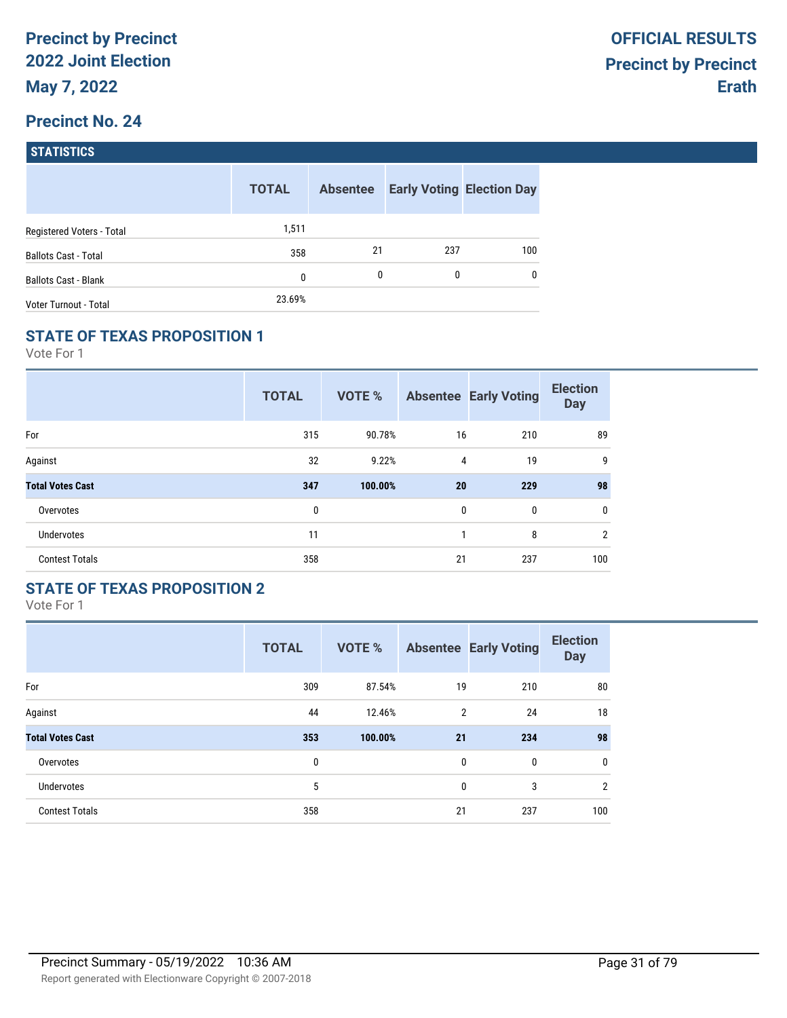| <b>STATISTICS</b> |  |
|-------------------|--|
|                   |  |

|                             | <b>TOTAL</b> | <b>Absentee</b> |     | <b>Early Voting Election Day</b> |
|-----------------------------|--------------|-----------------|-----|----------------------------------|
| Registered Voters - Total   | 1,511        |                 |     |                                  |
| <b>Ballots Cast - Total</b> | 358          | 21              | 237 | 100 <sub>1</sub>                 |
| <b>Ballots Cast - Blank</b> | $\mathbf{0}$ | 0               | 0   | $\mathbf{0}$                     |
| Voter Turnout - Total       | 23.69%       |                 |     |                                  |

### **STATE OF TEXAS PROPOSITION 1**

Vote For 1

|                         | <b>TOTAL</b> | <b>VOTE %</b> |              | <b>Absentee Early Voting</b> | <b>Election</b><br><b>Day</b> |
|-------------------------|--------------|---------------|--------------|------------------------------|-------------------------------|
| For                     | 315          | 90.78%        | 16           | 210                          | 89                            |
| Against                 | 32           | 9.22%         | 4            | 19                           | 9                             |
| <b>Total Votes Cast</b> | 347          | 100.00%       | 20           | 229                          | 98                            |
| Overvotes               | 0            |               | $\mathbf{0}$ | 0                            | 0                             |
| <b>Undervotes</b>       | 11           |               | 1            | 8                            | $\overline{2}$                |
| <b>Contest Totals</b>   | 358          |               | 21           | 237                          | 100                           |

## **STATE OF TEXAS PROPOSITION 2**

|                         | <b>TOTAL</b> | <b>VOTE %</b> |                | <b>Absentee Early Voting</b> | <b>Election</b><br><b>Day</b> |
|-------------------------|--------------|---------------|----------------|------------------------------|-------------------------------|
| For                     | 309          | 87.54%        | 19             | 210                          | 80                            |
| Against                 | 44           | 12.46%        | $\overline{2}$ | 24                           | 18                            |
| <b>Total Votes Cast</b> | 353          | 100.00%       | 21             | 234                          | 98                            |
| Overvotes               | 0            |               | $\mathbf{0}$   | $\mathbf{0}$                 | $\mathbf{0}$                  |
| Undervotes              | 5            |               | $\mathbf{0}$   | 3                            | 2                             |
| <b>Contest Totals</b>   | 358          |               | 21             | 237                          | 100                           |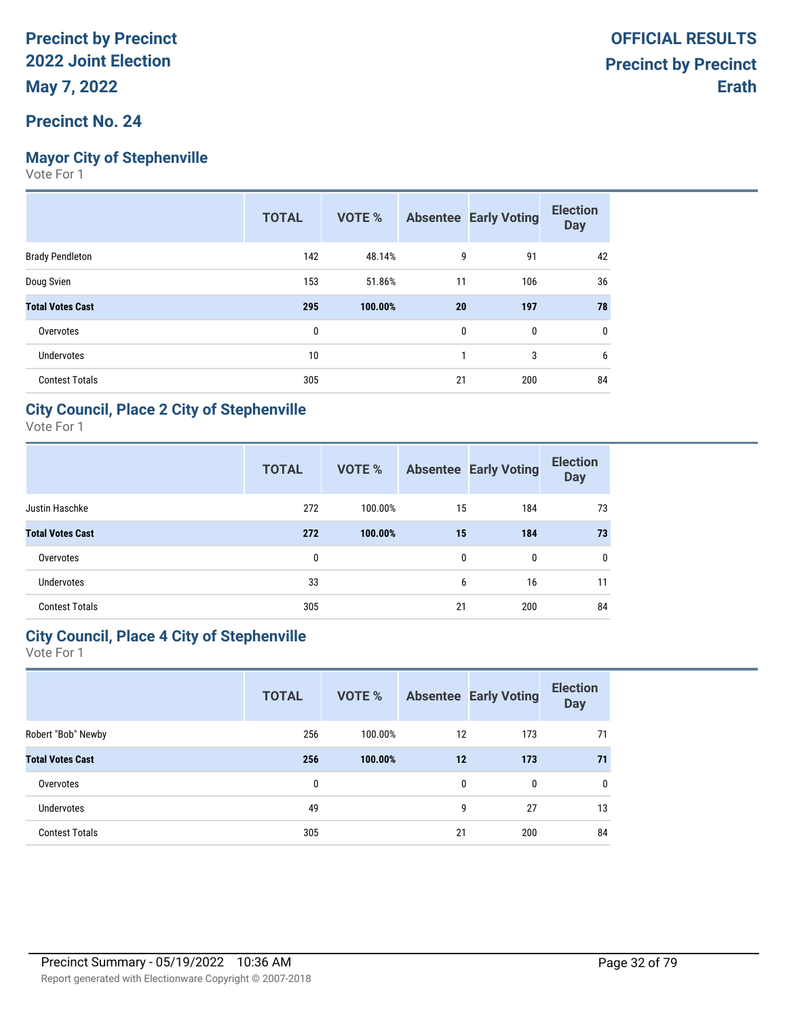### **Precinct No. 24**

## **Mayor City of Stephenville**

Vote For 1

|                         | <b>TOTAL</b> | <b>VOTE %</b> |    | <b>Absentee Early Voting</b> | <b>Election</b><br><b>Day</b> |
|-------------------------|--------------|---------------|----|------------------------------|-------------------------------|
| <b>Brady Pendleton</b>  | 142          | 48.14%        | 9  | 91                           | 42                            |
| Doug Svien              | 153          | 51.86%        | 11 | 106                          | 36                            |
| <b>Total Votes Cast</b> | 295          | 100.00%       | 20 | 197                          | 78                            |
| Overvotes               | 0            |               | 0  | 0                            | 0                             |
| <b>Undervotes</b>       | 10           |               | 1  | 3                            | 6                             |
| <b>Contest Totals</b>   | 305          |               | 21 | 200                          | 84                            |

### **City Council, Place 2 City of Stephenville**

Vote For 1

|                         | <b>TOTAL</b> | <b>VOTE %</b> |              | <b>Absentee Early Voting</b> | <b>Election</b><br><b>Day</b> |
|-------------------------|--------------|---------------|--------------|------------------------------|-------------------------------|
| Justin Haschke          | 272          | 100.00%       | 15           | 184                          | 73                            |
| <b>Total Votes Cast</b> | 272          | 100.00%       | 15           | 184                          | 73                            |
| Overvotes               | 0            |               | $\mathbf{0}$ | $\mathbf{0}$                 | $\mathbf{0}$                  |
| <b>Undervotes</b>       | 33           |               | 6            | 16                           | 11                            |
| <b>Contest Totals</b>   | 305          |               | 21           | 200                          | 84                            |

### **City Council, Place 4 City of Stephenville**

|                         | <b>TOTAL</b> | <b>VOTE %</b> |    | <b>Absentee Early Voting</b> | <b>Election</b><br><b>Day</b> |
|-------------------------|--------------|---------------|----|------------------------------|-------------------------------|
| Robert "Bob" Newby      | 256          | 100.00%       | 12 | 173                          | 71                            |
| <b>Total Votes Cast</b> | 256          | 100.00%       | 12 | 173                          | 71                            |
| Overvotes               | 0            |               | 0  | $\mathbf{0}$                 | $\mathbf{0}$                  |
| <b>Undervotes</b>       | 49           |               | 9  | 27                           | 13                            |
| <b>Contest Totals</b>   | 305          |               | 21 | 200                          | 84                            |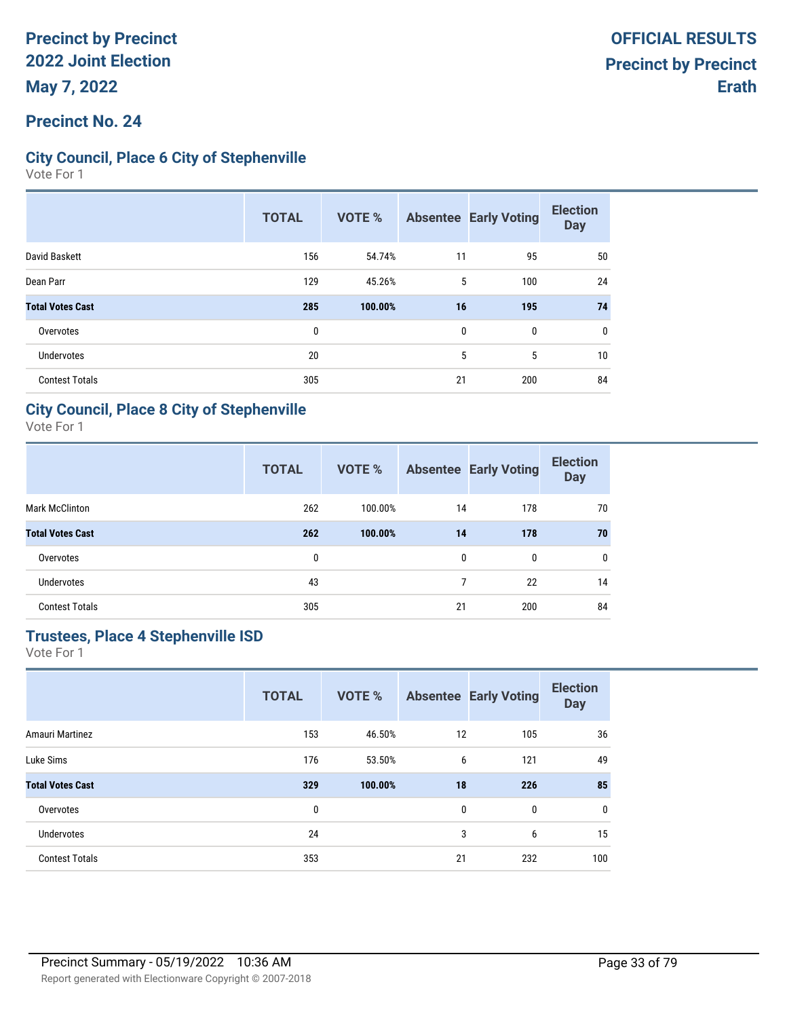### **Precinct No. 24**

### **City Council, Place 6 City of Stephenville**

Vote For 1

|                         | <b>TOTAL</b> | <b>VOTE %</b> |    | <b>Absentee Early Voting</b> | <b>Election</b><br><b>Day</b> |
|-------------------------|--------------|---------------|----|------------------------------|-------------------------------|
| David Baskett           | 156          | 54.74%        | 11 | 95                           | 50                            |
| Dean Parr               | 129          | 45.26%        | 5  | 100                          | 24                            |
| <b>Total Votes Cast</b> | 285          | 100.00%       | 16 | 195                          | 74                            |
| Overvotes               | 0            |               | 0  | 0                            | 0                             |
| Undervotes              | 20           |               | 5  | 5                            | 10                            |
| <b>Contest Totals</b>   | 305          |               | 21 | 200                          | 84                            |

### **City Council, Place 8 City of Stephenville**

Vote For 1

|                         | <b>TOTAL</b> | <b>VOTE %</b> |              | <b>Absentee Early Voting</b> | <b>Election</b><br><b>Day</b> |
|-------------------------|--------------|---------------|--------------|------------------------------|-------------------------------|
| <b>Mark McClinton</b>   | 262          | 100.00%       | 14           | 178                          | 70                            |
| <b>Total Votes Cast</b> | 262          | 100.00%       | 14           | 178                          | 70                            |
| Overvotes               | 0            |               | $\mathbf{0}$ | $\mathbf{0}$                 | $\mathbf{0}$                  |
| <b>Undervotes</b>       | 43           |               | 7            | 22                           | 14                            |
| <b>Contest Totals</b>   | 305          |               | 21           | 200                          | 84                            |

### **Trustees, Place 4 Stephenville ISD**

|                         | <b>TOTAL</b> | <b>VOTE %</b> | <b>Absentee</b> | <b>Early Voting</b> | <b>Election</b><br><b>Day</b> |
|-------------------------|--------------|---------------|-----------------|---------------------|-------------------------------|
| Amauri Martinez         | 153          | 46.50%        | 12              | 105                 | 36                            |
| Luke Sims               | 176          | 53.50%        | 6               | 121                 | 49                            |
| <b>Total Votes Cast</b> | 329          | 100.00%       | 18              | 226                 | 85                            |
| Overvotes               | 0            |               | 0               | 0                   | 0                             |
| <b>Undervotes</b>       | 24           |               | 3               | 6                   | 15                            |
| <b>Contest Totals</b>   | 353          |               | 21              | 232                 | 100                           |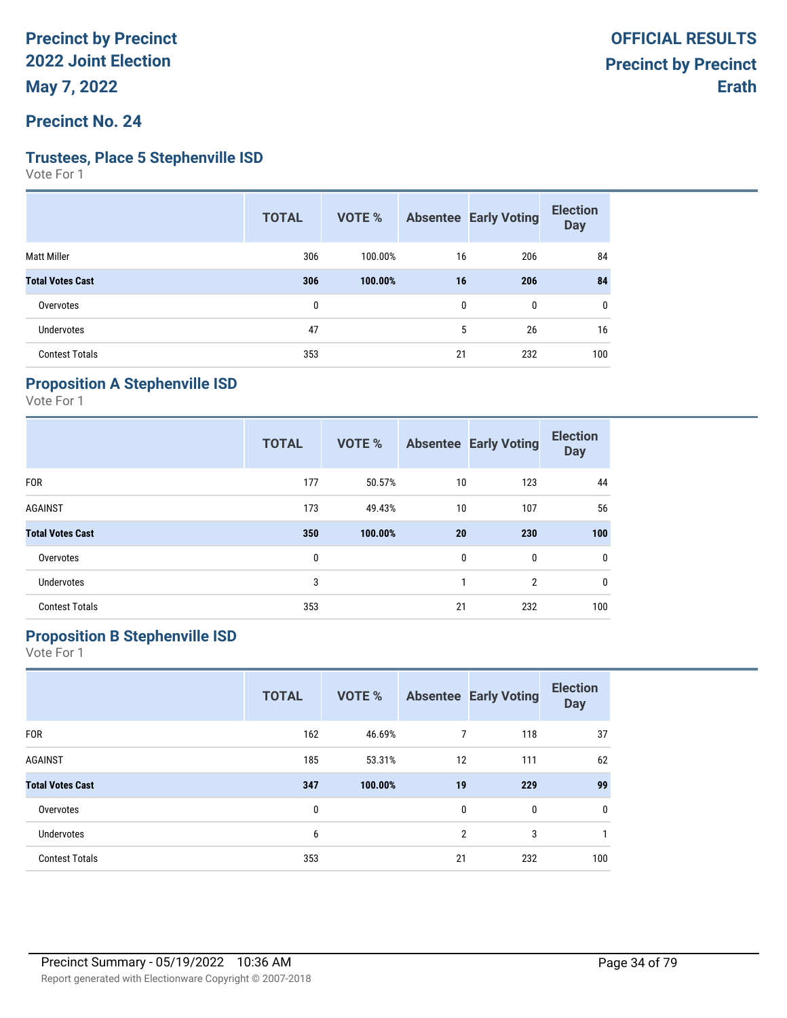#### **Precinct No. 24**

#### **Trustees, Place 5 Stephenville ISD**

Vote For 1

|                         | <b>TOTAL</b> | VOTE %  |    | <b>Absentee Early Voting</b> | <b>Election</b><br><b>Day</b> |
|-------------------------|--------------|---------|----|------------------------------|-------------------------------|
| <b>Matt Miller</b>      | 306          | 100.00% | 16 | 206                          | 84                            |
| <b>Total Votes Cast</b> | 306          | 100.00% | 16 | 206                          | 84                            |
| Overvotes               | 0            |         | 0  | 0                            | 0                             |
| <b>Undervotes</b>       | 47           |         | 5  | 26                           | 16                            |
| <b>Contest Totals</b>   | 353          |         | 21 | 232                          | 100                           |
|                         |              |         |    |                              |                               |

## **Proposition A Stephenville ISD**

Vote For 1

|                         | <b>TOTAL</b> | VOTE %  |              | <b>Absentee Early Voting</b> | <b>Election</b><br><b>Day</b> |
|-------------------------|--------------|---------|--------------|------------------------------|-------------------------------|
| <b>FOR</b>              | 177          | 50.57%  | 10           | 123                          | 44                            |
| <b>AGAINST</b>          | 173          | 49.43%  | 10           | 107                          | 56                            |
| <b>Total Votes Cast</b> | 350          | 100.00% | 20           | 230                          | 100                           |
| Overvotes               | 0            |         | $\mathbf{0}$ | $\mathbf 0$                  | 0                             |
| Undervotes              | 3            |         | 1            | $\overline{2}$               | $\mathbf 0$                   |
| <b>Contest Totals</b>   | 353          |         | 21           | 232                          | 100                           |

## **Proposition B Stephenville ISD**

|                         | <b>TOTAL</b> | <b>VOTE %</b> |                | <b>Absentee Early Voting</b> | <b>Election</b><br><b>Day</b> |
|-------------------------|--------------|---------------|----------------|------------------------------|-------------------------------|
| <b>FOR</b>              | 162          | 46.69%        | 7              | 118                          | 37                            |
| <b>AGAINST</b>          | 185          | 53.31%        | 12             | 111                          | 62                            |
| <b>Total Votes Cast</b> | 347          | 100.00%       | 19             | 229                          | 99                            |
| Overvotes               | 0            |               | 0              | 0                            | 0                             |
| <b>Undervotes</b>       | 6            |               | $\overline{2}$ | 3                            |                               |
| <b>Contest Totals</b>   | 353          |               | 21             | 232                          | 100                           |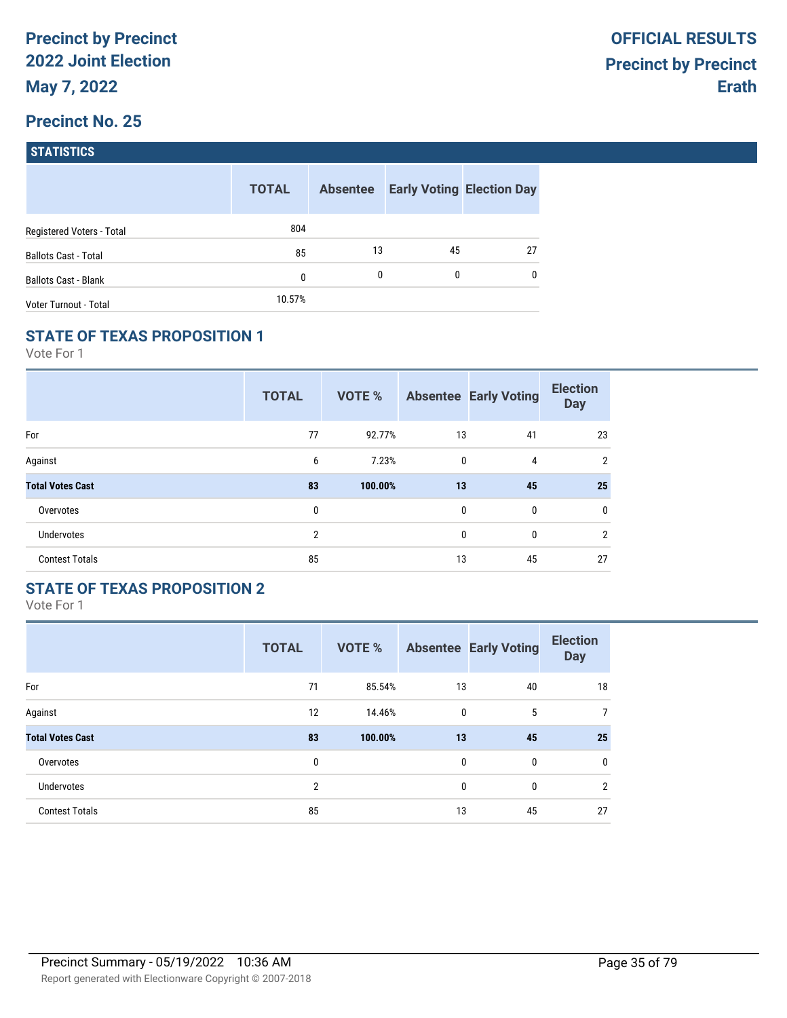| <b>STATISTICS</b> |
|-------------------|
|                   |

|                             | <b>TOTAL</b> | <b>Absentee</b> |    | <b>Early Voting Election Day</b> |
|-----------------------------|--------------|-----------------|----|----------------------------------|
| Registered Voters - Total   | 804          |                 |    |                                  |
| <b>Ballots Cast - Total</b> | 85           | 13              | 45 | 27                               |
| <b>Ballots Cast - Blank</b> | 0            | 0               | 0  | $\mathbf{0}$                     |
| Voter Turnout - Total       | 10.57%       |                 |    |                                  |

#### **STATE OF TEXAS PROPOSITION 1**

Vote For 1

|                         | <b>TOTAL</b> | <b>VOTE %</b> |    | <b>Absentee Early Voting</b> | <b>Election</b><br><b>Day</b> |
|-------------------------|--------------|---------------|----|------------------------------|-------------------------------|
| For                     | 77           | 92.77%        | 13 | 41                           | 23                            |
| Against                 | 6            | 7.23%         | 0  | 4                            | $\overline{2}$                |
| <b>Total Votes Cast</b> | 83           | 100.00%       | 13 | 45                           | 25                            |
| Overvotes               | 0            |               | 0  | 0                            | 0                             |
| <b>Undervotes</b>       | 2            |               | 0  | 0                            | $\overline{2}$                |
| <b>Contest Totals</b>   | 85           |               | 13 | 45                           | 27                            |

## **STATE OF TEXAS PROPOSITION 2**

|                         | <b>TOTAL</b>   | <b>VOTE %</b> |              | <b>Absentee Early Voting</b> | <b>Election</b><br><b>Day</b> |
|-------------------------|----------------|---------------|--------------|------------------------------|-------------------------------|
| For                     | 71             | 85.54%        | 13           | 40                           | 18                            |
| Against                 | 12             | 14.46%        | $\mathbf{0}$ | 5                            | 7                             |
| <b>Total Votes Cast</b> | 83             | 100.00%       | 13           | 45                           | 25                            |
| Overvotes               | 0              |               | $\mathbf{0}$ | $\mathbf{0}$                 | 0                             |
| <b>Undervotes</b>       | $\overline{2}$ |               | $\mathbf{0}$ | 0                            | $\overline{2}$                |
| <b>Contest Totals</b>   | 85             |               | 13           | 45                           | 27                            |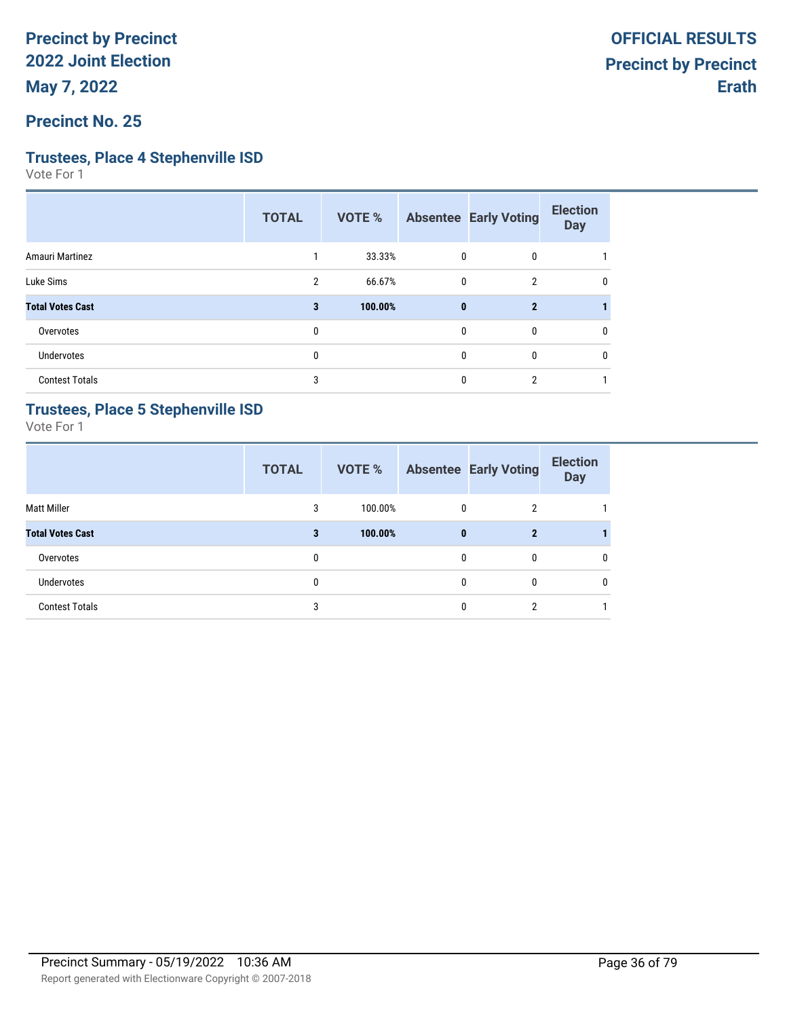**Precinct No. 25**

### **Trustees, Place 4 Stephenville ISD**

Vote For 1

|                         | <b>TOTAL</b>   | VOTE %  |          | <b>Absentee Early Voting</b> | <b>Election</b><br><b>Day</b> |
|-------------------------|----------------|---------|----------|------------------------------|-------------------------------|
| Amauri Martinez         |                | 33.33%  | 0        | 0                            |                               |
| Luke Sims               | $\overline{2}$ | 66.67%  | 0        | $\mathfrak{p}$               | 0                             |
| <b>Total Votes Cast</b> | 3              | 100.00% | $\bf{0}$ | $\mathbf{2}$                 |                               |
| Overvotes               | 0              |         | 0        | 0                            | 0                             |
| Undervotes              | 0              |         | 0        | $\mathbf{0}$                 | 0                             |
| <b>Contest Totals</b>   | 3              |         | 0        | 2                            |                               |

### **Trustees, Place 5 Stephenville ISD**

|                         | <b>TOTAL</b> | <b>VOTE %</b> |   | <b>Absentee Early Voting</b> | <b>Election</b><br><b>Day</b> |
|-------------------------|--------------|---------------|---|------------------------------|-------------------------------|
| Matt Miller             | 3            | 100.00%       | 0 | 2                            |                               |
| <b>Total Votes Cast</b> | 3            | 100.00%       | 0 | $\mathbf 2$                  |                               |
| Overvotes               | 0            |               | 0 | 0                            | 0                             |
| Undervotes              | 0            |               | 0 | 0                            | 0                             |
| <b>Contest Totals</b>   | 3            |               | 0 | ົ                            |                               |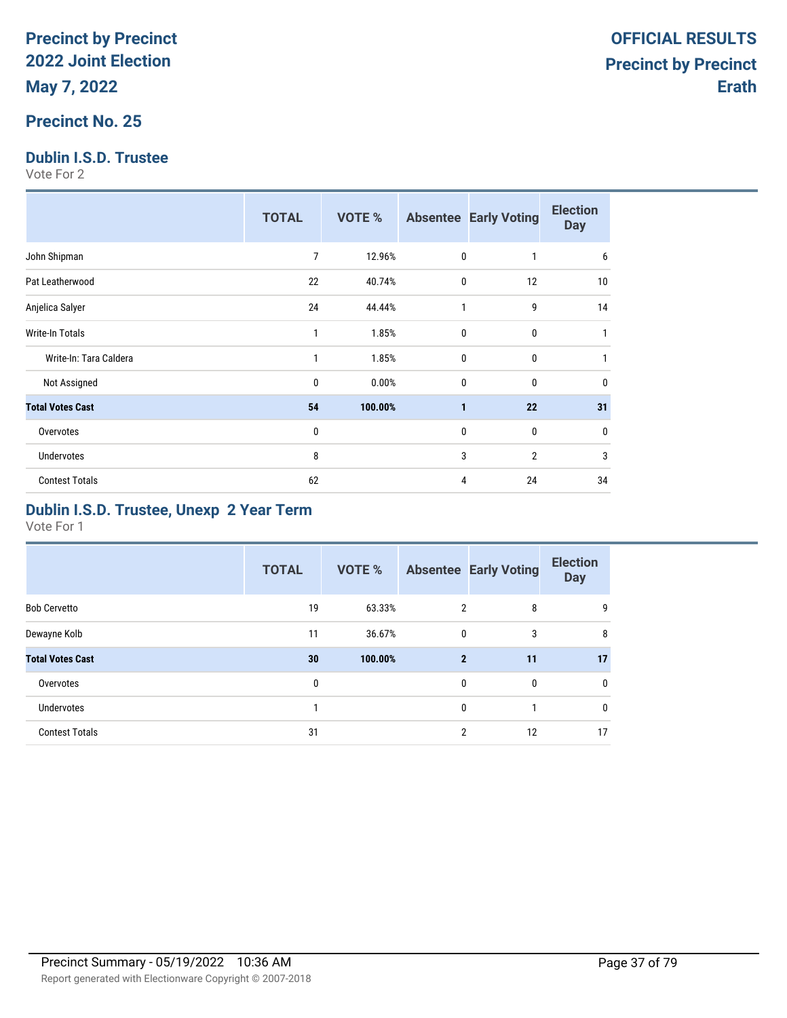### **Precinct No. 25**

### **Dublin I.S.D. Trustee**

Vote For 2

|                         | <b>TOTAL</b> | <b>VOTE %</b> |                | <b>Absentee Early Voting</b> | <b>Election</b><br><b>Day</b> |
|-------------------------|--------------|---------------|----------------|------------------------------|-------------------------------|
| John Shipman            | 7            | 12.96%        | $\mathbf{0}$   | 1                            | 6                             |
| Pat Leatherwood         | 22           | 40.74%        | 0              | 12                           | 10                            |
| Anjelica Salyer         | 24           | 44.44%        | 1              | 9                            | 14                            |
| <b>Write-In Totals</b>  | 1            | 1.85%         | $\mathbf{0}$   | $\mathbf{0}$                 |                               |
| Write-In: Tara Caldera  | 1            | 1.85%         | $\mathbf{0}$   | $\mathbf{0}$                 |                               |
| Not Assigned            | $\mathbf{0}$ | 0.00%         | $\mathbf{0}$   | 0                            | 0                             |
| <b>Total Votes Cast</b> | 54           | 100.00%       | $\blacksquare$ | 22                           | 31                            |
| Overvotes               | $\mathbf{0}$ |               | 0              | 0                            | $\mathbf{0}$                  |
| <b>Undervotes</b>       | 8            |               | 3              | $\overline{2}$               | 3                             |
| <b>Contest Totals</b>   | 62           |               | 4              | 24                           | 34                            |

### **Dublin I.S.D. Trustee, Unexp 2 Year Term**

|                         | <b>TOTAL</b> | <b>VOTE %</b> |                | <b>Absentee Early Voting</b> | <b>Election</b><br><b>Day</b> |
|-------------------------|--------------|---------------|----------------|------------------------------|-------------------------------|
| <b>Bob Cervetto</b>     | 19           | 63.33%        | $\overline{2}$ | 8                            | 9                             |
| Dewayne Kolb            | 11           | 36.67%        | $\mathbf 0$    | 3                            | 8                             |
| <b>Total Votes Cast</b> | 30           | 100.00%       | $\overline{2}$ | 11                           | 17                            |
| Overvotes               | 0            |               | $\mathbf{0}$   | 0                            | $\mathbf 0$                   |
| Undervotes              |              |               | $\mathbf{0}$   |                              | $\mathbf 0$                   |
| <b>Contest Totals</b>   | 31           |               | $\overline{2}$ | 12                           | 17                            |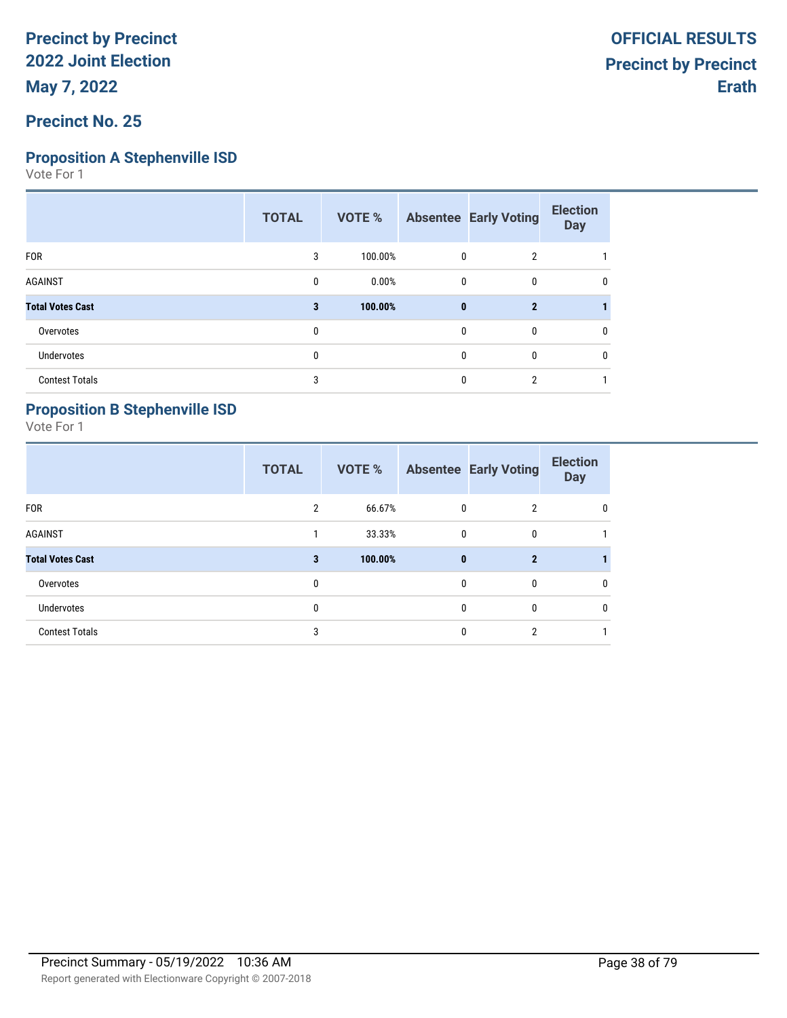# **Proposition A Stephenville ISD**

Vote For 1

|                         | <b>TOTAL</b> | VOTE %  |              | <b>Absentee Early Voting</b> | <b>Election</b><br><b>Day</b> |
|-------------------------|--------------|---------|--------------|------------------------------|-------------------------------|
| <b>FOR</b>              | 3            | 100.00% | 0            | $\overline{2}$               |                               |
| <b>AGAINST</b>          | 0            | 0.00%   | $\mathbf{0}$ | 0                            | 0                             |
| <b>Total Votes Cast</b> | 3            | 100.00% | $\bf{0}$     | $\overline{2}$               |                               |
| Overvotes               | 0            |         | 0            | 0                            | 0                             |
| <b>Undervotes</b>       | $\mathbf{0}$ |         | 0            | $\mathbf{0}$                 | 0                             |
| <b>Contest Totals</b>   | 3            |         | 0            | $\overline{2}$               |                               |

## **Proposition B Stephenville ISD**

|                         | <b>TOTAL</b>   | <b>VOTE %</b> |          | <b>Absentee Early Voting</b> | <b>Election</b><br><b>Day</b> |
|-------------------------|----------------|---------------|----------|------------------------------|-------------------------------|
| <b>FOR</b>              | $\overline{2}$ | 66.67%        | 0        | $\overline{2}$               | 0                             |
| <b>AGAINST</b>          |                | 33.33%        | 0        | 0                            |                               |
| <b>Total Votes Cast</b> | 3              | 100.00%       | $\bf{0}$ | $\overline{2}$               |                               |
| Overvotes               | 0              |               | 0        | $\mathbf{0}$                 | 0                             |
| <b>Undervotes</b>       | $\mathbf{0}$   |               | 0        | $\mathbf{0}$                 | $\mathbf{0}$                  |
| <b>Contest Totals</b>   | 3              |               | 0        | $\overline{2}$               |                               |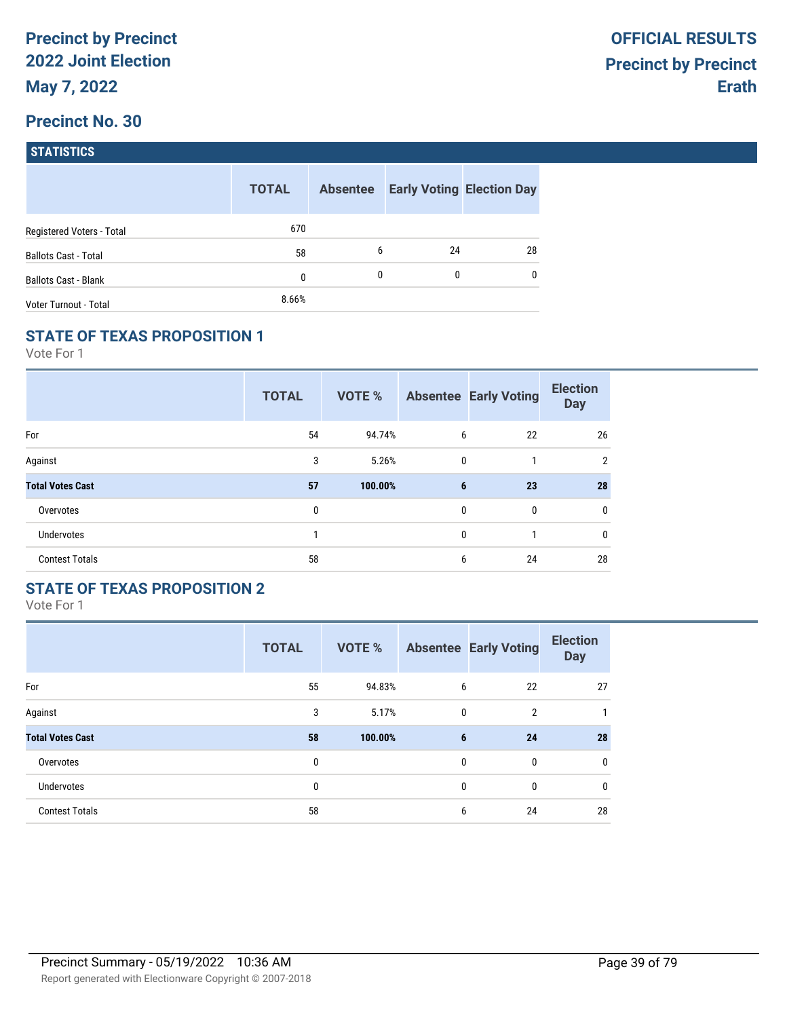| <b>STATISTICS</b> |  |
|-------------------|--|
|                   |  |

|                             | <b>TOTAL</b> | <b>Absentee</b> |    | <b>Early Voting Election Day</b> |
|-----------------------------|--------------|-----------------|----|----------------------------------|
| Registered Voters - Total   | 670          |                 |    |                                  |
| <b>Ballots Cast - Total</b> | 58           | 6               | 24 | 28                               |
| <b>Ballots Cast - Blank</b> | 0            | $\mathbf{0}$    | 0  | $\mathbf{0}$                     |
| Voter Turnout - Total       | 8.66%        |                 |    |                                  |

## **STATE OF TEXAS PROPOSITION 1**

Vote For 1

|                         | <b>TOTAL</b> | <b>VOTE %</b> |   | <b>Absentee Early Voting</b> | <b>Election</b><br><b>Day</b> |
|-------------------------|--------------|---------------|---|------------------------------|-------------------------------|
| For                     | 54           | 94.74%        | 6 | 22                           | 26                            |
| Against                 | 3            | 5.26%         | 0 | 1                            | $\overline{2}$                |
| <b>Total Votes Cast</b> | 57           | 100.00%       | 6 | 23                           | 28                            |
| Overvotes               | 0            |               | 0 | 0                            | 0                             |
| Undervotes              |              |               | 0 | 1                            | 0                             |
| <b>Contest Totals</b>   | 58           |               | 6 | 24                           | 28                            |

## **STATE OF TEXAS PROPOSITION 2**

|                         | <b>TOTAL</b> | <b>VOTE %</b> |              | <b>Absentee Early Voting</b> | <b>Election</b><br><b>Day</b> |
|-------------------------|--------------|---------------|--------------|------------------------------|-------------------------------|
| For                     | 55           | 94.83%        | 6            | 22                           | 27                            |
| Against                 | 3            | 5.17%         | $\mathbf{0}$ | $\overline{2}$               |                               |
| <b>Total Votes Cast</b> | 58           | 100.00%       | 6            | 24                           | 28                            |
| Overvotes               | 0            |               | $\mathbf{0}$ | $\mathbf{0}$                 | 0                             |
| Undervotes              | 0            |               | $\mathbf{0}$ | $\mathbf{0}$                 | 0                             |
| <b>Contest Totals</b>   | 58           |               | 6            | 24                           | 28                            |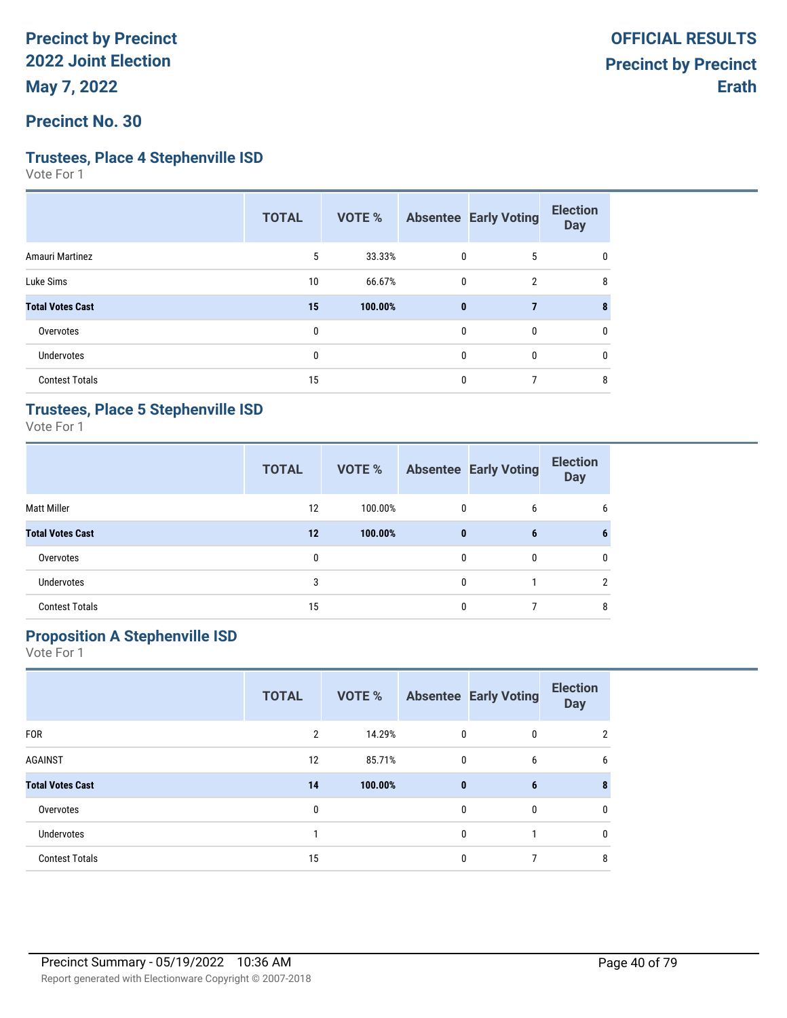**Precinct No. 30**

#### **Trustees, Place 4 Stephenville ISD**

Vote For 1

|                         | <b>TOTAL</b> | VOTE %  |              | <b>Absentee Early Voting</b> | <b>Election</b><br><b>Day</b> |
|-------------------------|--------------|---------|--------------|------------------------------|-------------------------------|
| Amauri Martinez         | 5            | 33.33%  | $\mathbf 0$  | 5                            | 0                             |
| Luke Sims               | 10           | 66.67%  | 0            | $\overline{2}$               | 8                             |
| <b>Total Votes Cast</b> | 15           | 100.00% | $\bf{0}$     | 7                            | 8                             |
| Overvotes               | 0            |         | $\mathbf{0}$ | $\mathbf{0}$                 | 0                             |
| Undervotes              | $\mathbf{0}$ |         | 0            | $\mathbf{0}$                 | 0                             |
| <b>Contest Totals</b>   | 15           |         | 0            |                              | 8                             |

#### **Trustees, Place 5 Stephenville ISD**

Vote For 1

|                         | <b>TOTAL</b> | <b>VOTE %</b> |              | <b>Absentee Early Voting</b> | <b>Election</b><br><b>Day</b> |
|-------------------------|--------------|---------------|--------------|------------------------------|-------------------------------|
| Matt Miller             | 12           | 100.00%       | $\mathbf{0}$ | 6                            | 6                             |
| <b>Total Votes Cast</b> | 12           | 100.00%       | $\bf{0}$     | 6                            | 6                             |
| Overvotes               | 0            |               | 0            | 0                            | $\mathbf{0}$                  |
| <b>Undervotes</b>       | 3            |               | 0            |                              | 2                             |
| <b>Contest Totals</b>   | 15           |               | 0            |                              | 8                             |

# **Proposition A Stephenville ISD**

|                         | <b>TOTAL</b>   | <b>VOTE %</b> |              | <b>Absentee Early Voting</b> | <b>Election</b><br><b>Day</b> |
|-------------------------|----------------|---------------|--------------|------------------------------|-------------------------------|
| <b>FOR</b>              | $\overline{2}$ | 14.29%        | 0            | $\mathbf{0}$                 | $\overline{2}$                |
| <b>AGAINST</b>          | 12             | 85.71%        | 0            | 6                            | 6                             |
| <b>Total Votes Cast</b> | 14             | 100.00%       | $\bf{0}$     | 6                            | 8                             |
| Overvotes               | 0              |               | $\mathbf{0}$ | $\mathbf{0}$                 | 0                             |
| <b>Undervotes</b>       |                |               | 0            |                              | $\mathbf{0}$                  |
| <b>Contest Totals</b>   | 15             |               | $\theta$     |                              | 8                             |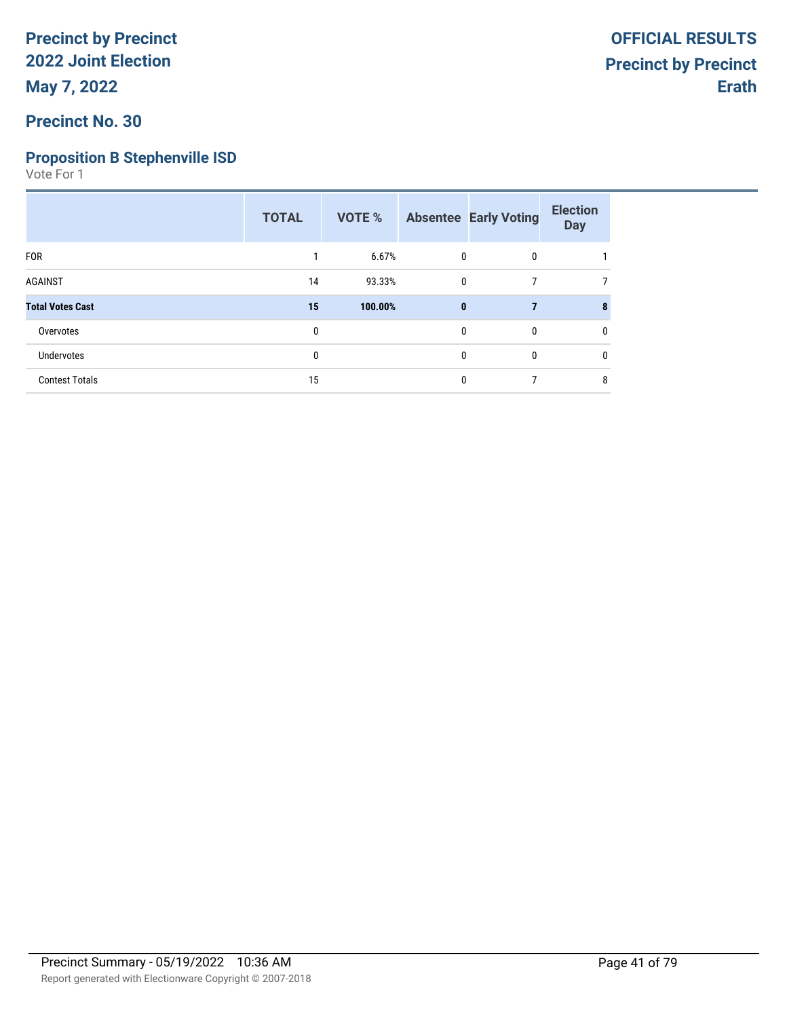## **Precinct No. 30**

# **Proposition B Stephenville ISD**

|                         | <b>TOTAL</b> | VOTE %  |              | <b>Absentee Early Voting</b> | <b>Election</b><br><b>Day</b> |
|-------------------------|--------------|---------|--------------|------------------------------|-------------------------------|
| <b>FOR</b>              |              | 6.67%   | 0            | 0                            |                               |
| <b>AGAINST</b>          | 14           | 93.33%  | 0            | $\overline{7}$               | 7                             |
| <b>Total Votes Cast</b> | 15           | 100.00% | $\mathbf{0}$ | $\overline{7}$               |                               |
| Overvotes               | $\mathbf{0}$ |         | 0            | 0                            | 0                             |
| Undervotes              | 0            |         | 0            | 0                            | 0                             |
| <b>Contest Totals</b>   | 15           |         | 0            | ℸ                            | 8                             |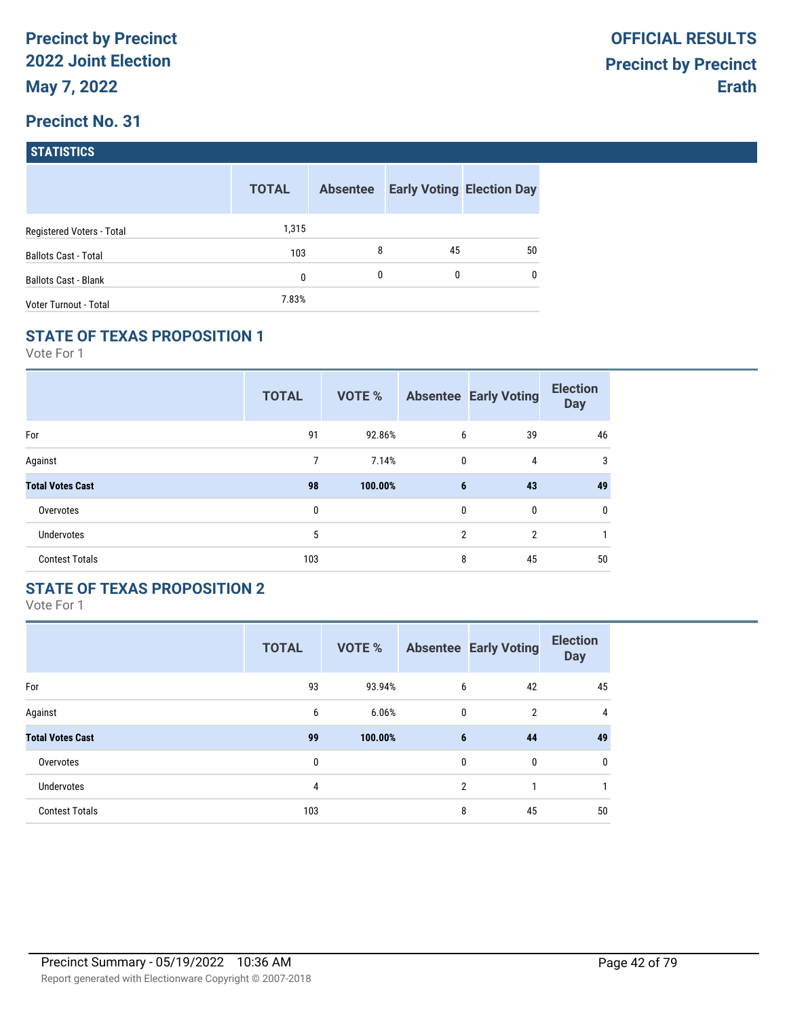| <b>STATISTICS</b> |  |
|-------------------|--|
|                   |  |

|                             | <b>TOTAL</b> | <b>Absentee</b> |    | <b>Early Voting Election Day</b> |
|-----------------------------|--------------|-----------------|----|----------------------------------|
| Registered Voters - Total   | 1,315        |                 |    |                                  |
| <b>Ballots Cast - Total</b> | 103          | 8               | 45 | 50                               |
| <b>Ballots Cast - Blank</b> | 0            | 0               | 0  | $\mathbf{0}$                     |
| Voter Turnout - Total       | 7.83%        |                 |    |                                  |

## **STATE OF TEXAS PROPOSITION 1**

Vote For 1

|                         | <b>TOTAL</b> | VOTE %  |             | <b>Absentee Early Voting</b> | <b>Election</b><br><b>Day</b> |
|-------------------------|--------------|---------|-------------|------------------------------|-------------------------------|
| For                     | 91           | 92.86%  | 6           | 39                           | 46                            |
| Against                 | 7            | 7.14%   | $\mathbf 0$ | 4                            | 3                             |
| <b>Total Votes Cast</b> | 98           | 100.00% | 6           | 43                           | 49                            |
| Overvotes               | 0            |         | $\mathbf 0$ | 0                            | 0                             |
| <b>Undervotes</b>       | 5            |         | 2           | $\overline{2}$               | 1                             |
| <b>Contest Totals</b>   | 103          |         | 8           | 45                           | 50                            |

## **STATE OF TEXAS PROPOSITION 2**

|                         | <b>TOTAL</b> | VOTE %  |                | <b>Absentee Early Voting</b> | <b>Election</b><br><b>Day</b> |
|-------------------------|--------------|---------|----------------|------------------------------|-------------------------------|
| For                     | 93           | 93.94%  | 6              | 42                           | 45                            |
| Against                 | 6            | 6.06%   | $\mathbf{0}$   | $\overline{2}$               | $\overline{4}$                |
| <b>Total Votes Cast</b> | 99           | 100.00% | 6              | 44                           | 49                            |
| Overvotes               | 0            |         | $\mathbf{0}$   | $\mathbf{0}$                 | 0                             |
| Undervotes              | 4            |         | $\overline{2}$ | 1                            |                               |
| <b>Contest Totals</b>   | 103          |         | 8              | 45                           | 50                            |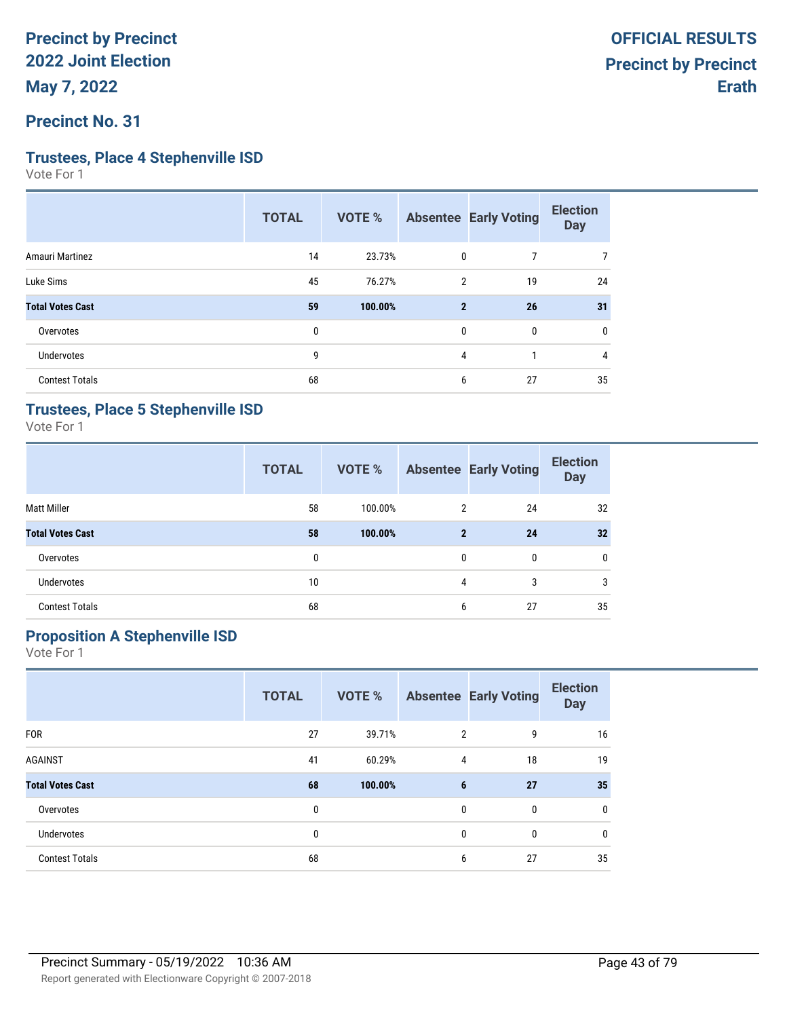### **Precinct No. 31**

#### **Trustees, Place 4 Stephenville ISD**

Vote For 1

|                         | <b>TOTAL</b> | <b>VOTE %</b> |                | <b>Absentee Early Voting</b> | <b>Election</b><br><b>Day</b> |
|-------------------------|--------------|---------------|----------------|------------------------------|-------------------------------|
| <b>Amauri Martinez</b>  | 14           | 23.73%        | 0              |                              | 7                             |
| Luke Sims               | 45           | 76.27%        | $\overline{2}$ | 19                           | 24                            |
| <b>Total Votes Cast</b> | 59           | 100.00%       | $\mathbf{2}$   | 26                           | 31                            |
| Overvotes               | 0            |               | 0              | 0                            | 0                             |
| <b>Undervotes</b>       | 9            |               | 4              |                              | 4                             |
| <b>Contest Totals</b>   | 68           |               | 6              | 27                           | 35                            |

#### **Trustees, Place 5 Stephenville ISD**

Vote For 1

|                         | <b>TOTAL</b> | <b>VOTE %</b> |                | <b>Absentee Early Voting</b> | <b>Election</b><br><b>Day</b> |
|-------------------------|--------------|---------------|----------------|------------------------------|-------------------------------|
| <b>Matt Miller</b>      | 58           | 100.00%       | $\overline{2}$ | 24                           | 32                            |
| <b>Total Votes Cast</b> | 58           | 100.00%       | $\mathbf{2}$   | 24                           | 32                            |
| Overvotes               | 0            |               | 0              | $\mathbf{0}$                 | $\mathbf{0}$                  |
| <b>Undervotes</b>       | 10           |               | 4              | 3                            | 3                             |
| <b>Contest Totals</b>   | 68           |               | 6              | 27                           | 35                            |

# **Proposition A Stephenville ISD**

|                         | <b>TOTAL</b> | VOTE %  |                | <b>Absentee Early Voting</b> | <b>Election</b><br><b>Day</b> |
|-------------------------|--------------|---------|----------------|------------------------------|-------------------------------|
| <b>FOR</b>              | 27           | 39.71%  | $\overline{2}$ | 9                            | 16                            |
| <b>AGAINST</b>          | 41           | 60.29%  | 4              | 18                           | 19                            |
| <b>Total Votes Cast</b> | 68           | 100.00% | 6              | 27                           | 35                            |
| Overvotes               | 0            |         | 0              | 0                            | 0                             |
| <b>Undervotes</b>       | 0            |         | $\mathbf{0}$   | $\mathbf{0}$                 | $\mathbf{0}$                  |
| <b>Contest Totals</b>   | 68           |         | 6              | 27                           | 35                            |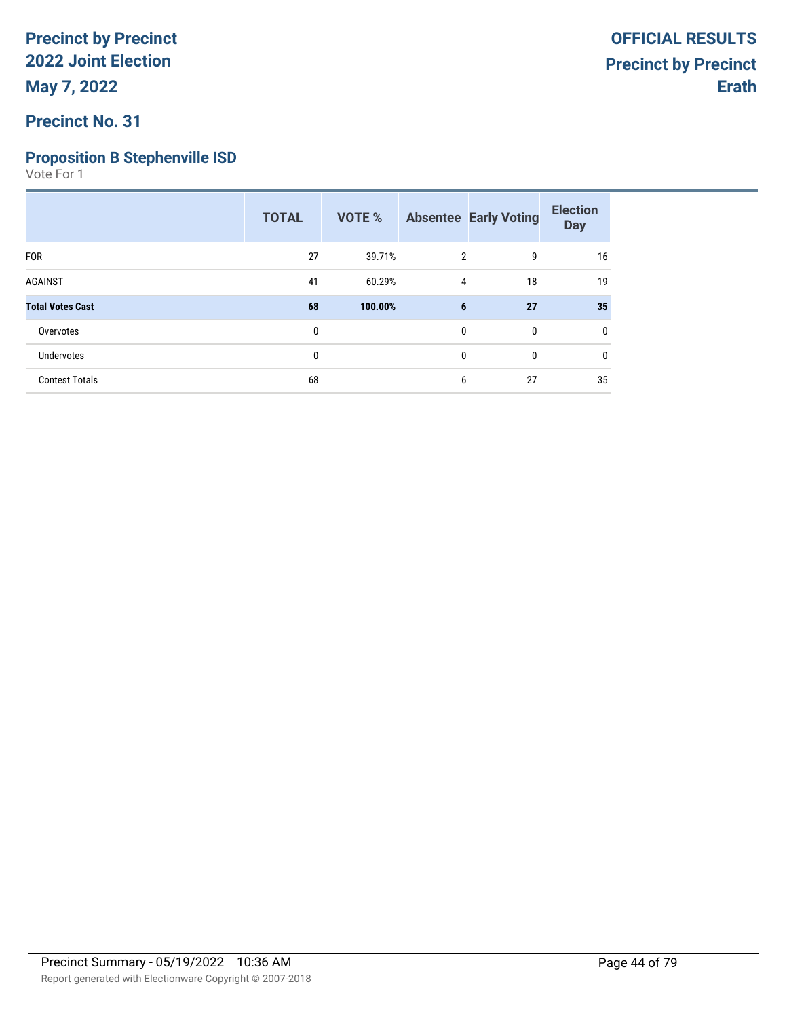## **Precinct No. 31**

## **Proposition B Stephenville ISD**

|                         | <b>TOTAL</b> | <b>VOTE %</b> |                | <b>Absentee Early Voting</b> | <b>Election</b><br><b>Day</b> |
|-------------------------|--------------|---------------|----------------|------------------------------|-------------------------------|
| <b>FOR</b>              | 27           | 39.71%        | $\overline{2}$ | 9                            | 16                            |
| <b>AGAINST</b>          | 41           | 60.29%        | 4              | 18                           | 19                            |
| <b>Total Votes Cast</b> | 68           | 100.00%       | 6              | 27                           | 35                            |
| Overvotes               | 0            |               | $\mathbf{0}$   | $\mathbf 0$                  | 0                             |
| <b>Undervotes</b>       | 0            |               | $\mathbf{0}$   | $\mathbf 0$                  | 0                             |
| <b>Contest Totals</b>   | 68           |               | 6              | 27                           | 35                            |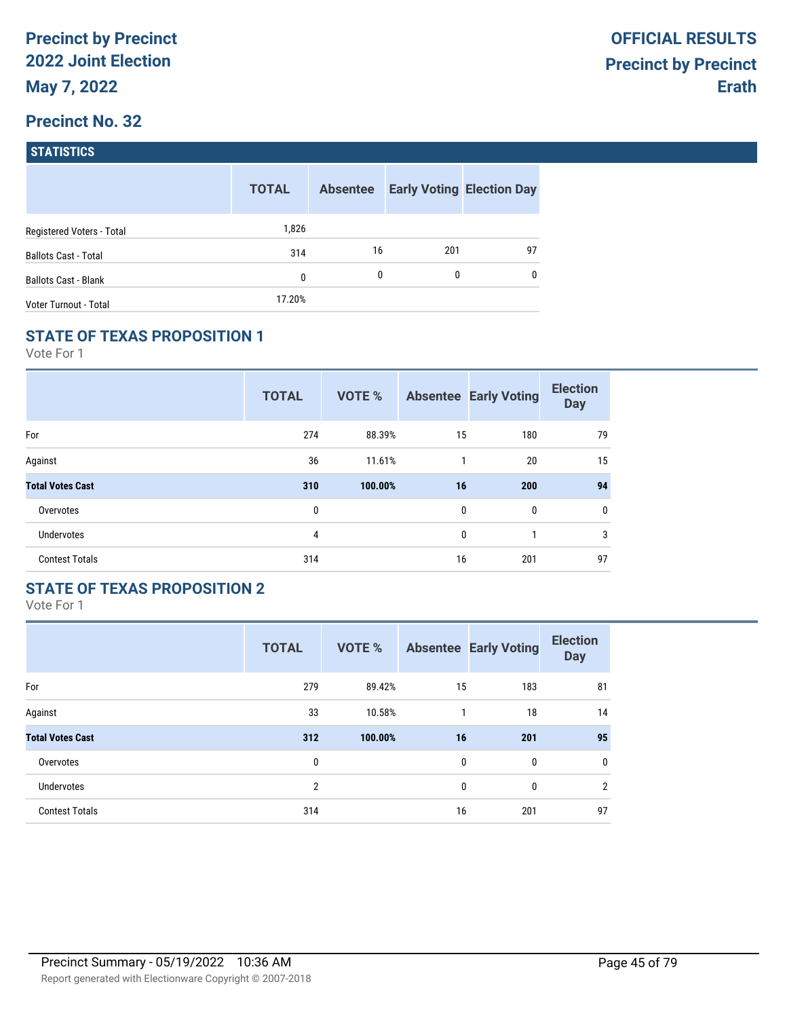| <b>STATISTICS</b> |  |
|-------------------|--|
|                   |  |

|                              | <b>TOTAL</b> | <b>Absentee</b> |     | <b>Early Voting Election Day</b> |
|------------------------------|--------------|-----------------|-----|----------------------------------|
| Registered Voters - Total    | 1,826        |                 |     |                                  |
| <b>Ballots Cast - Total</b>  | 314          | 16              | 201 | 97                               |
| <b>Ballots Cast - Blank</b>  | 0            | 0               | 0   | $\mathbf{0}$                     |
| <b>Voter Turnout - Total</b> | 17.20%       |                 |     |                                  |

## **STATE OF TEXAS PROPOSITION 1**

Vote For 1

|                         | <b>TOTAL</b> | VOTE %  |             | <b>Absentee Early Voting</b> | <b>Election</b><br><b>Day</b> |
|-------------------------|--------------|---------|-------------|------------------------------|-------------------------------|
| For                     | 274          | 88.39%  | 15          | 180                          | 79                            |
| Against                 | 36           | 11.61%  | 1           | 20                           | 15                            |
| <b>Total Votes Cast</b> | 310          | 100.00% | 16          | 200                          | 94                            |
| Overvotes               | 0            |         | $\mathbf 0$ | 0                            | 0                             |
| <b>Undervotes</b>       | 4            |         | $\mathbf 0$ |                              | 3                             |
| <b>Contest Totals</b>   | 314          |         | 16          | 201                          | 97                            |

## **STATE OF TEXAS PROPOSITION 2**

|                         | <b>TOTAL</b>   | <b>VOTE %</b> |              | <b>Absentee Early Voting</b> | <b>Election</b><br><b>Day</b> |
|-------------------------|----------------|---------------|--------------|------------------------------|-------------------------------|
| For                     | 279            | 89.42%        | 15           | 183                          | 81                            |
| Against                 | 33             | 10.58%        | 1            | 18                           | 14                            |
| <b>Total Votes Cast</b> | 312            | 100.00%       | 16           | 201                          | 95                            |
| Overvotes               | 0              |               | $\mathbf{0}$ | $\mathbf{0}$                 | 0                             |
| <b>Undervotes</b>       | $\overline{2}$ |               | 0            | 0                            | $\overline{2}$                |
| <b>Contest Totals</b>   | 314            |               | 16           | 201                          | 97                            |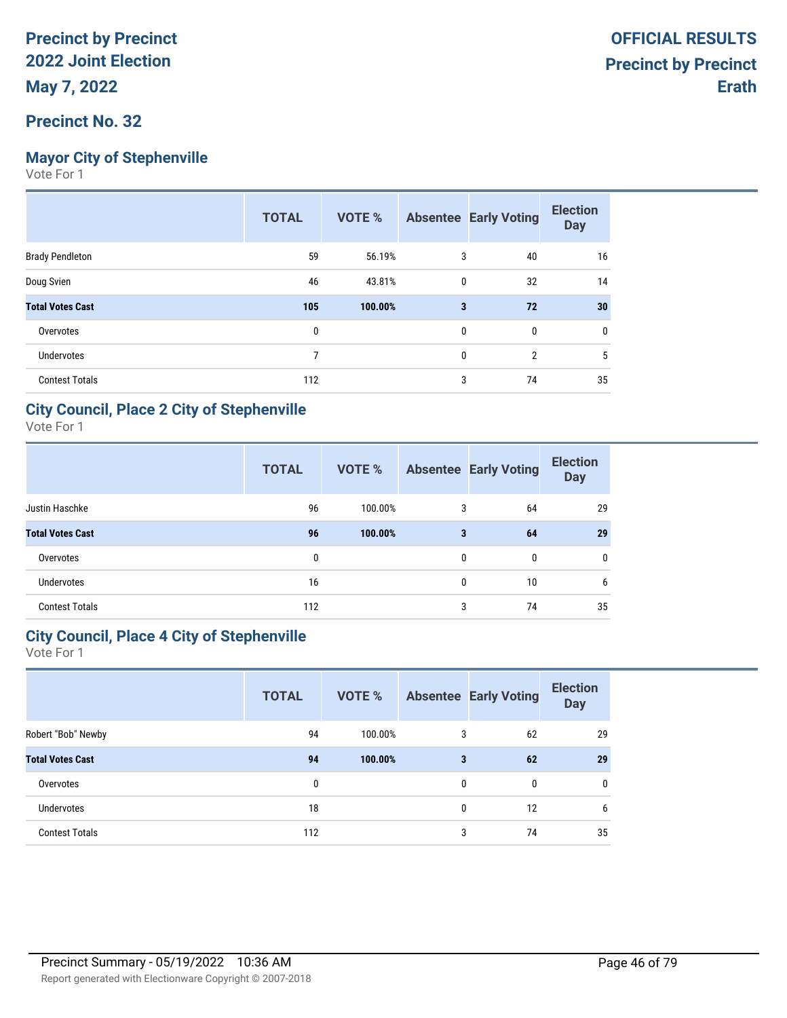## **Mayor City of Stephenville**

Vote For 1

| <b>TOTAL</b> | VOTE %  |              |                | <b>Election</b><br><b>Day</b> |
|--------------|---------|--------------|----------------|-------------------------------|
| 59           | 56.19%  | 3            | 40             | 16                            |
| 46           | 43.81%  | 0            | 32             | 14                            |
| 105          | 100.00% | 3            | 72             | 30                            |
| 0            |         | 0            | 0              | 0                             |
| 7            |         | $\mathbf{0}$ | $\overline{2}$ | 5                             |
| 112          |         | 3            | 74             | 35                            |
|              |         |              |                | <b>Absentee Early Voting</b>  |

#### **City Council, Place 2 City of Stephenville**

Vote For 1

|                         | <b>TOTAL</b> | <b>VOTE %</b> |              | <b>Absentee Early Voting</b> | <b>Election</b><br><b>Day</b> |
|-------------------------|--------------|---------------|--------------|------------------------------|-------------------------------|
| Justin Haschke          | 96           | 100.00%       | 3            | 64                           | 29                            |
| <b>Total Votes Cast</b> | 96           | 100.00%       | 3            | 64                           | 29                            |
| Overvotes               | 0            |               | $\mathbf{0}$ | $\mathbf{0}$                 | $\mathbf{0}$                  |
| <b>Undervotes</b>       | 16           |               | $\mathbf{0}$ | 10                           | 6                             |
| <b>Contest Totals</b>   | 112          |               | 3            | 74                           | 35                            |

#### **City Council, Place 4 City of Stephenville**

|                         | <b>TOTAL</b> | <b>VOTE %</b> |   | <b>Absentee Early Voting</b> | <b>Election</b><br><b>Day</b> |
|-------------------------|--------------|---------------|---|------------------------------|-------------------------------|
| Robert "Bob" Newby      | 94           | 100.00%       | 3 | 62                           | 29                            |
| <b>Total Votes Cast</b> | 94           | 100.00%       | 3 | 62                           | 29                            |
| Overvotes               | 0            |               | 0 | $\mathbf{0}$                 | $\mathbf{0}$                  |
| <b>Undervotes</b>       | 18           |               | 0 | 12                           | 6                             |
| <b>Contest Totals</b>   | 112          |               | 3 | 74                           | 35                            |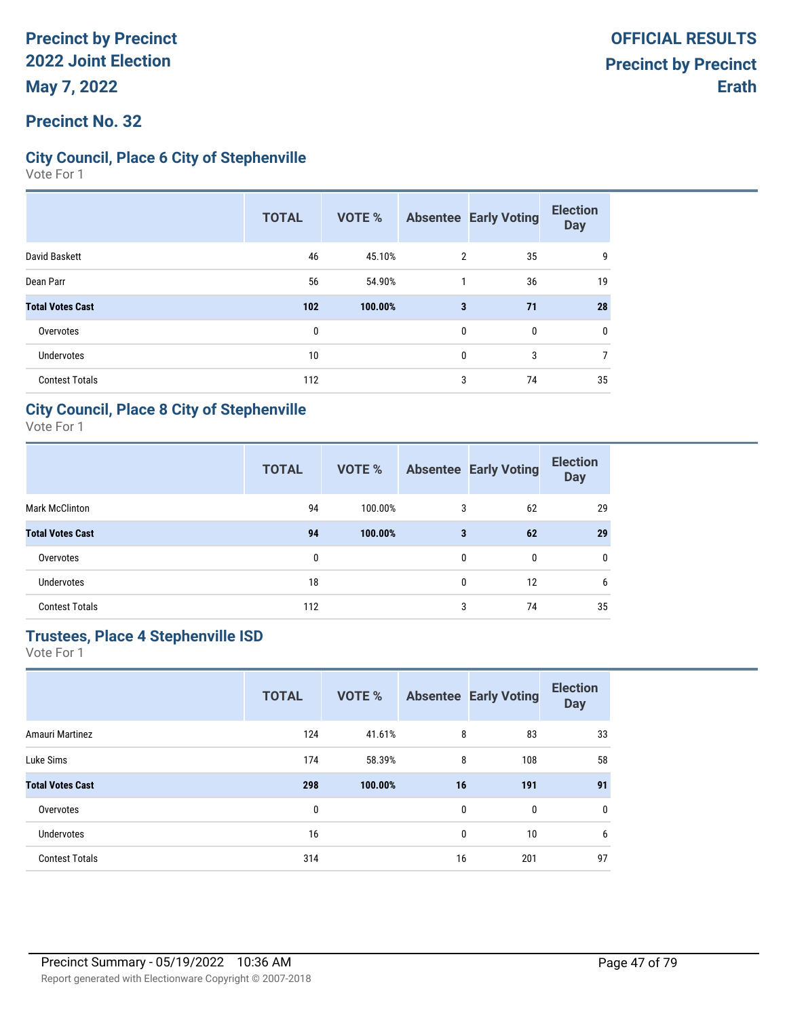### **Precinct No. 32**

### **City Council, Place 6 City of Stephenville**

Vote For 1

|                         | <b>TOTAL</b> | <b>VOTE %</b> |   | <b>Absentee Early Voting</b> | <b>Election</b><br><b>Day</b> |
|-------------------------|--------------|---------------|---|------------------------------|-------------------------------|
| David Baskett           | 46           | 45.10%        | 2 | 35                           | 9                             |
| Dean Parr               | 56           | 54.90%        |   | 36                           | 19                            |
| <b>Total Votes Cast</b> | 102          | 100.00%       | 3 | 71                           | 28                            |
| Overvotes               | 0            |               | 0 | 0                            | 0                             |
| Undervotes              | 10           |               | 0 | 3                            | 7                             |
| <b>Contest Totals</b>   | 112          |               | 3 | 74                           | 35                            |

#### **City Council, Place 8 City of Stephenville**

Vote For 1

|                         | <b>TOTAL</b> | <b>VOTE %</b> |              | <b>Absentee Early Voting</b> | <b>Election</b><br><b>Day</b> |
|-------------------------|--------------|---------------|--------------|------------------------------|-------------------------------|
| <b>Mark McClinton</b>   | 94           | 100.00%       | 3            | 62                           | 29                            |
| <b>Total Votes Cast</b> | 94           | 100.00%       | 3            | 62                           | 29                            |
| Overvotes               | 0            |               | $\mathbf{0}$ | $\mathbf{0}$                 | $\mathbf{0}$                  |
| <b>Undervotes</b>       | 18           |               | $\mathbf{0}$ | 12                           | 6                             |
| <b>Contest Totals</b>   | 112          |               | 3            | 74                           | 35                            |

# **Trustees, Place 4 Stephenville ISD**

|                         | <b>TOTAL</b> | <b>VOTE %</b> | <b>Absentee</b> | <b>Early Voting</b> | <b>Election</b><br><b>Day</b> |
|-------------------------|--------------|---------------|-----------------|---------------------|-------------------------------|
| Amauri Martinez         | 124          | 41.61%        | 8               | 83                  | 33                            |
| Luke Sims               | 174          | 58.39%        | 8               | 108                 | 58                            |
| <b>Total Votes Cast</b> | 298          | 100.00%       | 16              | 191                 | 91                            |
| Overvotes               | 0            |               | 0               | 0                   | 0                             |
| <b>Undervotes</b>       | 16           |               | 0               | 10                  | 6                             |
| <b>Contest Totals</b>   | 314          |               | 16              | 201                 | 97                            |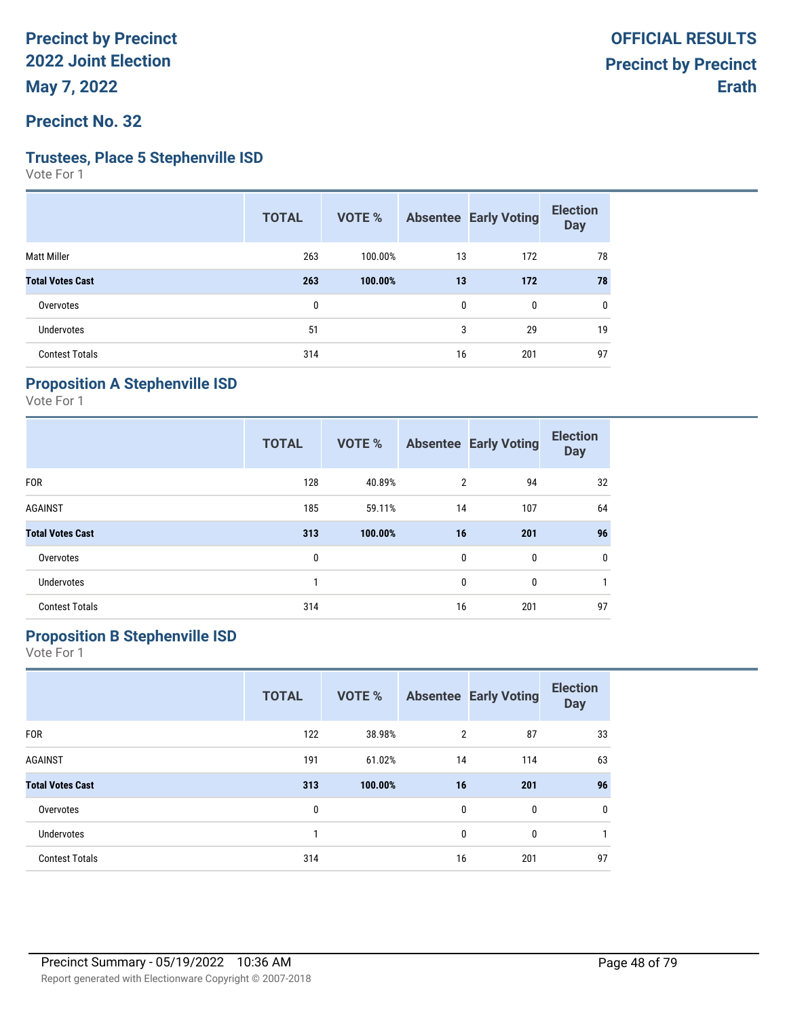**Precinct No. 32**

#### **Trustees, Place 5 Stephenville ISD**

Vote For 1

|                         | <b>TOTAL</b> | VOTE %  |              | <b>Absentee Early Voting</b> | <b>Election</b><br><b>Day</b> |
|-------------------------|--------------|---------|--------------|------------------------------|-------------------------------|
| <b>Matt Miller</b>      | 263          | 100.00% | 13           | 172                          | 78                            |
| <b>Total Votes Cast</b> | 263          | 100.00% | 13           | 172                          | 78                            |
| Overvotes               | 0            |         | $\mathbf{0}$ | 0                            | 0                             |
| Undervotes              | 51           |         | 3            | 29                           | 19                            |
| <b>Contest Totals</b>   | 314          |         | 16           | 201                          | 97                            |

# **Proposition A Stephenville ISD**

Vote For 1

|                         | <b>TOTAL</b> | <b>VOTE %</b> |                | <b>Absentee Early Voting</b> | <b>Election</b><br><b>Day</b> |
|-------------------------|--------------|---------------|----------------|------------------------------|-------------------------------|
| <b>FOR</b>              | 128          | 40.89%        | $\overline{2}$ | 94                           | 32                            |
| <b>AGAINST</b>          | 185          | 59.11%        | 14             | 107                          | 64                            |
| <b>Total Votes Cast</b> | 313          | 100.00%       | 16             | 201                          | 96                            |
| Overvotes               | 0            |               | 0              | 0                            | $\mathbf 0$                   |
| <b>Undervotes</b>       | 1            |               | 0              | 0                            |                               |
| <b>Contest Totals</b>   | 314          |               | 16             | 201                          | 97                            |

# **Proposition B Stephenville ISD**

|                         | <b>TOTAL</b> | <b>VOTE %</b> |                | <b>Absentee Early Voting</b> | <b>Election</b><br><b>Day</b> |
|-------------------------|--------------|---------------|----------------|------------------------------|-------------------------------|
| <b>FOR</b>              | 122          | 38.98%        | $\overline{2}$ | 87                           | 33                            |
| <b>AGAINST</b>          | 191          | 61.02%        | 14             | 114                          | 63                            |
| <b>Total Votes Cast</b> | 313          | 100.00%       | 16             | 201                          | 96                            |
| Overvotes               | 0            |               | 0              | 0                            | 0                             |
| <b>Undervotes</b>       | 1            |               | 0              | 0                            | 1                             |
| <b>Contest Totals</b>   | 314          |               | 16             | 201                          | 97                            |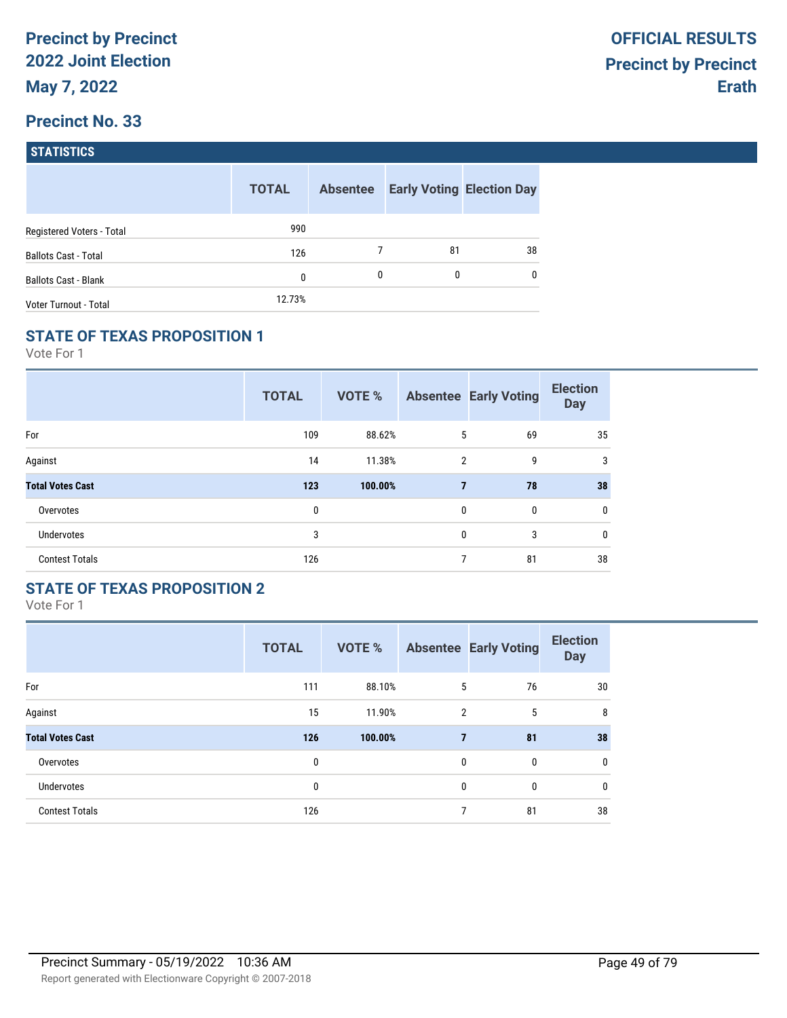| <b>STATISTICS</b> |  |
|-------------------|--|
|                   |  |

|                             | <b>TOTAL</b> | <b>Absentee</b> |    | <b>Early Voting Election Day</b> |
|-----------------------------|--------------|-----------------|----|----------------------------------|
| Registered Voters - Total   | 990          |                 |    |                                  |
| <b>Ballots Cast - Total</b> | 126          |                 | 81 | 38                               |
| <b>Ballots Cast - Blank</b> | 0            | 0               | 0  | $\mathbf{0}$                     |
| Voter Turnout - Total       | 12.73%       |                 |    |                                  |

## **STATE OF TEXAS PROPOSITION 1**

Vote For 1

|                         | <b>TOTAL</b> | VOTE %  |                | <b>Absentee Early Voting</b> | <b>Election</b><br><b>Day</b> |
|-------------------------|--------------|---------|----------------|------------------------------|-------------------------------|
| For                     | 109          | 88.62%  | 5              | 69                           | 35                            |
| Against                 | 14           | 11.38%  | $\overline{2}$ | 9                            | 3                             |
| <b>Total Votes Cast</b> | 123          | 100.00% | $\overline{7}$ | 78                           | 38                            |
| Overvotes               | 0            |         | $\mathbf{0}$   | 0                            | 0                             |
| <b>Undervotes</b>       | 3            |         | 0              | 3                            | 0                             |
| <b>Contest Totals</b>   | 126          |         | 7              | 81                           | 38                            |

## **STATE OF TEXAS PROPOSITION 2**

|                         | <b>TOTAL</b> | <b>VOTE %</b> |                | <b>Absentee Early Voting</b> | <b>Election</b><br><b>Day</b> |
|-------------------------|--------------|---------------|----------------|------------------------------|-------------------------------|
| For                     | 111          | 88.10%        | 5              | 76                           | 30                            |
| Against                 | 15           | 11.90%        | 2              | 5                            | 8                             |
| <b>Total Votes Cast</b> | 126          | 100.00%       | $\overline{7}$ | 81                           | 38                            |
| Overvotes               | 0            |               | $\mathbf{0}$   | $\mathbf{0}$                 | 0                             |
| <b>Undervotes</b>       | 0            |               | $\mathbf{0}$   | $\mathbf{0}$                 | $\mathbf 0$                   |
| <b>Contest Totals</b>   | 126          |               | 7              | 81                           | 38                            |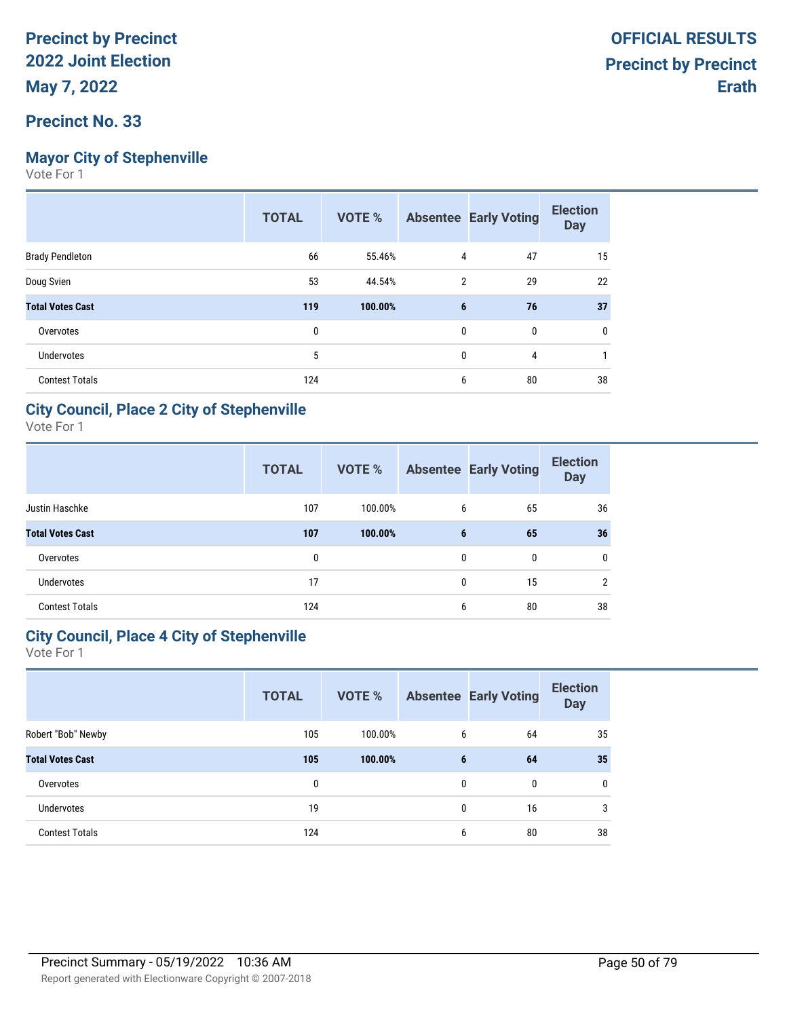# **Mayor City of Stephenville**

Vote For 1

|                         | <b>TOTAL</b> | <b>VOTE %</b> |                | <b>Absentee Early Voting</b> | <b>Election</b><br><b>Day</b> |
|-------------------------|--------------|---------------|----------------|------------------------------|-------------------------------|
| <b>Brady Pendleton</b>  | 66           | 55.46%        | 4              | 47                           | 15                            |
| Doug Svien              | 53           | 44.54%        | $\overline{2}$ | 29                           | 22                            |
| <b>Total Votes Cast</b> | 119          | 100.00%       | 6              | 76                           | 37                            |
| Overvotes               | 0            |               | 0              | 0                            | 0                             |
| <b>Undervotes</b>       | 5            |               | $\mathbf{0}$   | 4                            |                               |
| <b>Contest Totals</b>   | 124          |               | 6              | 80                           | 38                            |

### **City Council, Place 2 City of Stephenville**

Vote For 1

|                         | <b>TOTAL</b> | VOTE %  |              | <b>Absentee Early Voting</b> | <b>Election</b><br><b>Day</b> |
|-------------------------|--------------|---------|--------------|------------------------------|-------------------------------|
| Justin Haschke          | 107          | 100.00% | 6            | 65                           | 36                            |
| <b>Total Votes Cast</b> | 107          | 100.00% | 6            | 65                           | 36                            |
| Overvotes               | 0            |         | $\mathbf{0}$ | $\mathbf{0}$                 | 0                             |
| <b>Undervotes</b>       | 17           |         | $\mathbf{0}$ | 15                           | 2                             |
| <b>Contest Totals</b>   | 124          |         | 6            | 80                           | 38                            |

#### **City Council, Place 4 City of Stephenville**

|                         | <b>TOTAL</b> | VOTE %  |                 | <b>Absentee Early Voting</b> | <b>Election</b><br><b>Day</b> |
|-------------------------|--------------|---------|-----------------|------------------------------|-------------------------------|
| Robert "Bob" Newby      | 105          | 100.00% | 6               | 64                           | 35                            |
| <b>Total Votes Cast</b> | 105          | 100.00% | $6\phantom{1}6$ | 64                           | 35                            |
| Overvotes               | 0            |         | $\mathbf{0}$    | $\bf{0}$                     | 0                             |
| <b>Undervotes</b>       | 19           |         | $\mathbf{0}$    | 16                           | 3                             |
| <b>Contest Totals</b>   | 124          |         | 6               | 80                           | 38                            |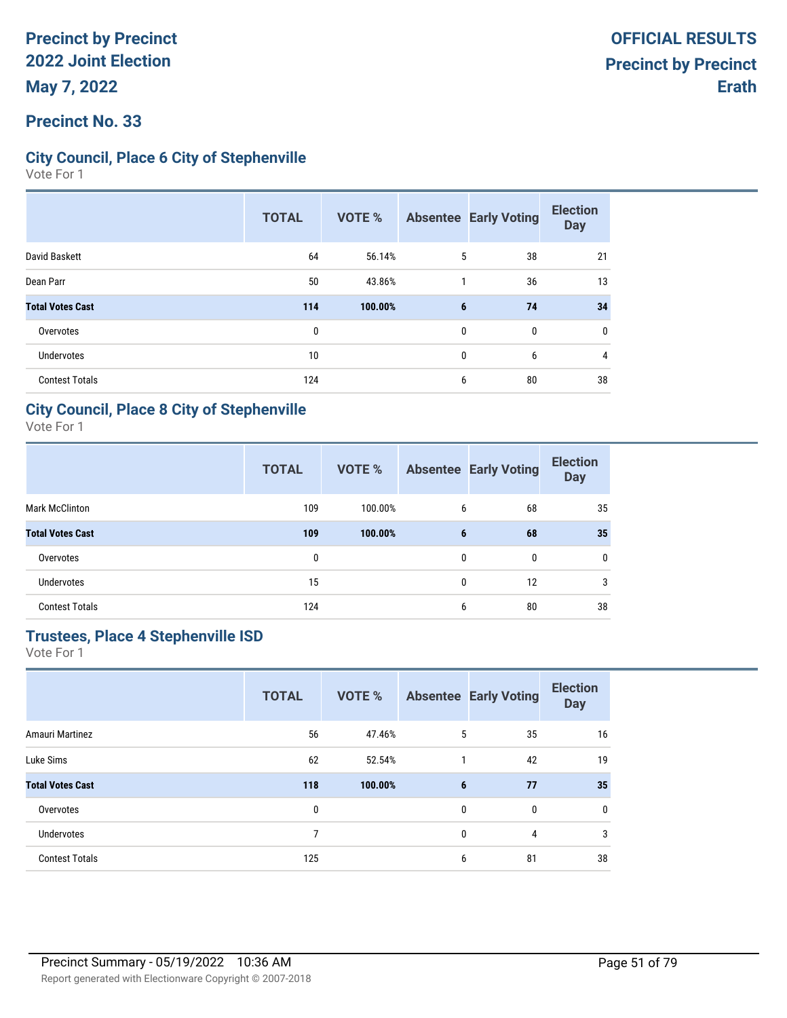### **Precinct No. 33**

### **City Council, Place 6 City of Stephenville**

Vote For 1

|                         | <b>TOTAL</b> | <b>VOTE %</b> |              | <b>Absentee Early Voting</b> | <b>Election</b><br><b>Day</b> |
|-------------------------|--------------|---------------|--------------|------------------------------|-------------------------------|
| David Baskett           | 64           | 56.14%        | 5            | 38                           | 21                            |
| Dean Parr               | 50           | 43.86%        |              | 36                           | 13                            |
| <b>Total Votes Cast</b> | 114          | 100.00%       | 6            | 74                           | 34                            |
| Overvotes               | $\mathbf{0}$ |               | $\mathbf{0}$ | 0                            | 0                             |
| Undervotes              | 10           |               | 0            | 6                            | 4                             |
| <b>Contest Totals</b>   | 124          |               | 6            | 80                           | 38                            |

#### **City Council, Place 8 City of Stephenville**

Vote For 1

|                         | <b>TOTAL</b> | <b>VOTE %</b> |              | <b>Absentee Early Voting</b> | <b>Election</b><br><b>Day</b> |
|-------------------------|--------------|---------------|--------------|------------------------------|-------------------------------|
| <b>Mark McClinton</b>   | 109          | 100.00%       | 6            | 68                           | 35                            |
| <b>Total Votes Cast</b> | 109          | 100.00%       | 6            | 68                           | 35                            |
| Overvotes               | 0            |               | $\mathbf{0}$ | $\mathbf{0}$                 | $\mathbf{0}$                  |
| <b>Undervotes</b>       | 15           |               | $\mathbf{0}$ | 12                           | 3                             |
| <b>Contest Totals</b>   | 124          |               | 6            | 80                           | 38                            |

## **Trustees, Place 4 Stephenville ISD**

|                         | <b>TOTAL</b> | <b>VOTE %</b> |              | <b>Absentee Early Voting</b> | <b>Election</b><br><b>Day</b> |
|-------------------------|--------------|---------------|--------------|------------------------------|-------------------------------|
| Amauri Martinez         | 56           | 47.46%        | 5            | 35                           | 16                            |
| Luke Sims               | 62           | 52.54%        | $\mathbf{1}$ | 42                           | 19                            |
| <b>Total Votes Cast</b> | 118          | 100.00%       | 6            | 77                           | 35                            |
| Overvotes               | 0            |               | 0            | 0                            | 0                             |
| <b>Undervotes</b>       | 7            |               | $\mathbf{0}$ | 4                            | 3                             |
| <b>Contest Totals</b>   | 125          |               | 6            | 81                           | 38                            |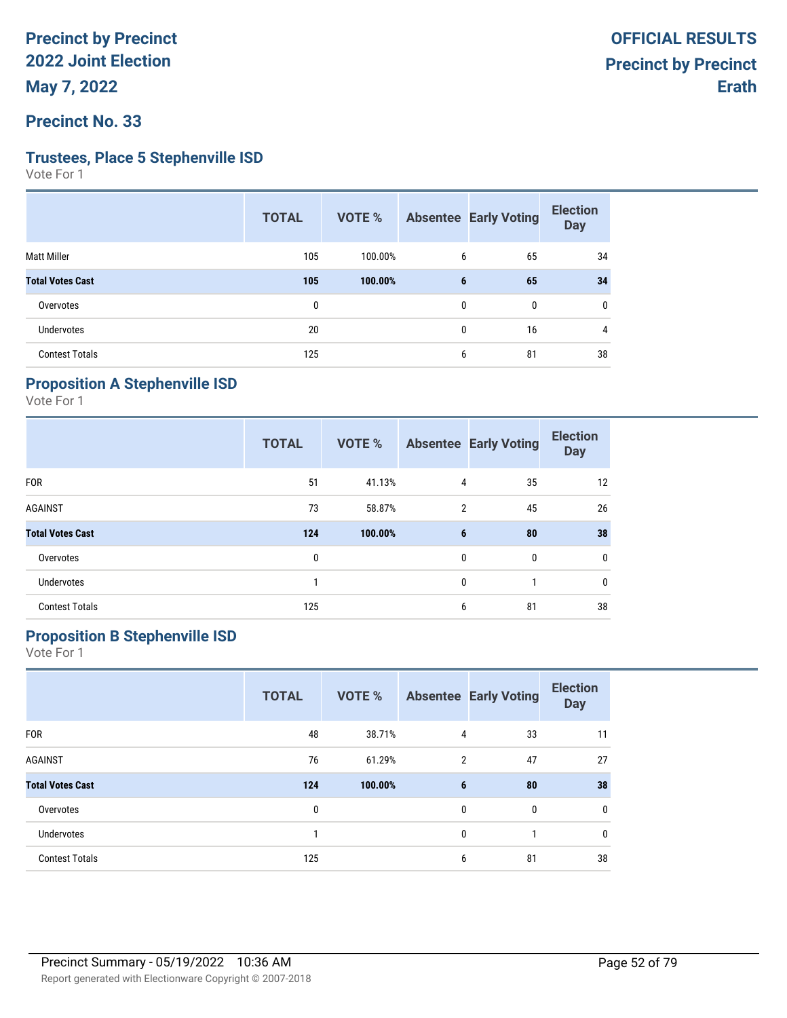**Precinct No. 33**

#### **Trustees, Place 5 Stephenville ISD**

Vote For 1

|                         | <b>TOTAL</b> | VOTE %  |              | <b>Absentee Early Voting</b> | <b>Election</b><br><b>Day</b> |
|-------------------------|--------------|---------|--------------|------------------------------|-------------------------------|
| <b>Matt Miller</b>      | 105          | 100.00% | 6            | 65                           | 34                            |
| <b>Total Votes Cast</b> | 105          | 100.00% | 6            | 65                           | 34                            |
| Overvotes               | 0            |         | $\mathbf{0}$ | 0                            | 0                             |
| Undervotes              | 20           |         | $\mathbf{0}$ | 16                           | 4                             |
| <b>Contest Totals</b>   | 125          |         | 6            | 81                           | 38                            |

## **Proposition A Stephenville ISD**

Vote For 1

|                         | <b>TOTAL</b> | VOTE %  |                | <b>Absentee Early Voting</b> | <b>Election</b><br><b>Day</b> |
|-------------------------|--------------|---------|----------------|------------------------------|-------------------------------|
| <b>FOR</b>              | 51           | 41.13%  | 4              | 35                           | 12                            |
| <b>AGAINST</b>          | 73           | 58.87%  | $\overline{2}$ | 45                           | 26                            |
| <b>Total Votes Cast</b> | 124          | 100.00% | 6              | 80                           | 38                            |
| Overvotes               | 0            |         | $\mathbf{0}$   | 0                            | 0                             |
| <b>Undervotes</b>       |              |         | $\mathbf{0}$   |                              | 0                             |
| <b>Contest Totals</b>   | 125          |         | 6              | 81                           | 38                            |

# **Proposition B Stephenville ISD**

|                         | <b>TOTAL</b> | <b>VOTE %</b> |   | <b>Absentee Early Voting</b> | <b>Election</b><br><b>Day</b> |
|-------------------------|--------------|---------------|---|------------------------------|-------------------------------|
| <b>FOR</b>              | 48           | 38.71%        | 4 | 33                           | 11                            |
| <b>AGAINST</b>          | 76           | 61.29%        | 2 | 47                           | 27                            |
| <b>Total Votes Cast</b> | 124          | 100.00%       | 6 | 80                           | 38                            |
| Overvotes               | 0            |               | 0 | 0                            | $\mathbf 0$                   |
| <b>Undervotes</b>       |              |               | 0 | 1                            | 0                             |
| <b>Contest Totals</b>   | 125          |               | 6 | 81                           | 38                            |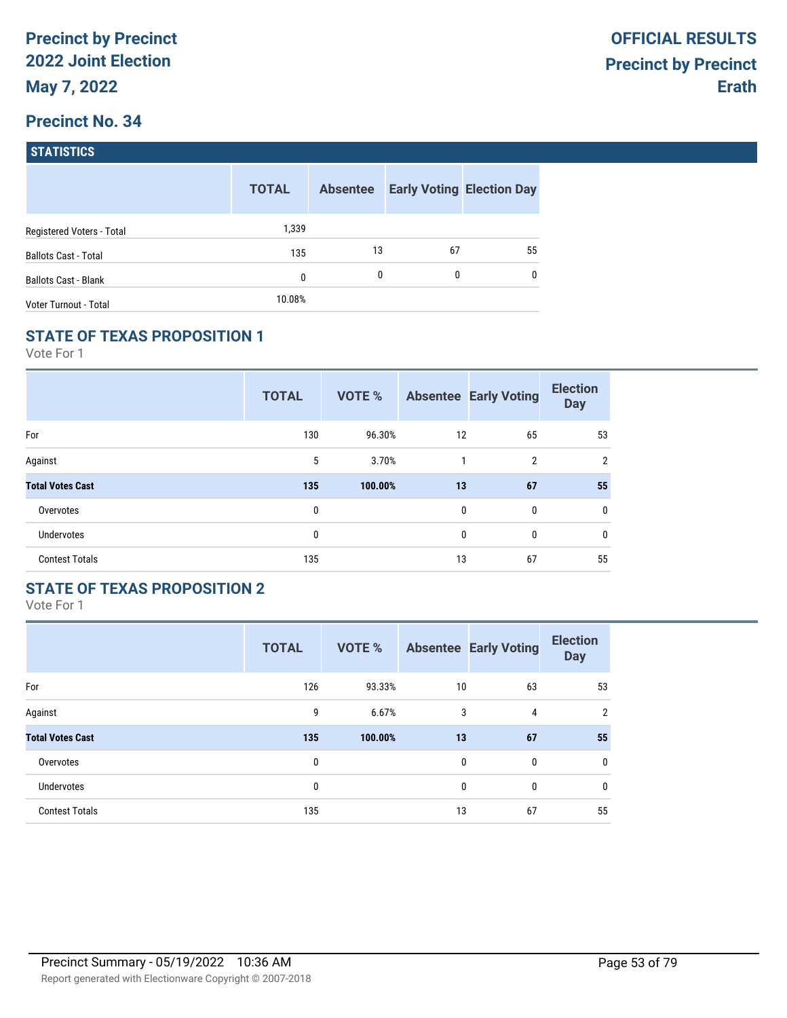| <b>STATISTICS</b> |  |
|-------------------|--|
|                   |  |

|                             | <b>TOTAL</b> | <b>Absentee</b> |    | <b>Early Voting Election Day</b> |
|-----------------------------|--------------|-----------------|----|----------------------------------|
| Registered Voters - Total   | 1,339        |                 |    |                                  |
| <b>Ballots Cast - Total</b> | 135          | 13              | 67 | 55                               |
| <b>Ballots Cast - Blank</b> | $\mathbf{0}$ | 0               | 0  | $\mathbf{0}$                     |
| Voter Turnout - Total       | 10.08%       |                 |    |                                  |

#### **STATE OF TEXAS PROPOSITION 1**

Vote For 1

|                         | <b>TOTAL</b> | <b>VOTE %</b> |              | <b>Absentee Early Voting</b> | <b>Election</b><br><b>Day</b> |
|-------------------------|--------------|---------------|--------------|------------------------------|-------------------------------|
| For                     | 130          | 96.30%        | 12           | 65                           | 53                            |
| Against                 | 5            | 3.70%         | 1            | $\overline{2}$               | $\overline{2}$                |
| <b>Total Votes Cast</b> | 135          | 100.00%       | 13           | 67                           | 55                            |
| Overvotes               | 0            |               | $\mathbf{0}$ | 0                            | $\mathbf{0}$                  |
| <b>Undervotes</b>       | 0            |               | 0            | 0                            | 0                             |
| <b>Contest Totals</b>   | 135          |               | 13           | 67                           | 55                            |

## **STATE OF TEXAS PROPOSITION 2**

|                         | <b>TOTAL</b> | <b>VOTE %</b> |              | <b>Absentee Early Voting</b> | <b>Election</b><br><b>Day</b> |
|-------------------------|--------------|---------------|--------------|------------------------------|-------------------------------|
| For                     | 126          | 93.33%        | 10           | 63                           | 53                            |
| Against                 | 9            | 6.67%         | 3            | 4                            | $\overline{2}$                |
| <b>Total Votes Cast</b> | 135          | 100.00%       | 13           | 67                           | 55                            |
| Overvotes               | 0            |               | $\mathbf{0}$ | $\mathbf{0}$                 | 0                             |
| Undervotes              | 0            |               | $\mathbf{0}$ | 0                            | $\mathbf 0$                   |
| <b>Contest Totals</b>   | 135          |               | 13           | 67                           | 55                            |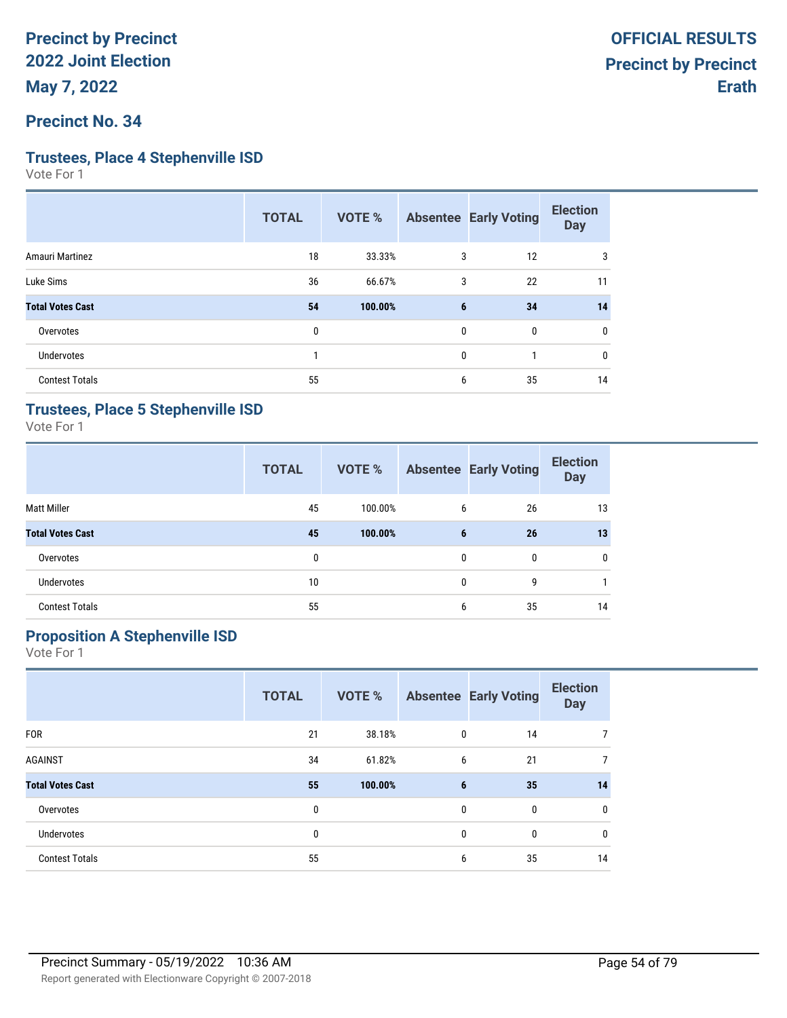#### **Precinct No. 34**

#### **Trustees, Place 4 Stephenville ISD**

Vote For 1

|                         | <b>TOTAL</b> | VOTE %  |              | <b>Absentee Early Voting</b> | <b>Election</b><br><b>Day</b> |
|-------------------------|--------------|---------|--------------|------------------------------|-------------------------------|
| Amauri Martinez         | 18           | 33.33%  | 3            | 12                           | 3                             |
| Luke Sims               | 36           | 66.67%  | 3            | 22                           | 11                            |
| <b>Total Votes Cast</b> | 54           | 100.00% | 6            | 34                           | 14                            |
| Overvotes               | 0            |         | $\mathbf{0}$ | 0                            | 0                             |
| <b>Undervotes</b>       |              |         | $\mathbf{0}$ |                              | $\mathbf{0}$                  |
| <b>Contest Totals</b>   | 55           |         | 6            | 35                           | 14                            |

#### **Trustees, Place 5 Stephenville ISD**

Vote For 1

|                         | <b>TOTAL</b> | VOTE %  |   | <b>Absentee Early Voting</b> | <b>Election</b><br><b>Day</b> |
|-------------------------|--------------|---------|---|------------------------------|-------------------------------|
| <b>Matt Miller</b>      | 45           | 100.00% | 6 | 26                           | 13                            |
| <b>Total Votes Cast</b> | 45           | 100.00% | 6 | 26                           | 13                            |
| Overvotes               | 0            |         | 0 | $\mathbf{0}$                 | 0                             |
| <b>Undervotes</b>       | 10           |         | 0 | 9                            |                               |
| <b>Contest Totals</b>   | 55           |         | 6 | 35                           | 14                            |

# **Proposition A Stephenville ISD**

|                         | <b>TOTAL</b> | <b>VOTE %</b> |   | <b>Absentee Early Voting</b> | <b>Election</b><br><b>Day</b> |
|-------------------------|--------------|---------------|---|------------------------------|-------------------------------|
| <b>FOR</b>              | 21           | 38.18%        | 0 | 14                           | 7                             |
| <b>AGAINST</b>          | 34           | 61.82%        | 6 | 21                           | $\overline{7}$                |
| <b>Total Votes Cast</b> | 55           | 100.00%       | 6 | 35                           | 14                            |
| Overvotes               | 0            |               | 0 | 0                            | 0                             |
| <b>Undervotes</b>       | 0            |               | 0 | 0                            | 0                             |
| <b>Contest Totals</b>   | 55           |               | 6 | 35                           | 14                            |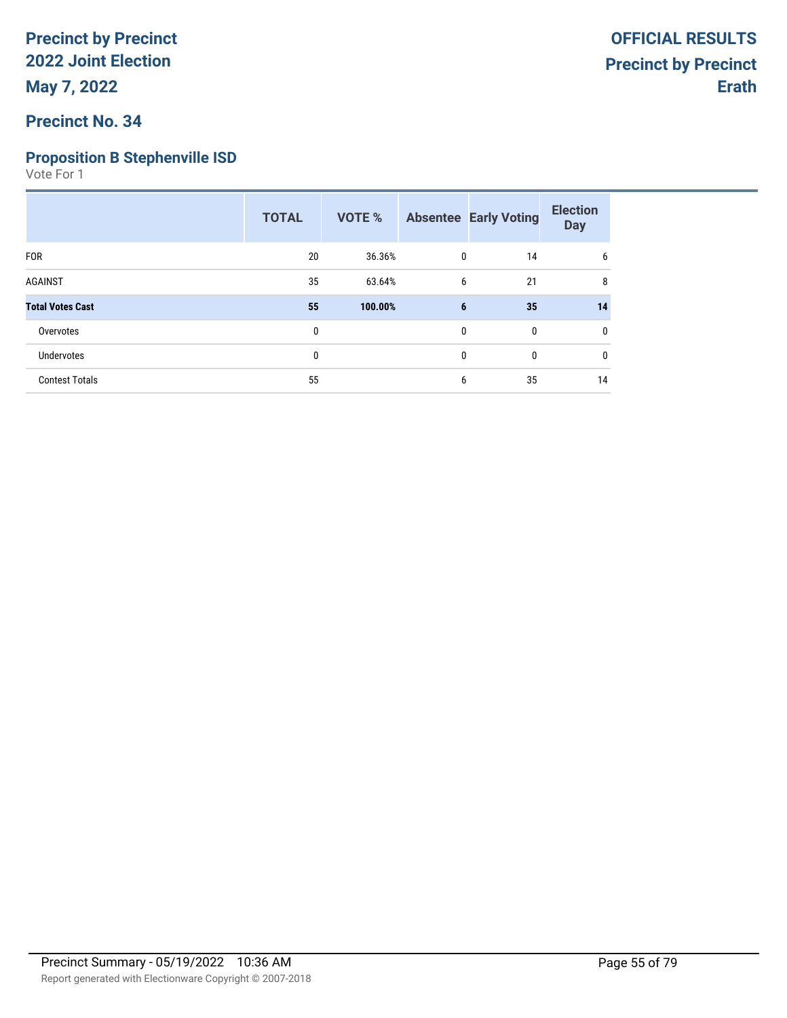## **Precinct No. 34**

### **Proposition B Stephenville ISD**

|                         | <b>TOTAL</b> | VOTE %  |   | <b>Absentee Early Voting</b> | <b>Election</b><br><b>Day</b> |
|-------------------------|--------------|---------|---|------------------------------|-------------------------------|
| <b>FOR</b>              | 20           | 36.36%  | 0 | 14                           | 6                             |
| <b>AGAINST</b>          | 35           | 63.64%  | 6 | 21                           | 8                             |
| <b>Total Votes Cast</b> | 55           | 100.00% | 6 | 35                           | 14                            |
| Overvotes               | 0            |         | 0 | $\mathbf 0$                  | 0                             |
| Undervotes              | 0            |         | 0 | $\mathbf 0$                  | $\mathbf{0}$                  |
| <b>Contest Totals</b>   | 55           |         | 6 | 35                           | 14                            |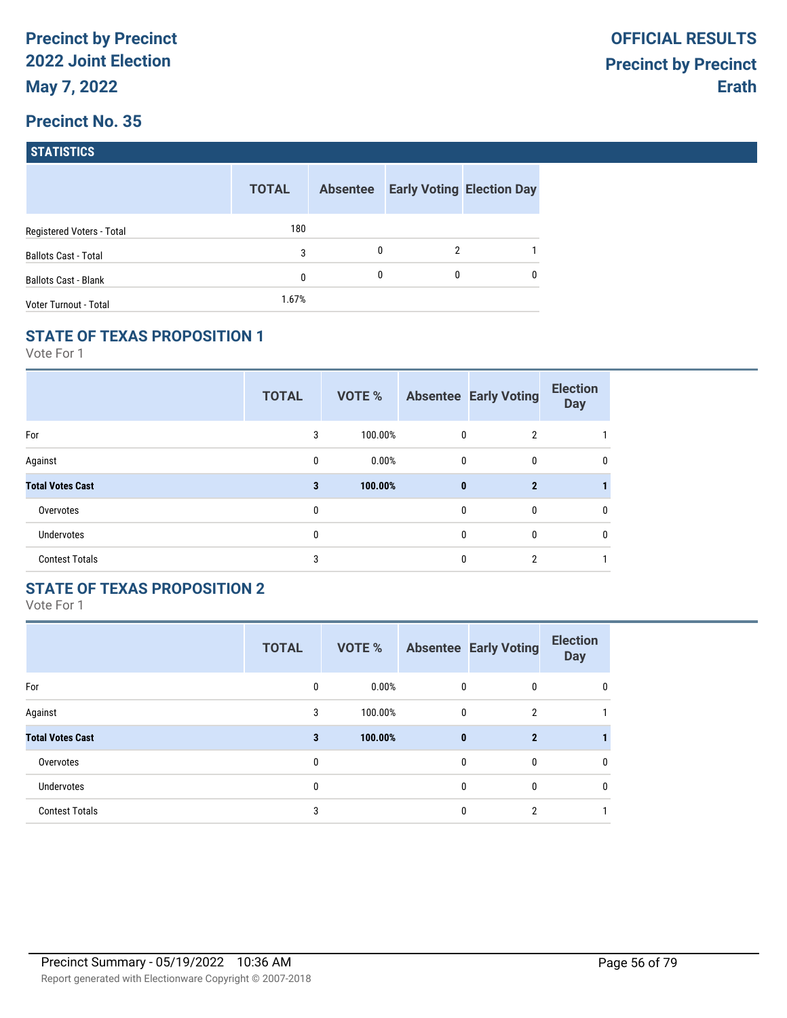| <b>STATISTICS</b> |
|-------------------|
|                   |

|                             | <b>TOTAL</b> | <b>Absentee</b> |   | <b>Early Voting Election Day</b> |
|-----------------------------|--------------|-----------------|---|----------------------------------|
| Registered Voters - Total   | 180          |                 |   |                                  |
| <b>Ballots Cast - Total</b> | 3            | 0               | 2 |                                  |
| <b>Ballots Cast - Blank</b> | 0            | 0               | 0 | $\mathbf{0}$                     |
| Voter Turnout - Total       | 1.67%        |                 |   |                                  |

## **STATE OF TEXAS PROPOSITION 1**

Vote For 1

|                         | <b>TOTAL</b> | VOTE %  |              | <b>Absentee Early Voting</b> | <b>Election</b><br><b>Day</b> |
|-------------------------|--------------|---------|--------------|------------------------------|-------------------------------|
| For                     | 3            | 100.00% | $\mathbf 0$  | $\overline{2}$               |                               |
| Against                 | 0            | 0.00%   | $\mathbf 0$  | 0                            | 0                             |
| <b>Total Votes Cast</b> | 3            | 100.00% | $\mathbf{0}$ | $\mathbf{2}$                 |                               |
| Overvotes               | 0            |         | $\mathbf{0}$ | 0                            | 0                             |
| Undervotes              | 0            |         | $\mathbf{0}$ | $\mathbf{0}$                 | 0                             |
| <b>Contest Totals</b>   | 3            |         | $\mathbf{0}$ | $\overline{2}$               |                               |

## **STATE OF TEXAS PROPOSITION 2**

|                         | <b>TOTAL</b> | VOTE %  |              | <b>Absentee Early Voting</b> | <b>Election</b><br><b>Day</b> |
|-------------------------|--------------|---------|--------------|------------------------------|-------------------------------|
| For                     | $\mathbf{0}$ | 0.00%   | $\mathbf{0}$ | $\mathbf{0}$                 | 0                             |
| Against                 | 3            | 100.00% | $\mathbf{0}$ | $\overline{2}$               |                               |
| <b>Total Votes Cast</b> | 3            | 100.00% | $\mathbf{0}$ | $\mathbf{2}$                 |                               |
| Overvotes               | 0            |         | $\mathbf{0}$ | $\mathbf{0}$                 | 0                             |
| <b>Undervotes</b>       | 0            |         | $\mathbf{0}$ | $\mathbf{0}$                 | 0                             |
| <b>Contest Totals</b>   | 3            |         | $\Omega$     | 2                            |                               |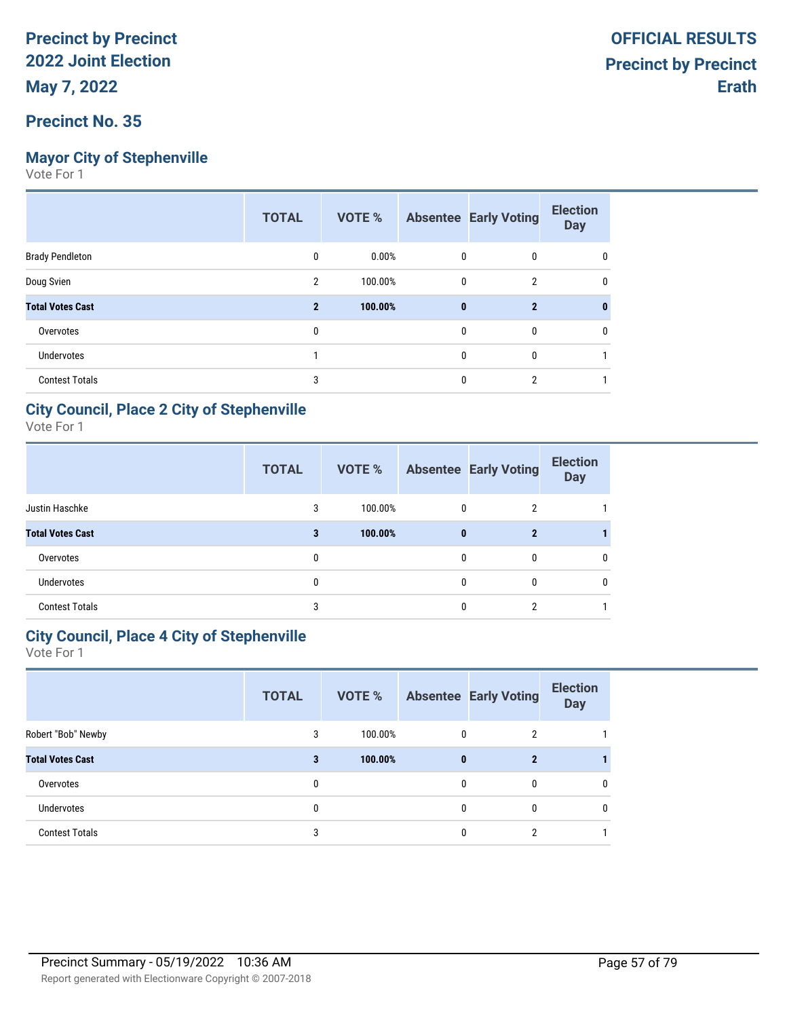## **Mayor City of Stephenville**

Vote For 1

|                         | <b>TOTAL</b>   | VOTE %  |              | <b>Absentee Early Voting</b> | <b>Election</b><br><b>Day</b> |
|-------------------------|----------------|---------|--------------|------------------------------|-------------------------------|
| <b>Brady Pendleton</b>  | 0              | 0.00%   | 0            | 0                            | 0                             |
| Doug Svien              | 2              | 100.00% | 0            | 2                            | 0                             |
| <b>Total Votes Cast</b> | $\overline{2}$ | 100.00% | $\bf{0}$     | $\mathbf{2}$                 |                               |
| Overvotes               | 0              |         | $\mathbf{0}$ | 0                            | 0                             |
| <b>Undervotes</b>       |                |         | $\mathbf{0}$ | 0                            |                               |
| <b>Contest Totals</b>   | 3              |         | $\Omega$     | $\overline{2}$               |                               |

## **City Council, Place 2 City of Stephenville**

Vote For 1

|                         | <b>TOTAL</b> | <b>VOTE %</b> |              | <b>Absentee Early Voting</b> | <b>Election</b><br><b>Day</b> |
|-------------------------|--------------|---------------|--------------|------------------------------|-------------------------------|
| Justin Haschke          | 3            | 100.00%       | $\mathbf{0}$ | 2                            |                               |
| <b>Total Votes Cast</b> | 3            | 100.00%       | $\bf{0}$     | $\mathbf{2}$                 |                               |
| Overvotes               | 0            |               | 0            | 0                            | 0                             |
| <b>Undervotes</b>       |              |               | 0            | 0                            | $\mathbf{0}$                  |
| <b>Contest Totals</b>   | 3            |               | O            | ∩                            |                               |

#### **City Council, Place 4 City of Stephenville**

|                         | <b>TOTAL</b> | VOTE %  |              | <b>Absentee Early Voting</b> | <b>Election</b><br><b>Day</b> |
|-------------------------|--------------|---------|--------------|------------------------------|-------------------------------|
| Robert "Bob" Newby      | 3            | 100.00% | $\mathbf{0}$ | 2                            |                               |
| <b>Total Votes Cast</b> | 3            | 100.00% | $\bf{0}$     | 2                            |                               |
| Overvotes               | 0            |         | $\mathbf{0}$ | 0                            | $\mathbf{0}$                  |
| <b>Undervotes</b>       | 0            |         | 0            | 0                            | $\mathbf{0}$                  |
| <b>Contest Totals</b>   | 3            |         | 0            | 2                            |                               |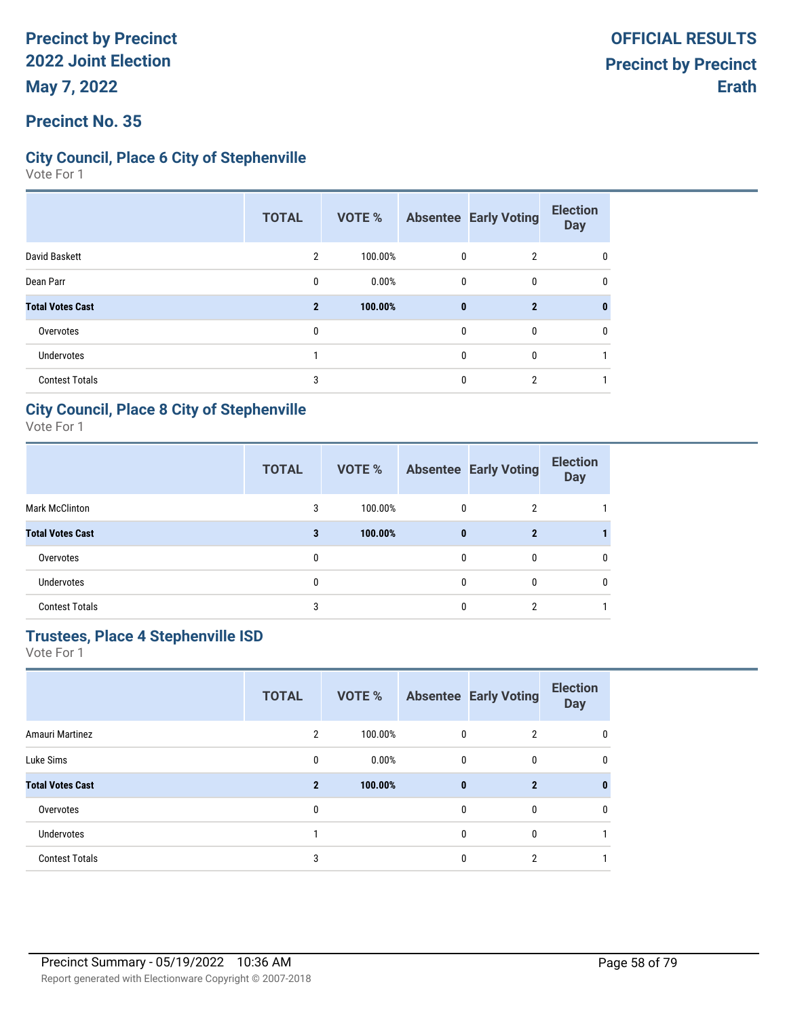### **Precinct No. 35**

### **City Council, Place 6 City of Stephenville**

Vote For 1

|                         | <b>TOTAL</b>   | <b>VOTE %</b> |              | <b>Absentee Early Voting</b> | <b>Election</b><br><b>Day</b> |
|-------------------------|----------------|---------------|--------------|------------------------------|-------------------------------|
| David Baskett           | $\overline{2}$ | 100.00%       | 0            | $\overline{2}$               | 0                             |
| Dean Parr               | 0              | 0.00%         | 0            | $\mathbf{0}$                 | 0                             |
| <b>Total Votes Cast</b> | $\mathbf{2}$   | 100.00%       | $\mathbf{0}$ | $\mathbf{2}$                 |                               |
| Overvotes               | 0              |               | $\mathbf{0}$ | $\mathbf{0}$                 | 0                             |
| <b>Undervotes</b>       |                |               | 0            | $\mathbf{0}$                 |                               |
| <b>Contest Totals</b>   | 3              |               | 0            | 2                            |                               |

#### **City Council, Place 8 City of Stephenville**

Vote For 1

|                         | <b>TOTAL</b> | VOTE %  |          | <b>Absentee Early Voting</b> | <b>Election</b><br><b>Day</b> |
|-------------------------|--------------|---------|----------|------------------------------|-------------------------------|
| <b>Mark McClinton</b>   | 3            | 100.00% | $\Omega$ | 2                            |                               |
| <b>Total Votes Cast</b> | 3            | 100.00% | $\bf{0}$ | $\mathbf{2}$                 |                               |
| Overvotes               | 0            |         | 0        | 0                            | 0                             |
| <b>Undervotes</b>       | 0            |         |          | 0                            | 0                             |
| <b>Contest Totals</b>   | 3            |         |          |                              |                               |

# **Trustees, Place 4 Stephenville ISD**

|                         | <b>TOTAL</b>   | <b>VOTE %</b> |              | <b>Absentee Early Voting</b> | <b>Election</b><br><b>Day</b> |
|-------------------------|----------------|---------------|--------------|------------------------------|-------------------------------|
| Amauri Martinez         | 2              | 100.00%       | 0            | $\overline{2}$               | 0                             |
| Luke Sims               | 0              | 0.00%         | 0            | 0                            | 0                             |
| <b>Total Votes Cast</b> | $\overline{2}$ | 100.00%       | $\bf{0}$     | $\overline{2}$               | 0                             |
| Overvotes               | 0              |               | $\mathbf{0}$ | $\mathbf{0}$                 | 0                             |
| <b>Undervotes</b>       |                |               | $\mathbf{0}$ | $\mathbf{0}$                 |                               |
| <b>Contest Totals</b>   | 3              |               | $\mathbf{0}$ | 2                            |                               |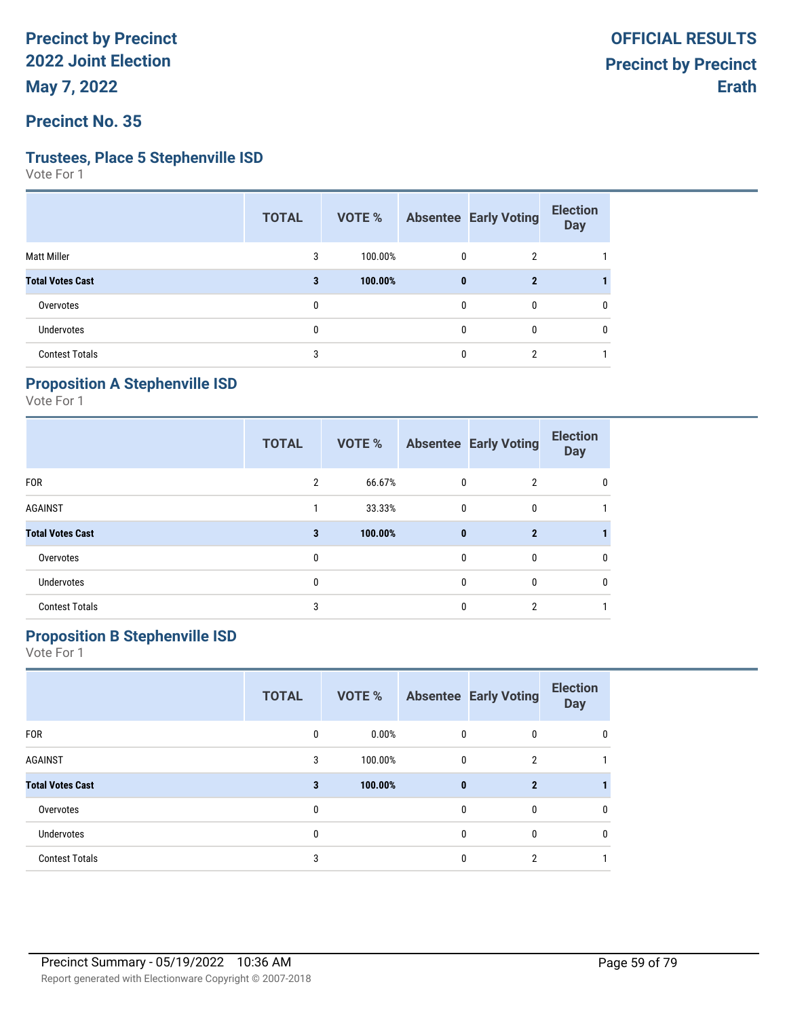**Precinct No. 35**

#### **Trustees, Place 5 Stephenville ISD**

Vote For 1

|                         | <b>TOTAL</b> | VOTE %  |          | <b>Absentee Early Voting</b> | <b>Election</b><br><b>Day</b> |
|-------------------------|--------------|---------|----------|------------------------------|-------------------------------|
| <b>Matt Miller</b>      | 3            | 100.00% | 0        | $\overline{2}$               |                               |
| <b>Total Votes Cast</b> | 3            | 100.00% | $\bf{0}$ | $\mathbf{2}$                 |                               |
| Overvotes               | 0            |         | 0        | 0                            | 0                             |
| Undervotes              | 0            |         | 0        | $\mathbf{0}$                 | 0                             |
| <b>Contest Totals</b>   | 3            |         | 0        | 2                            |                               |

# **Proposition A Stephenville ISD**

Vote For 1

|                         | <b>TOTAL</b> | <b>VOTE %</b> |              | <b>Absentee Early Voting</b> | <b>Election</b><br><b>Day</b> |
|-------------------------|--------------|---------------|--------------|------------------------------|-------------------------------|
| <b>FOR</b>              | 2            | 66.67%        | 0            | $\overline{2}$               | 0                             |
| <b>AGAINST</b>          |              | 33.33%        | 0            | 0                            |                               |
| <b>Total Votes Cast</b> | 3            | 100.00%       | $\bf{0}$     | $\overline{2}$               |                               |
| Overvotes               | 0            |               | $\mathbf{0}$ | $\mathbf{0}$                 | 0                             |
| <b>Undervotes</b>       | 0            |               | 0            | 0                            | 0                             |
| <b>Contest Totals</b>   | 3            |               | 0            | 2                            |                               |

# **Proposition B Stephenville ISD**

|                         | <b>TOTAL</b> | <b>VOTE %</b> |              | <b>Absentee Early Voting</b> | <b>Election</b><br><b>Day</b> |
|-------------------------|--------------|---------------|--------------|------------------------------|-------------------------------|
| <b>FOR</b>              | 0            | 0.00%         | 0            | 0                            | 0                             |
| <b>AGAINST</b>          | 3            | 100.00%       | 0            | $\overline{2}$               |                               |
| <b>Total Votes Cast</b> | 3            | 100.00%       | $\mathbf{0}$ | $\mathbf{2}$                 |                               |
| Overvotes               | 0            |               | $\mathbf{0}$ | 0                            | 0                             |
| <b>Undervotes</b>       | 0            |               | $\mathbf{0}$ | 0                            | 0                             |
| <b>Contest Totals</b>   | 3            |               | 0            | 2                            |                               |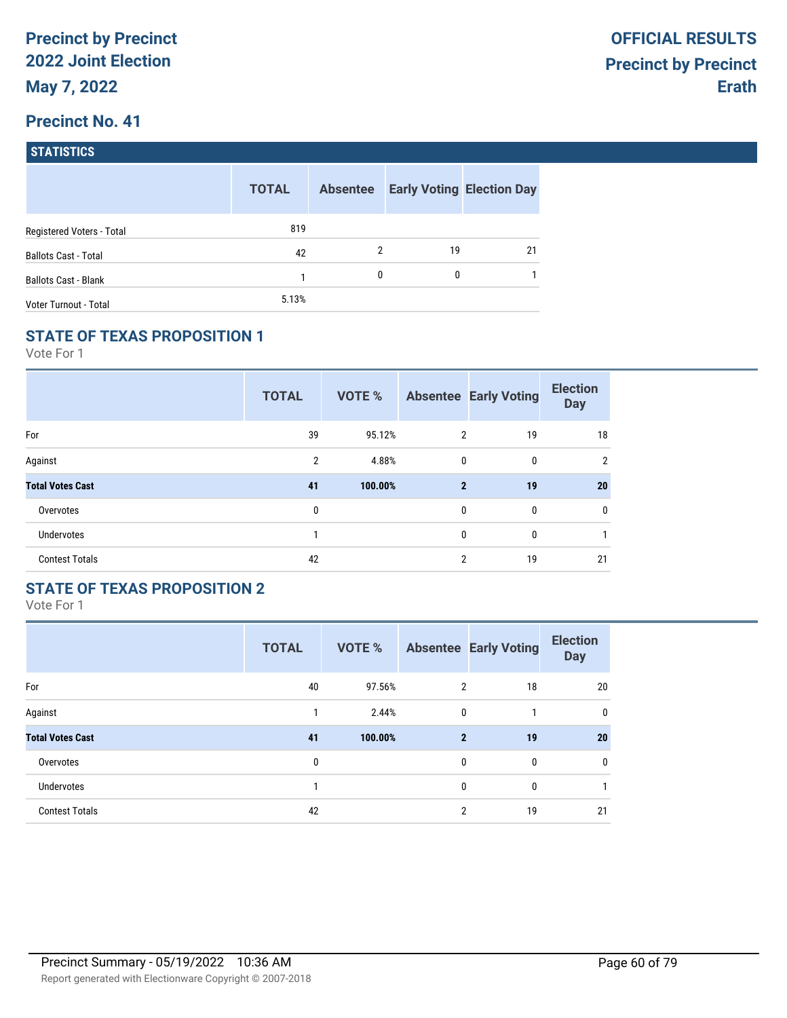| <b>STATISTICS</b> |  |
|-------------------|--|
|                   |  |

|                             | <b>TOTAL</b> | <b>Absentee</b> |    | <b>Early Voting Election Day</b> |
|-----------------------------|--------------|-----------------|----|----------------------------------|
| Registered Voters - Total   | 819          |                 |    |                                  |
| <b>Ballots Cast - Total</b> | 42           | 2               | 19 | 21                               |
| <b>Ballots Cast - Blank</b> |              | $\mathbf{0}$    | 0  |                                  |
| Voter Turnout - Total       | 5.13%        |                 |    |                                  |

## **STATE OF TEXAS PROPOSITION 1**

Vote For 1

|                         | <b>TOTAL</b>   | VOTE %  |                | <b>Absentee Early Voting</b> | <b>Election</b><br><b>Day</b> |
|-------------------------|----------------|---------|----------------|------------------------------|-------------------------------|
| For                     | 39             | 95.12%  | $\overline{2}$ | 19                           | 18                            |
| Against                 | $\overline{2}$ | 4.88%   | $\mathbf 0$    | 0                            | $\overline{2}$                |
| <b>Total Votes Cast</b> | 41             | 100.00% | $\mathbf{2}$   | 19                           | 20                            |
| Overvotes               | 0              |         | $\mathbf{0}$   | 0                            | $\mathbf{0}$                  |
| <b>Undervotes</b>       | 1              |         | 0              | 0                            | 1                             |
| <b>Contest Totals</b>   | 42             |         | $\overline{2}$ | 19                           | 21                            |

#### **STATE OF TEXAS PROPOSITION 2**

|                         | <b>TOTAL</b> | <b>VOTE %</b> |                | <b>Absentee Early Voting</b> | <b>Election</b><br><b>Day</b> |
|-------------------------|--------------|---------------|----------------|------------------------------|-------------------------------|
| For                     | 40           | 97.56%        | $\overline{2}$ | 18                           | 20                            |
| Against                 | 1            | 2.44%         | $\mathbf{0}$   |                              | 0                             |
| <b>Total Votes Cast</b> | 41           | 100.00%       | $\mathbf{2}$   | 19                           | 20                            |
| Overvotes               | 0            |               | $\mathbf{0}$   | $\mathbf{0}$                 | 0                             |
| <b>Undervotes</b>       | 1            |               | $\mathbf{0}$   | 0                            |                               |
| <b>Contest Totals</b>   | 42           |               | 2              | 19                           | 21                            |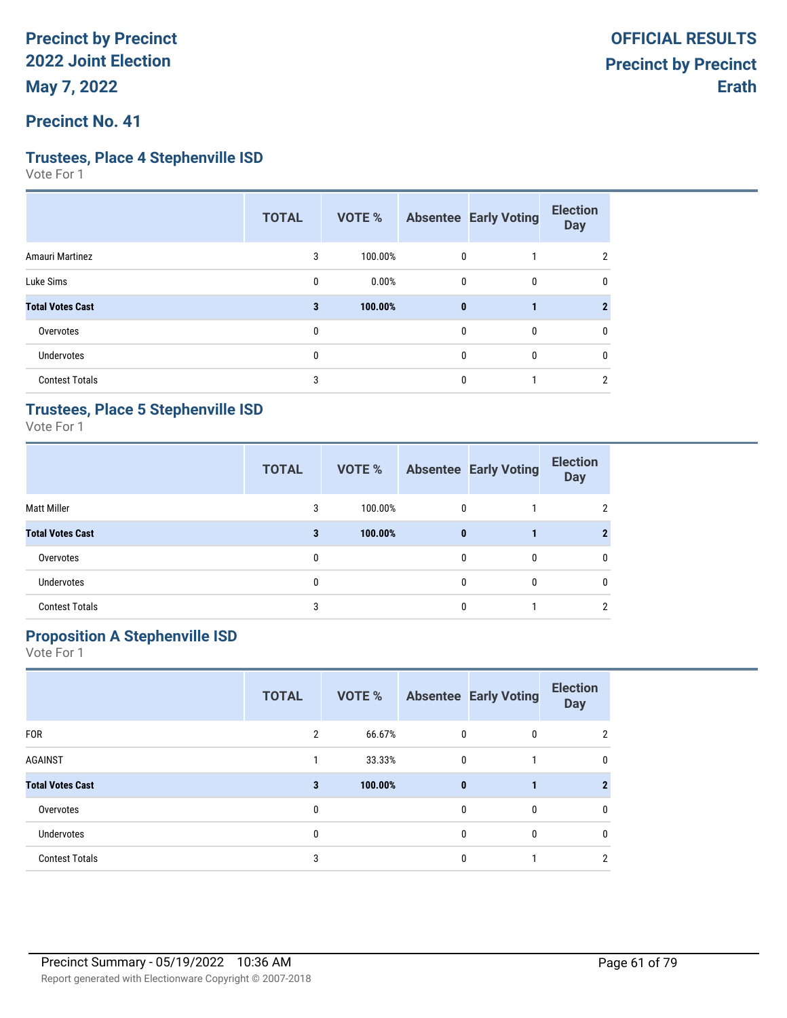### **Precinct No. 41**

#### **Trustees, Place 4 Stephenville ISD**

Vote For 1

|                         | <b>TOTAL</b> | VOTE %  |              | <b>Absentee Early Voting</b> | <b>Election</b><br><b>Day</b> |
|-------------------------|--------------|---------|--------------|------------------------------|-------------------------------|
| Amauri Martinez         | 3            | 100.00% | 0            |                              | 2                             |
| Luke Sims               | 0            | 0.00%   | 0            | 0                            | 0                             |
| <b>Total Votes Cast</b> | 3            | 100.00% | $\mathbf{0}$ |                              |                               |
| Overvotes               | $\mathbf{0}$ |         | 0            | 0                            | 0                             |
| <b>Undervotes</b>       | 0            |         | 0            | 0                            | $\mathbf{0}$                  |
| <b>Contest Totals</b>   | 3            |         | 0            |                              | 2                             |

#### **Trustees, Place 5 Stephenville ISD**

Vote For 1

|                         | <b>TOTAL</b> | <b>VOTE %</b> |              | <b>Absentee Early Voting</b> | <b>Election</b><br><b>Day</b> |
|-------------------------|--------------|---------------|--------------|------------------------------|-------------------------------|
| <b>Matt Miller</b>      | 3            | 100.00%       | $\mathbf{0}$ |                              | 2                             |
| <b>Total Votes Cast</b> | 3            | 100.00%       | $\bf{0}$     |                              | 2                             |
| Overvotes               | 0            |               | 0            | 0                            | 0                             |
| <b>Undervotes</b>       | 0            |               | 0            | 0                            | $\mathbf{0}$                  |
| <b>Contest Totals</b>   | 3            |               | 0            |                              | 2                             |

# **Proposition A Stephenville ISD**

|                         | <b>TOTAL</b>   | <b>VOTE %</b> |              | <b>Absentee Early Voting</b> | <b>Election</b><br><b>Day</b> |
|-------------------------|----------------|---------------|--------------|------------------------------|-------------------------------|
| <b>FOR</b>              | $\overline{2}$ | 66.67%        | 0            | 0                            | 2                             |
| <b>AGAINST</b>          |                | 33.33%        | 0            |                              | 0                             |
| <b>Total Votes Cast</b> | 3              | 100.00%       | $\mathbf{0}$ |                              | 2                             |
| Overvotes               | 0              |               | 0            | 0                            | 0                             |
| <b>Undervotes</b>       | 0              |               | 0            | $\mathbf{0}$                 | $\mathbf{0}$                  |
| <b>Contest Totals</b>   | 3              |               | 0            |                              | 2                             |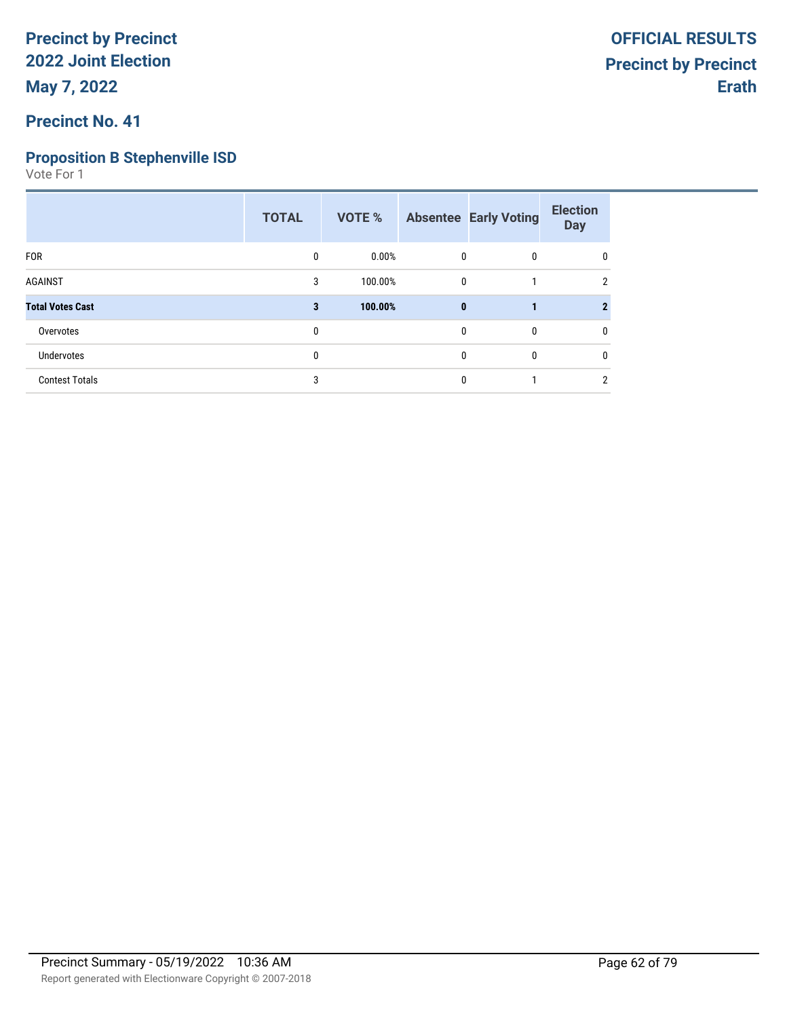# **Precinct No. 41**

## **Proposition B Stephenville ISD**

|                         | <b>TOTAL</b> | VOTE %   |              | <b>Absentee Early Voting</b> | <b>Election</b><br><b>Day</b> |
|-------------------------|--------------|----------|--------------|------------------------------|-------------------------------|
| <b>FOR</b>              | 0            | $0.00\%$ | 0            | 0                            | 0                             |
| <b>AGAINST</b>          | 3            | 100.00%  | 0            |                              | $\mathfrak{p}$                |
| <b>Total Votes Cast</b> | 3            | 100.00%  | $\mathbf{0}$ |                              |                               |
| Overvotes               | 0            |          | $\mathbf 0$  | 0                            | 0                             |
| Undervotes              | 0            |          | $\mathbf{0}$ | 0                            | $\mathbf{0}$                  |
| <b>Contest Totals</b>   | 3            |          | 0            |                              | $\overline{2}$                |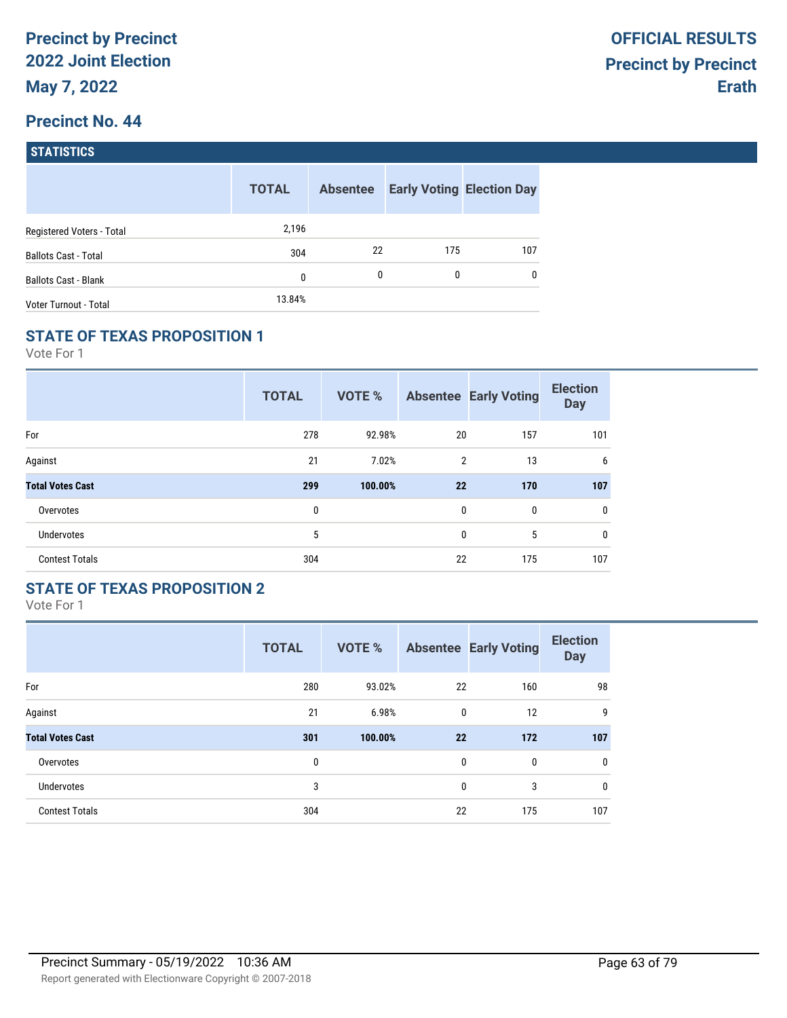| <b>STATISTICS</b> |  |
|-------------------|--|
|                   |  |

|                             | <b>TOTAL</b> | <b>Absentee</b> |     | <b>Early Voting Election Day</b> |
|-----------------------------|--------------|-----------------|-----|----------------------------------|
| Registered Voters - Total   | 2,196        |                 |     |                                  |
| <b>Ballots Cast - Total</b> | 304          | 22              | 175 | 107                              |
| <b>Ballots Cast - Blank</b> | 0            | 0               | 0   | $\mathbf{0}$                     |
| Voter Turnout - Total       | 13.84%       |                 |     |                                  |

## **STATE OF TEXAS PROPOSITION 1**

Vote For 1

|                         | <b>TOTAL</b> | VOTE %  |    | <b>Absentee Early Voting</b> | <b>Election</b><br><b>Day</b> |
|-------------------------|--------------|---------|----|------------------------------|-------------------------------|
| For                     | 278          | 92.98%  | 20 | 157                          | 101                           |
| Against                 | 21           | 7.02%   | 2  | 13                           | 6                             |
| <b>Total Votes Cast</b> | 299          | 100.00% | 22 | 170                          | 107                           |
| Overvotes               | 0            |         | 0  | 0                            | $\mathbf{0}$                  |
| <b>Undervotes</b>       | 5            |         | 0  | 5                            | $\mathbf 0$                   |
| <b>Contest Totals</b>   | 304          |         | 22 | 175                          | 107                           |

## **STATE OF TEXAS PROPOSITION 2**

|                         | <b>TOTAL</b> | <b>VOTE %</b> |              | <b>Absentee Early Voting</b> | <b>Election</b><br><b>Day</b> |
|-------------------------|--------------|---------------|--------------|------------------------------|-------------------------------|
| For                     | 280          | 93.02%        | 22           | 160                          | 98                            |
| Against                 | 21           | 6.98%         | $\mathbf{0}$ | 12                           | 9                             |
| <b>Total Votes Cast</b> | 301          | 100.00%       | 22           | 172                          | 107                           |
| Overvotes               | 0            |               | $\mathbf{0}$ | $\mathbf{0}$                 | 0                             |
| <b>Undervotes</b>       | 3            |               | 0            | 3                            | 0                             |
| <b>Contest Totals</b>   | 304          |               | 22           | 175                          | 107                           |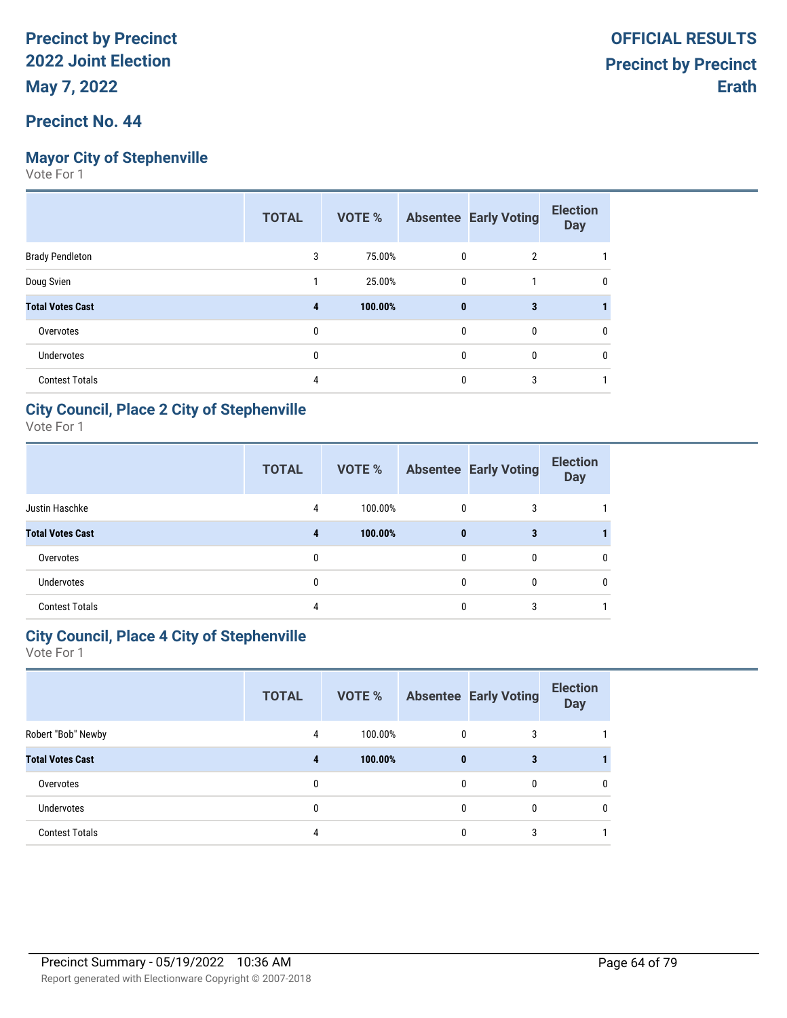#### **Precinct No. 44**

### **Mayor City of Stephenville**

Vote For 1

|                         | <b>TOTAL</b> | VOTE %  |          | <b>Absentee Early Voting</b> | <b>Election</b><br><b>Day</b> |
|-------------------------|--------------|---------|----------|------------------------------|-------------------------------|
| <b>Brady Pendleton</b>  | 3            | 75.00%  | 0        | $\overline{2}$               |                               |
| Doug Svien              |              | 25.00%  | 0        |                              | 0                             |
| <b>Total Votes Cast</b> | 4            | 100.00% | $\bf{0}$ | 3                            |                               |
| Overvotes               | $\mathbf{0}$ |         | 0        | 0                            | 0                             |
| <b>Undervotes</b>       | 0            |         | 0        | 0                            | 0                             |
| <b>Contest Totals</b>   | 4            |         | 0        | 3                            |                               |

#### **City Council, Place 2 City of Stephenville**

Vote For 1

|                         | <b>TOTAL</b> | VOTE %  |              | <b>Absentee Early Voting</b> | <b>Election</b><br><b>Day</b> |
|-------------------------|--------------|---------|--------------|------------------------------|-------------------------------|
| Justin Haschke          | 4            | 100.00% | $\mathbf{0}$ | 3                            |                               |
| <b>Total Votes Cast</b> | 4            | 100.00% | $\bf{0}$     | 3                            |                               |
| Overvotes               |              |         | 0            | 0                            | $\mathbf{0}$                  |
| <b>Undervotes</b>       | 0            |         | 0            | 0                            | 0                             |
| <b>Contest Totals</b>   |              |         |              | 3                            |                               |

## **City Council, Place 4 City of Stephenville**

|                         | <b>TOTAL</b> | VOTE %  |              | <b>Absentee Early Voting</b> | <b>Election</b><br><b>Day</b> |
|-------------------------|--------------|---------|--------------|------------------------------|-------------------------------|
| Robert "Bob" Newby      | 4            | 100.00% | 0            | 3                            |                               |
| <b>Total Votes Cast</b> | 4            | 100.00% | $\bf{0}$     | 3                            |                               |
| Overvotes               | $\Omega$     |         | $\mathbf{0}$ | $\mathbf{0}$                 | $\mathbf{0}$                  |
| <b>Undervotes</b>       | 0            |         | 0            | 0                            | $\mathbf{0}$                  |
| <b>Contest Totals</b>   |              |         | 0            | 3                            |                               |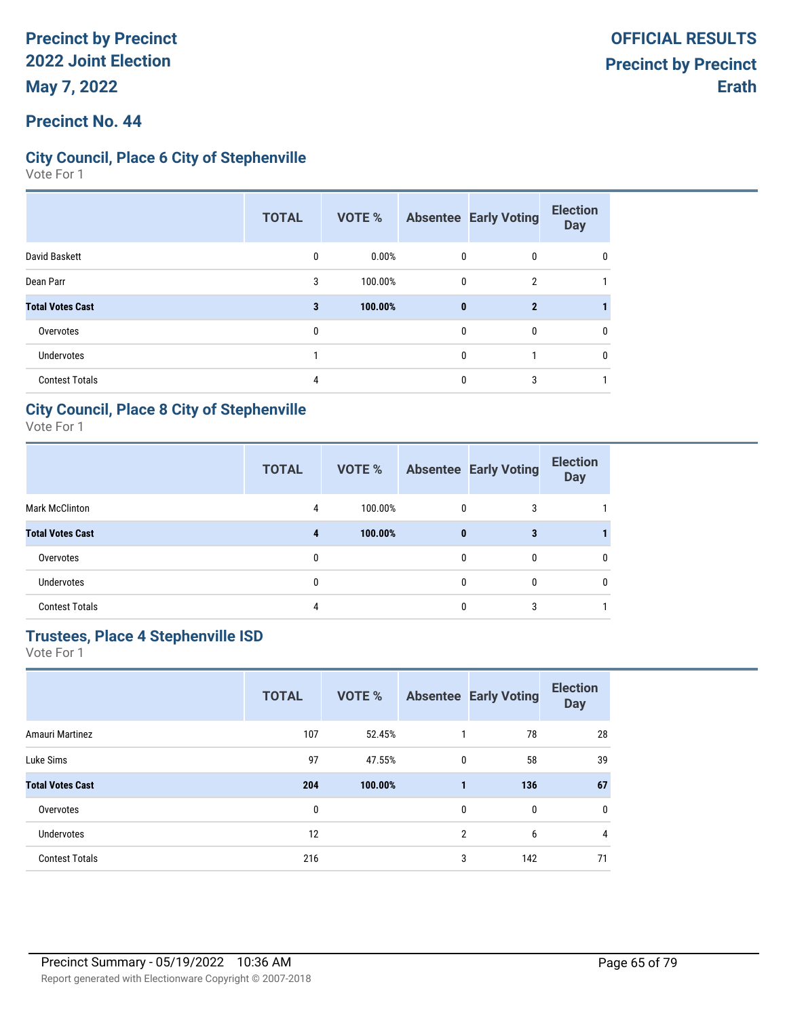#### **Precinct No. 44**

### **City Council, Place 6 City of Stephenville**

Vote For 1

|                         | <b>TOTAL</b> | VOTE %  |          | <b>Absentee Early Voting</b> | <b>Election</b><br><b>Day</b> |
|-------------------------|--------------|---------|----------|------------------------------|-------------------------------|
| David Baskett           | 0            | 0.00%   | 0        | 0                            |                               |
| Dean Parr               | 3            | 100.00% | 0        | $\overline{2}$               |                               |
| <b>Total Votes Cast</b> | 3            | 100.00% | $\bf{0}$ | $\mathbf{2}$                 |                               |
| Overvotes               | 0            |         | 0        | 0                            |                               |
| <b>Undervotes</b>       |              |         | 0        |                              | ſ                             |
| <b>Contest Totals</b>   | 4            |         | 0        | 3                            |                               |

#### **City Council, Place 8 City of Stephenville**

Vote For 1

|                         | <b>TOTAL</b> | VOTE %  |          | <b>Absentee Early Voting</b> | <b>Election</b><br><b>Day</b> |
|-------------------------|--------------|---------|----------|------------------------------|-------------------------------|
| <b>Mark McClinton</b>   | 4            | 100.00% | $\Omega$ | 3                            |                               |
| <b>Total Votes Cast</b> | 4            | 100.00% | $\bf{0}$ | 3                            |                               |
| Overvotes               | 0            |         | 0        | 0                            | 0                             |
| <b>Undervotes</b>       | 0            |         |          |                              | 0                             |
| <b>Contest Totals</b>   | 4            |         |          |                              |                               |

#### **Trustees, Place 4 Stephenville ISD**

|                         | <b>TOTAL</b> | <b>VOTE %</b> |                | <b>Absentee Early Voting</b> | <b>Election</b><br><b>Day</b> |
|-------------------------|--------------|---------------|----------------|------------------------------|-------------------------------|
| Amauri Martinez         | 107          | 52.45%        | 1              | 78                           | 28                            |
| Luke Sims               | 97           | 47.55%        | 0              | 58                           | 39                            |
| <b>Total Votes Cast</b> | 204          | 100.00%       |                | 136                          | 67                            |
| Overvotes               | 0            |               | 0              | 0                            | 0                             |
| <b>Undervotes</b>       | 12           |               | $\overline{2}$ | 6                            | $\overline{4}$                |
| <b>Contest Totals</b>   | 216          |               | 3              | 142                          | 71                            |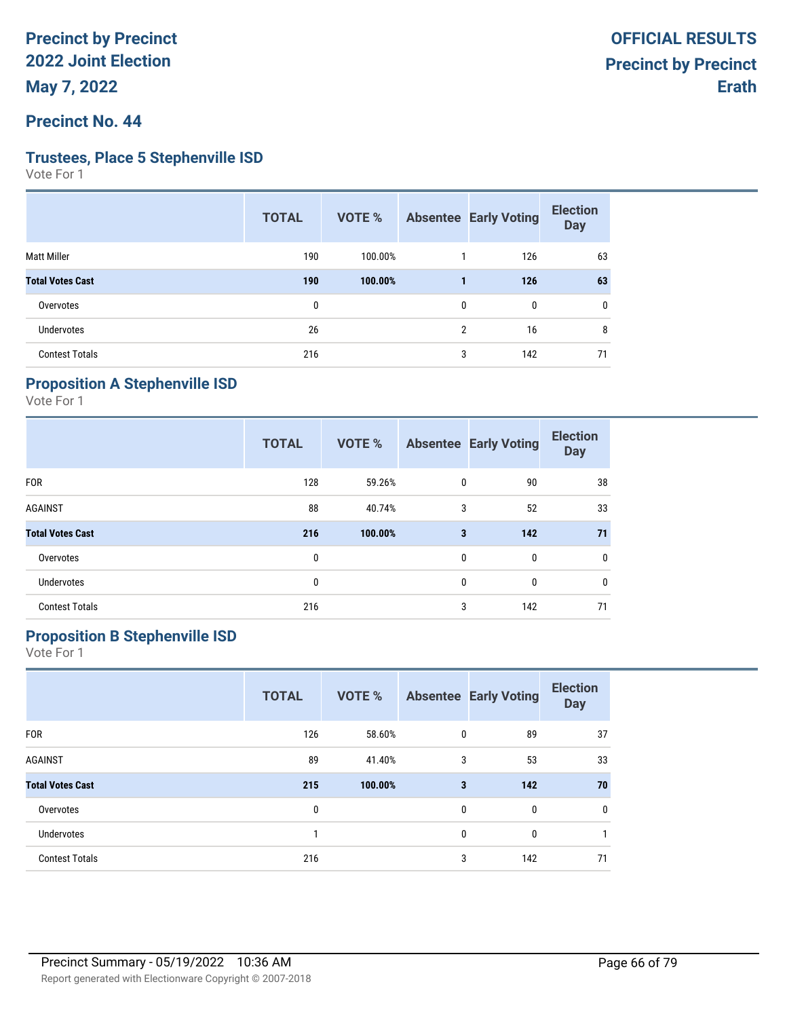#### **Precinct No. 44**

#### **Trustees, Place 5 Stephenville ISD**

Vote For 1

| <b>TOTAL</b> | VOTE %  |                |     | <b>Election</b><br><b>Day</b>     |
|--------------|---------|----------------|-----|-----------------------------------|
| 190          | 100.00% |                | 126 | 63                                |
| 190          | 100.00% |                | 126 | 63                                |
| 0            |         | 0              | 0   | 0                                 |
| 26           |         | $\overline{2}$ | 16  | 8                                 |
| 216          |         |                | 142 | 71                                |
|              |         |                |     | <b>Absentee Early Voting</b><br>3 |

# **Proposition A Stephenville ISD**

Vote For 1

|                         | <b>TOTAL</b> | VOTE %  |              | <b>Absentee Early Voting</b> | <b>Election</b><br><b>Day</b> |
|-------------------------|--------------|---------|--------------|------------------------------|-------------------------------|
| <b>FOR</b>              | 128          | 59.26%  | $\mathbf 0$  | 90                           | 38                            |
| <b>AGAINST</b>          | 88           | 40.74%  | 3            | 52                           | 33                            |
| <b>Total Votes Cast</b> | 216          | 100.00% | 3            | 142                          | 71                            |
| Overvotes               | 0            |         | $\mathbf{0}$ | 0                            | 0                             |
| <b>Undervotes</b>       | 0            |         | $\mathbf{0}$ | 0                            | 0                             |
| <b>Contest Totals</b>   | 216          |         | 3            | 142                          | 71                            |

# **Proposition B Stephenville ISD**

|                         | <b>TOTAL</b> | <b>VOTE %</b> |   | <b>Absentee Early Voting</b> | <b>Election</b><br><b>Day</b> |
|-------------------------|--------------|---------------|---|------------------------------|-------------------------------|
| <b>FOR</b>              | 126          | 58.60%        | 0 | 89                           | 37                            |
| <b>AGAINST</b>          | 89           | 41.40%        | 3 | 53                           | 33                            |
| <b>Total Votes Cast</b> | 215          | 100.00%       | 3 | 142                          | 70                            |
| Overvotes               | 0            |               | 0 | 0                            | $\mathbf 0$                   |
| <b>Undervotes</b>       | 1            |               | 0 | 0                            | 1                             |
| <b>Contest Totals</b>   | 216          |               | 3 | 142                          | 71                            |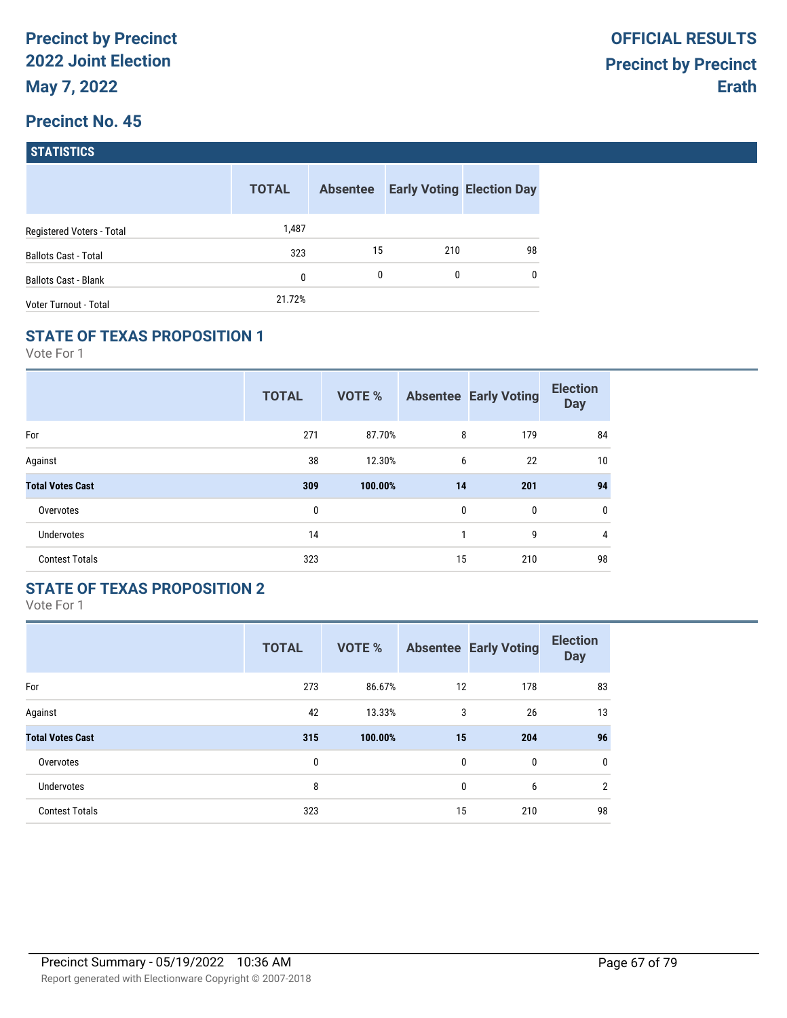| <b>STATISTICS</b> |
|-------------------|
|                   |

|                             | <b>TOTAL</b> | <b>Absentee</b> | <b>Early Voting Election Day</b> |              |
|-----------------------------|--------------|-----------------|----------------------------------|--------------|
| Registered Voters - Total   | 1,487        |                 |                                  |              |
| <b>Ballots Cast - Total</b> | 323          | 15              | 210                              | 98           |
| <b>Ballots Cast - Blank</b> | 0            | 0               | 0                                | $\mathbf{0}$ |
| Voter Turnout - Total       | 21.72%       |                 |                                  |              |

### **STATE OF TEXAS PROPOSITION 1**

Vote For 1

|                         | <b>TOTAL</b> | <b>VOTE %</b> |    | <b>Absentee Early Voting</b> | <b>Election</b><br><b>Day</b> |
|-------------------------|--------------|---------------|----|------------------------------|-------------------------------|
| For                     | 271          | 87.70%        | 8  | 179                          | 84                            |
| Against                 | 38           | 12.30%        | 6  | 22                           | 10                            |
| <b>Total Votes Cast</b> | 309          | 100.00%       | 14 | 201                          | 94                            |
| Overvotes               | 0            |               | 0  | 0                            | 0                             |
| <b>Undervotes</b>       | 14           |               | 1  | 9                            | 4                             |
| <b>Contest Totals</b>   | 323          |               | 15 | 210                          | 98                            |

## **STATE OF TEXAS PROPOSITION 2**

|                         | <b>TOTAL</b> | <b>VOTE %</b> |    | <b>Absentee Early Voting</b> | <b>Election</b><br><b>Day</b> |
|-------------------------|--------------|---------------|----|------------------------------|-------------------------------|
| For                     | 273          | 86.67%        | 12 | 178                          | 83                            |
| Against                 | 42           | 13.33%        | 3  | 26                           | 13                            |
| <b>Total Votes Cast</b> | 315          | 100.00%       | 15 | 204                          | 96                            |
| Overvotes               | 0            |               | 0  | $\mathbf{0}$                 | $\mathbf 0$                   |
| <b>Undervotes</b>       | 8            |               | 0  | 6                            | $\overline{2}$                |
| <b>Contest Totals</b>   | 323          |               | 15 | 210                          | 98                            |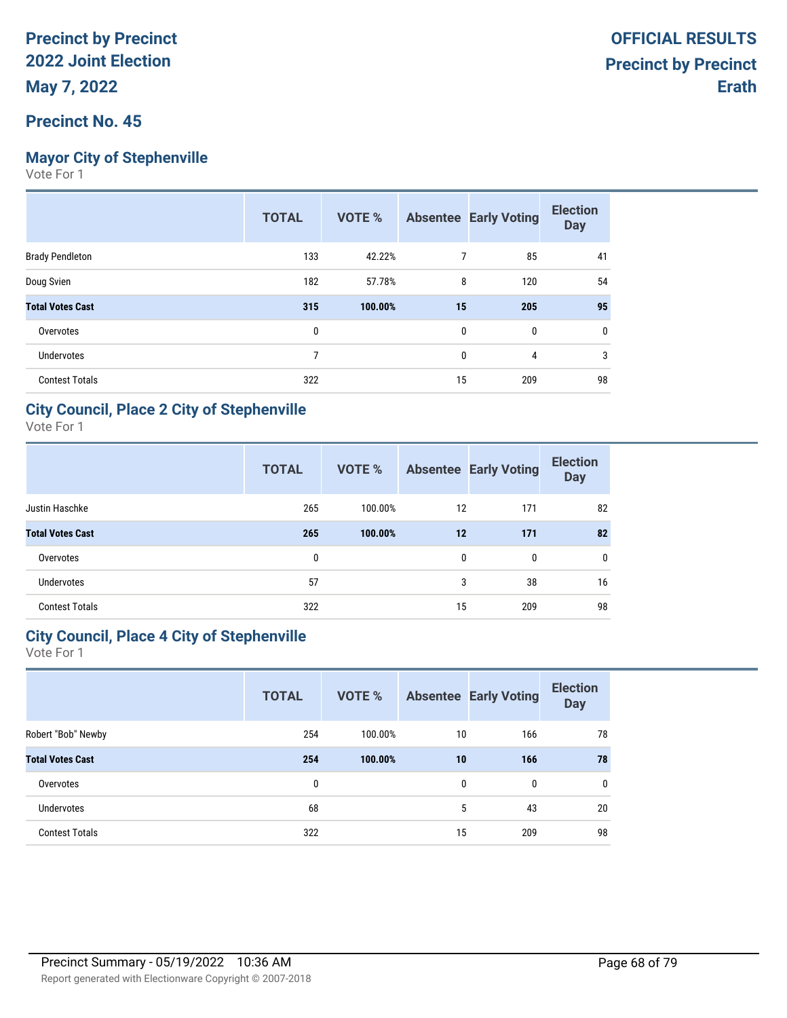## **Mayor City of Stephenville**

Vote For 1

|                         | <b>TOTAL</b> | VOTE %  |    | <b>Absentee Early Voting</b> | <b>Election</b><br><b>Day</b> |
|-------------------------|--------------|---------|----|------------------------------|-------------------------------|
| <b>Brady Pendleton</b>  | 133          | 42.22%  | 7  | 85                           | 41                            |
| Doug Svien              | 182          | 57.78%  | 8  | 120                          | 54                            |
| <b>Total Votes Cast</b> | 315          | 100.00% | 15 | 205                          | 95                            |
| Overvotes               | 0            |         | 0  | 0                            | 0                             |
| <b>Undervotes</b>       | 7            |         | 0  | 4                            | 3                             |
| <b>Contest Totals</b>   | 322          |         | 15 | 209                          | 98                            |

### **City Council, Place 2 City of Stephenville**

Vote For 1

|                         | <b>TOTAL</b> | <b>VOTE %</b> |              | <b>Absentee Early Voting</b> | <b>Election</b><br><b>Day</b> |
|-------------------------|--------------|---------------|--------------|------------------------------|-------------------------------|
| Justin Haschke          | 265          | 100.00%       | 12           | 171                          | 82                            |
| <b>Total Votes Cast</b> | 265          | 100.00%       | 12           | 171                          | 82                            |
| Overvotes               | 0            |               | $\mathbf{0}$ | $\mathbf{0}$                 | 0                             |
| <b>Undervotes</b>       | 57           |               | 3            | 38                           | 16                            |
| <b>Contest Totals</b>   | 322          |               | 15           | 209                          | 98                            |

#### **City Council, Place 4 City of Stephenville**

|                         | <b>TOTAL</b> | <b>VOTE %</b> |    | <b>Absentee Early Voting</b> | <b>Election</b><br><b>Day</b> |
|-------------------------|--------------|---------------|----|------------------------------|-------------------------------|
| Robert "Bob" Newby      | 254          | 100.00%       | 10 | 166                          | 78                            |
| <b>Total Votes Cast</b> | 254          | 100.00%       | 10 | 166                          | 78                            |
| Overvotes               | 0            |               | 0  | 0                            | $\mathbf 0$                   |
| <b>Undervotes</b>       | 68           |               | 5  | 43                           | 20                            |
| <b>Contest Totals</b>   | 322          |               | 15 | 209                          | 98                            |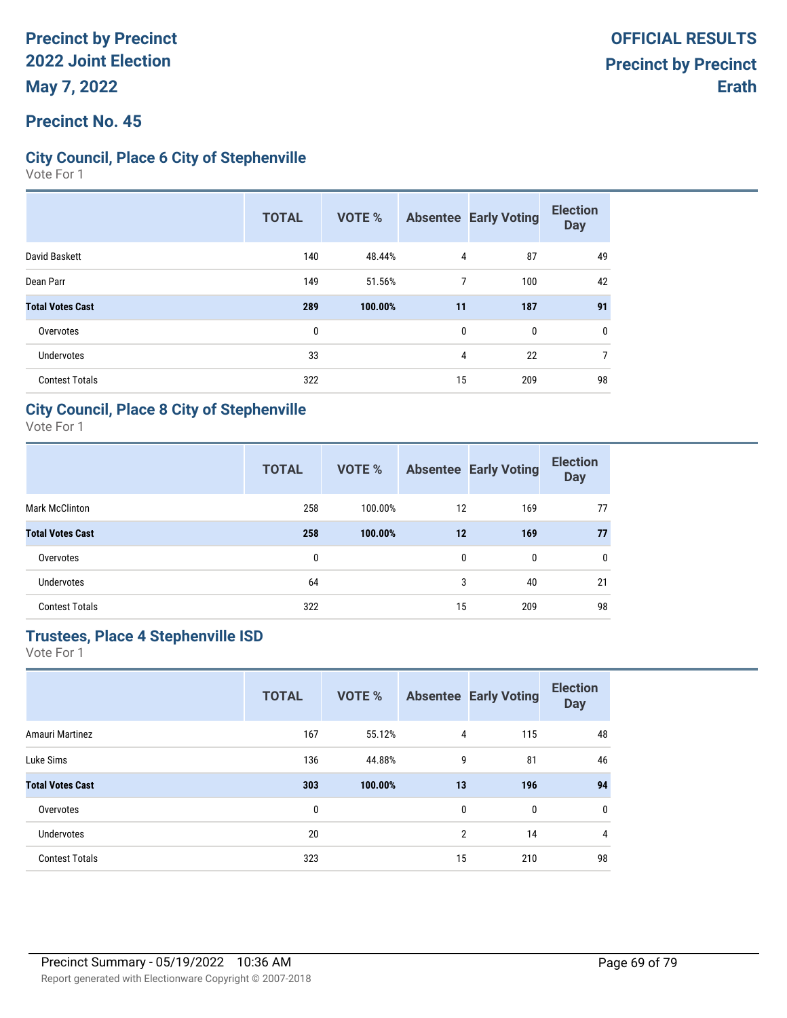#### **Precinct No. 45**

### **City Council, Place 6 City of Stephenville**

Vote For 1

|                         | <b>TOTAL</b> | VOTE %  |    | <b>Absentee Early Voting</b> | <b>Election</b><br><b>Day</b> |
|-------------------------|--------------|---------|----|------------------------------|-------------------------------|
| David Baskett           | 140          | 48.44%  | 4  | 87                           | 49                            |
| Dean Parr               | 149          | 51.56%  | 7  | 100                          | 42                            |
| <b>Total Votes Cast</b> | 289          | 100.00% | 11 | 187                          | 91                            |
| Overvotes               | 0            |         | 0  | $\mathbf{0}$                 | $\mathbf{0}$                  |
| <b>Undervotes</b>       | 33           |         | 4  | 22                           | 7                             |
| <b>Contest Totals</b>   | 322          |         | 15 | 209                          | 98                            |

#### **City Council, Place 8 City of Stephenville**

Vote For 1

|                         | <b>TOTAL</b> | <b>VOTE %</b> |              | <b>Absentee Early Voting</b> | <b>Election</b><br><b>Day</b> |
|-------------------------|--------------|---------------|--------------|------------------------------|-------------------------------|
| <b>Mark McClinton</b>   | 258          | 100.00%       | 12           | 169                          | 77                            |
| <b>Total Votes Cast</b> | 258          | 100.00%       | 12           | 169                          | 77                            |
| Overvotes               | 0            |               | $\mathbf{0}$ | $\mathbf{0}$                 | $\mathbf{0}$                  |
| <b>Undervotes</b>       | 64           |               | 3            | 40                           | 21                            |
| <b>Contest Totals</b>   | 322          |               | 15           | 209                          | 98                            |

# **Trustees, Place 4 Stephenville ISD**

|                         | <b>TOTAL</b> | <b>VOTE %</b> |                | <b>Absentee Early Voting</b> | <b>Election</b><br><b>Day</b> |
|-------------------------|--------------|---------------|----------------|------------------------------|-------------------------------|
| Amauri Martinez         | 167          | 55.12%        | 4              | 115                          | 48                            |
| Luke Sims               | 136          | 44.88%        | 9              | 81                           | 46                            |
| <b>Total Votes Cast</b> | 303          | 100.00%       | 13             | 196                          | 94                            |
| Overvotes               | 0            |               | 0              | 0                            | $\mathbf 0$                   |
| <b>Undervotes</b>       | 20           |               | $\overline{2}$ | 14                           | 4                             |
| <b>Contest Totals</b>   | 323          |               | 15             | 210                          | 98                            |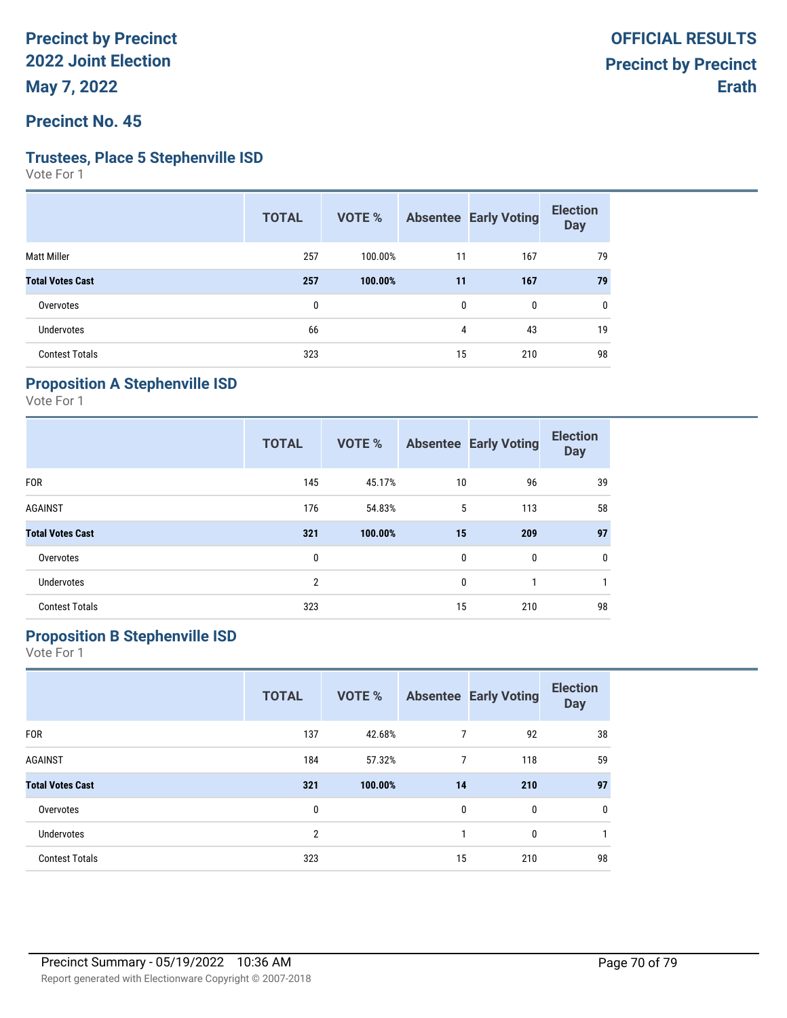**Precinct No. 45**

#### **Trustees, Place 5 Stephenville ISD**

Vote For 1

| <b>TOTAL</b> | VOTE %  |    |     | <b>Election</b><br><b>Day</b>     |
|--------------|---------|----|-----|-----------------------------------|
| 257          | 100.00% | 11 | 167 | 79                                |
| 257          | 100.00% | 11 | 167 | 79                                |
| 0            |         | 0  | 0   | $\mathbf{0}$                      |
| 66           |         |    | 43  | 19                                |
| 323          |         | 15 | 210 | 98                                |
|              |         |    |     | <b>Absentee Early Voting</b><br>4 |

# **Proposition A Stephenville ISD**

Vote For 1

|                         | <b>TOTAL</b> | <b>VOTE %</b> |              | <b>Absentee Early Voting</b> | <b>Election</b><br><b>Day</b> |
|-------------------------|--------------|---------------|--------------|------------------------------|-------------------------------|
| <b>FOR</b>              | 145          | 45.17%        | 10           | 96                           | 39                            |
| <b>AGAINST</b>          | 176          | 54.83%        | 5            | 113                          | 58                            |
| <b>Total Votes Cast</b> | 321          | 100.00%       | 15           | 209                          | 97                            |
| Overvotes               | 0            |               | $\mathbf{0}$ | 0                            | 0                             |
| Undervotes              | 2            |               | 0            | 1                            | 1                             |
| <b>Contest Totals</b>   | 323          |               | 15           | 210                          | 98                            |

# **Proposition B Stephenville ISD**

|                         | <b>TOTAL</b>   | <b>VOTE %</b> |                | <b>Absentee Early Voting</b> | <b>Election</b><br><b>Day</b> |
|-------------------------|----------------|---------------|----------------|------------------------------|-------------------------------|
| <b>FOR</b>              | 137            | 42.68%        | 7              | 92                           | 38                            |
| <b>AGAINST</b>          | 184            | 57.32%        | $\overline{7}$ | 118                          | 59                            |
| <b>Total Votes Cast</b> | 321            | 100.00%       | 14             | 210                          | 97                            |
| Overvotes               | 0              |               | 0              | 0                            | 0                             |
| Undervotes              | $\overline{2}$ |               | 1              | 0                            | 1                             |
| <b>Contest Totals</b>   | 323            |               | 15             | 210                          | 98                            |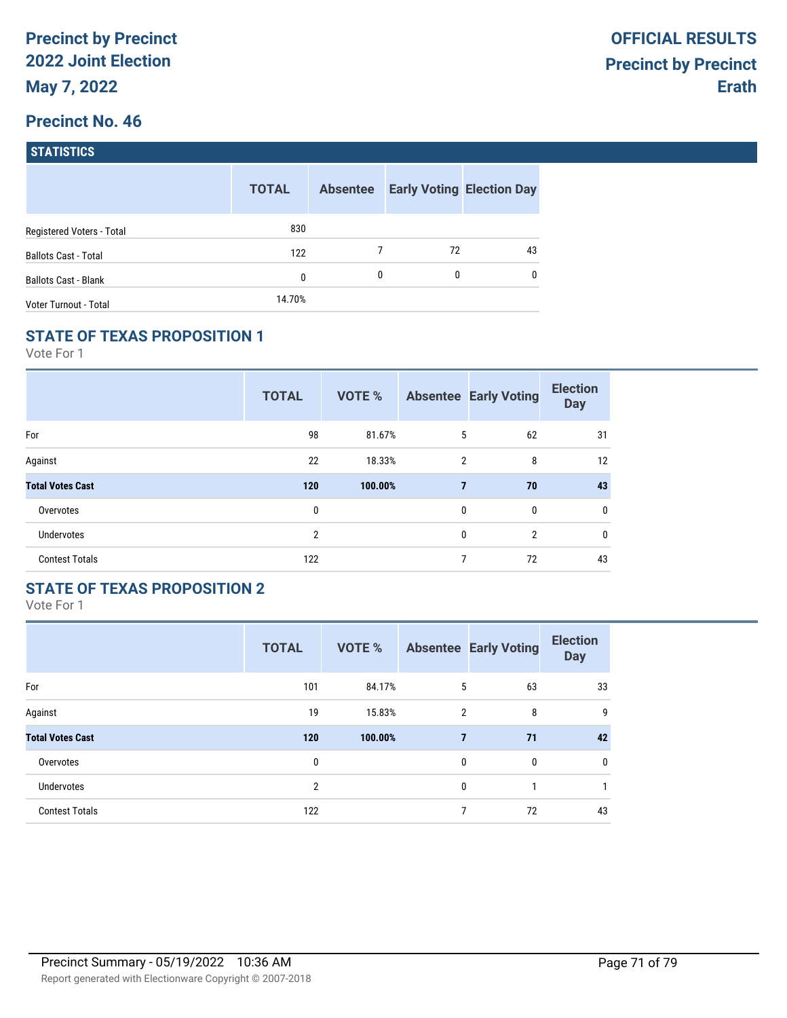| <b>STATISTICS</b> |  |
|-------------------|--|
|                   |  |

|                             | <b>TOTAL</b> | <b>Absentee</b> |    | <b>Early Voting Election Day</b> |
|-----------------------------|--------------|-----------------|----|----------------------------------|
| Registered Voters - Total   | 830          |                 |    |                                  |
| <b>Ballots Cast - Total</b> | 122          |                 | 72 | 43                               |
| <b>Ballots Cast - Blank</b> | 0            | 0               | 0  | $\mathbf{0}$                     |
| Voter Turnout - Total       | 14.70%       |                 |    |                                  |

## **STATE OF TEXAS PROPOSITION 1**

Vote For 1

|                         | <b>TOTAL</b>   | VOTE %  |                | <b>Absentee Early Voting</b> | <b>Election</b><br><b>Day</b> |
|-------------------------|----------------|---------|----------------|------------------------------|-------------------------------|
| For                     | 98             | 81.67%  | 5              | 62                           | 31                            |
| Against                 | 22             | 18.33%  | 2              | 8                            | 12                            |
| <b>Total Votes Cast</b> | 120            | 100.00% | $\overline{7}$ | 70                           | 43                            |
| Overvotes               | 0              |         | $\mathbf{0}$   | 0                            | 0                             |
| <b>Undervotes</b>       | $\overline{2}$ |         | 0              | $\overline{2}$               | 0                             |
| <b>Contest Totals</b>   | 122            |         | 7              | 72                           | 43                            |

## **STATE OF TEXAS PROPOSITION 2**

|                         | <b>TOTAL</b> | <b>VOTE %</b> |                | <b>Absentee Early Voting</b> | <b>Election</b><br><b>Day</b> |
|-------------------------|--------------|---------------|----------------|------------------------------|-------------------------------|
| For                     | 101          | 84.17%        | 5              | 63                           | 33                            |
| Against                 | 19           | 15.83%        | $\overline{2}$ | 8                            | 9                             |
| <b>Total Votes Cast</b> | 120          | 100.00%       | 7              | 71                           | 42                            |
| Overvotes               | 0            |               | $\mathbf{0}$   | $\mathbf{0}$                 | 0                             |
| <b>Undervotes</b>       | 2            |               | $\mathbf{0}$   | 1                            |                               |
| <b>Contest Totals</b>   | 122          |               | 7              | 72                           | 43                            |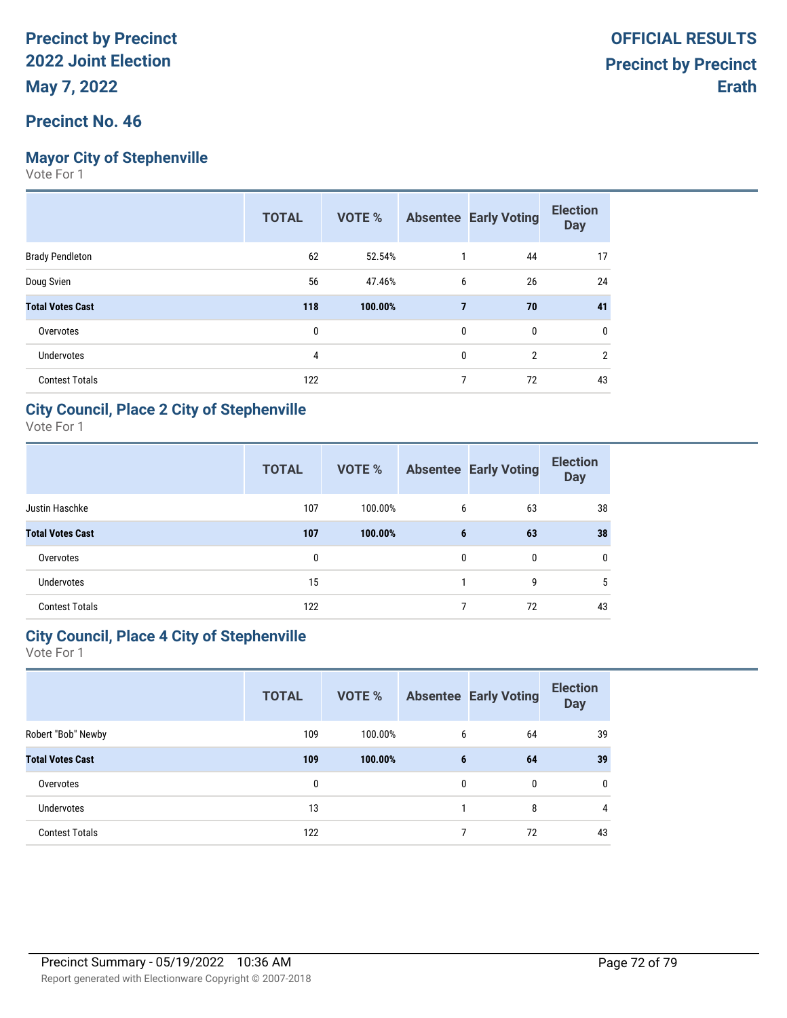## **Mayor City of Stephenville**

Vote For 1

|                         | <b>TOTAL</b> | <b>VOTE %</b> |   | <b>Absentee Early Voting</b> | <b>Election</b><br><b>Day</b> |
|-------------------------|--------------|---------------|---|------------------------------|-------------------------------|
| <b>Brady Pendleton</b>  | 62           | 52.54%        |   | 44                           | 17                            |
| Doug Svien              | 56           | 47.46%        | 6 | 26                           | 24                            |
| <b>Total Votes Cast</b> | 118          | 100.00%       | 7 | 70                           | 41                            |
| Overvotes               | 0            |               | 0 | 0                            | 0                             |
| <b>Undervotes</b>       | 4            |               | 0 | $\overline{2}$               | $\overline{2}$                |
| <b>Contest Totals</b>   | 122          |               |   | 72                           | 43                            |

### **City Council, Place 2 City of Stephenville**

Vote For 1

|                         | <b>TOTAL</b> | VOTE %  |              | <b>Absentee Early Voting</b> | <b>Election</b><br><b>Day</b> |
|-------------------------|--------------|---------|--------------|------------------------------|-------------------------------|
| Justin Haschke          | 107          | 100.00% | 6            | 63                           | 38                            |
| <b>Total Votes Cast</b> | 107          | 100.00% | 6            | 63                           | 38                            |
| Overvotes               | 0            |         | $\mathbf{0}$ | $\mathbf{0}$                 | $\mathbf{0}$                  |
| <b>Undervotes</b>       | 15           |         |              | 9                            | 5                             |
| <b>Contest Totals</b>   | 122          |         |              | 72                           | 43                            |

## **City Council, Place 4 City of Stephenville**

|                         | <b>TOTAL</b> | <b>VOTE %</b> |   | <b>Absentee Early Voting</b> | <b>Election</b><br><b>Day</b> |
|-------------------------|--------------|---------------|---|------------------------------|-------------------------------|
| Robert "Bob" Newby      | 109          | 100.00%       | 6 | 64                           | 39                            |
| <b>Total Votes Cast</b> | 109          | 100.00%       | 6 | 64                           | 39                            |
| Overvotes               | $\mathbf{0}$ |               | 0 | $\mathbf{0}$                 | $\mathbf{0}$                  |
| <b>Undervotes</b>       | 13           |               |   | 8                            | 4                             |
| <b>Contest Totals</b>   | 122          |               | 7 | 72                           | 43                            |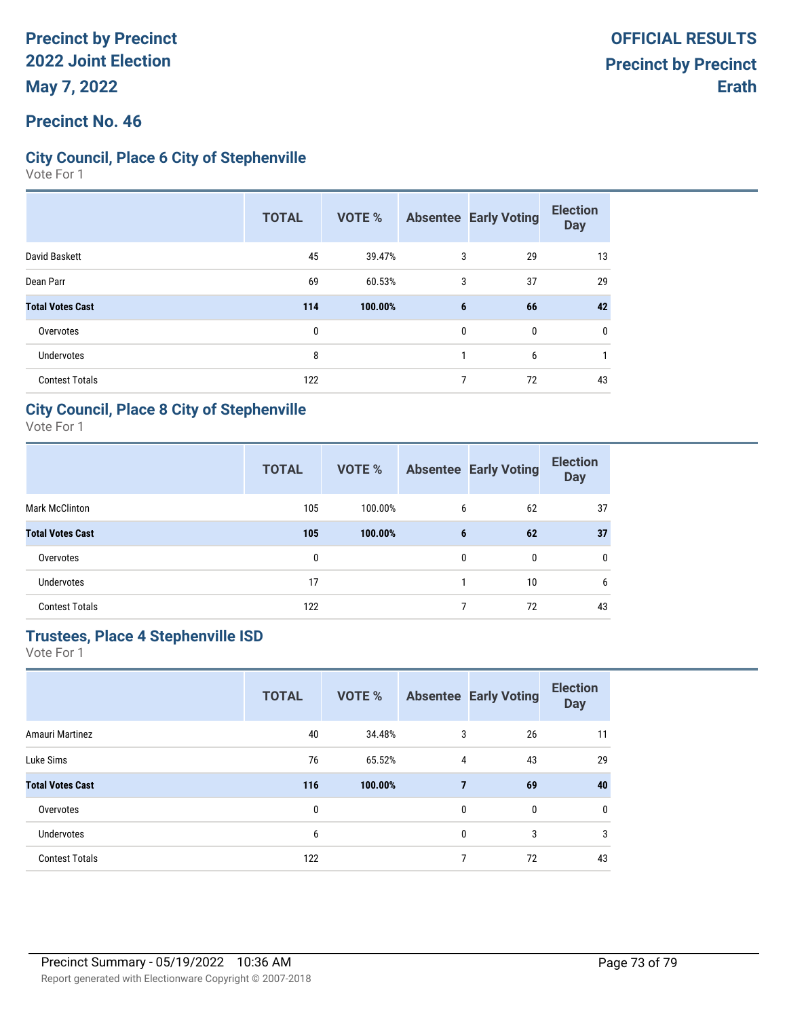### **Precinct No. 46**

### **City Council, Place 6 City of Stephenville**

Vote For 1

|                         | <b>TOTAL</b> | <b>VOTE %</b> |              | <b>Absentee Early Voting</b> | <b>Election</b><br><b>Day</b> |
|-------------------------|--------------|---------------|--------------|------------------------------|-------------------------------|
| David Baskett           | 45           | 39.47%        | 3            | 29                           | 13                            |
| Dean Parr               | 69           | 60.53%        | 3            | 37                           | 29                            |
| <b>Total Votes Cast</b> | 114          | 100.00%       | 6            | 66                           | 42                            |
| Overvotes               | $\mathbf{0}$ |               | $\mathbf{0}$ | 0                            | 0                             |
| Undervotes              | 8            |               |              | 6                            |                               |
| <b>Contest Totals</b>   | 122          |               | 7            | 72                           | 43                            |

#### **City Council, Place 8 City of Stephenville**

Vote For 1

|                         | <b>TOTAL</b> | <b>VOTE %</b> |              | <b>Absentee Early Voting</b> | <b>Election</b><br><b>Day</b> |
|-------------------------|--------------|---------------|--------------|------------------------------|-------------------------------|
| <b>Mark McClinton</b>   | 105          | 100.00%       | 6            | 62                           | 37                            |
| <b>Total Votes Cast</b> | 105          | 100.00%       | 6            | 62                           | 37                            |
| Overvotes               | 0            |               | $\mathbf{0}$ | 0                            | 0                             |
| <b>Undervotes</b>       | 17           |               |              | 10                           | 6                             |
| <b>Contest Totals</b>   | 122          |               |              | 72                           | 43                            |

## **Trustees, Place 4 Stephenville ISD**

|                         | <b>TOTAL</b> | VOTE %  |                | <b>Absentee Early Voting</b> | <b>Election</b><br><b>Day</b> |
|-------------------------|--------------|---------|----------------|------------------------------|-------------------------------|
| Amauri Martinez         | 40           | 34.48%  | 3              | 26                           | 11                            |
| Luke Sims               | 76           | 65.52%  | 4              | 43                           | 29                            |
| <b>Total Votes Cast</b> | 116          | 100.00% | $\overline{7}$ | 69                           | 40                            |
| Overvotes               | 0            |         | 0              | 0                            | 0                             |
| <b>Undervotes</b>       | 6            |         | 0              | 3                            | 3                             |
| <b>Contest Totals</b>   | 122          |         | 7              | 72                           | 43                            |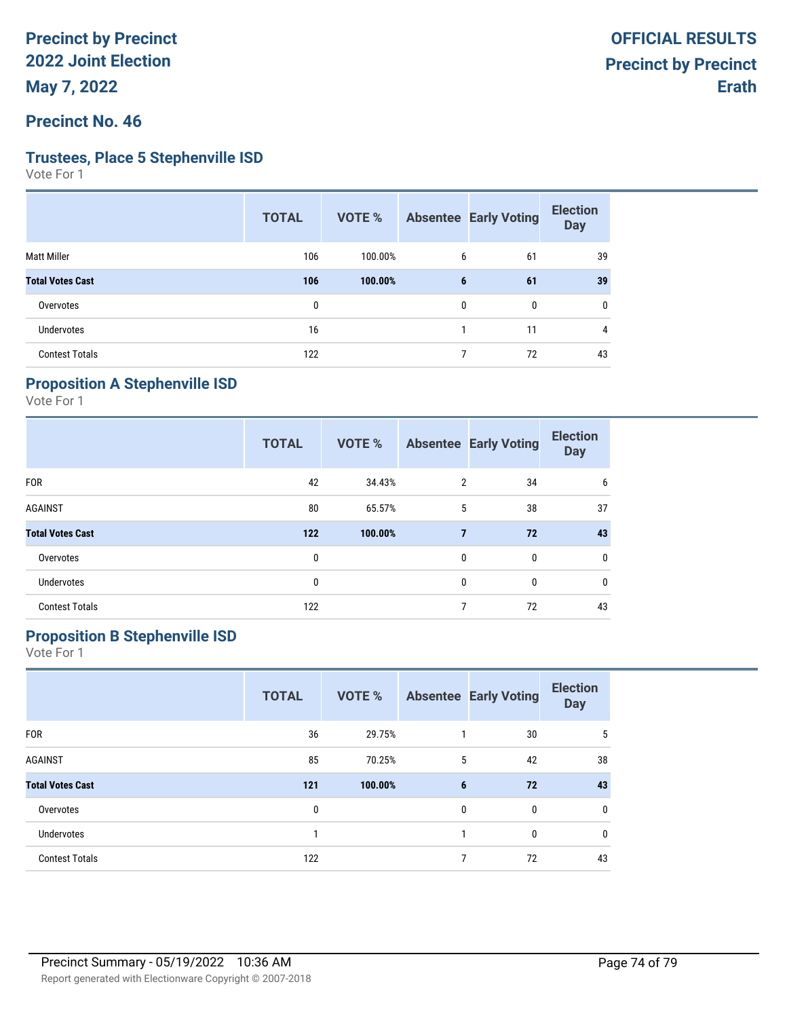#### **Precinct No. 46**

#### **Trustees, Place 5 Stephenville ISD**

Vote For 1

| <b>TOTAL</b> | VOTE %  |   |              | <b>Election</b><br><b>Day</b>               |
|--------------|---------|---|--------------|---------------------------------------------|
| 106          | 100.00% |   | 61           | 39                                          |
| 106          | 100.00% |   | 61           | 39                                          |
| $\mathbf{0}$ |         |   | $\mathbf{0}$ | 0                                           |
| 16           |         |   | 11           | 4                                           |
| 122          |         | 7 | 72           | 43                                          |
|              |         |   |              | <b>Absentee Early Voting</b><br>6<br>6<br>0 |

## **Proposition A Stephenville ISD**

Vote For 1

|                         | <b>TOTAL</b> | <b>VOTE %</b> |                | <b>Absentee Early Voting</b> | <b>Election</b><br><b>Day</b> |
|-------------------------|--------------|---------------|----------------|------------------------------|-------------------------------|
| <b>FOR</b>              | 42           | 34.43%        | 2              | 34                           | 6                             |
| <b>AGAINST</b>          | 80           | 65.57%        | 5              | 38                           | 37                            |
| <b>Total Votes Cast</b> | $122$        | 100.00%       | $\overline{7}$ | 72                           | 43                            |
| Overvotes               | 0            |               | $\mathbf{0}$   | $\mathbf{0}$                 | 0                             |
| <b>Undervotes</b>       | 0            |               | $\mathbf{0}$   | $\mathbf{0}$                 | 0                             |
| <b>Contest Totals</b>   | 122          |               | 7              | 72                           | 43                            |

## **Proposition B Stephenville ISD**

|                         | <b>TOTAL</b> | <b>VOTE %</b> |   | <b>Absentee Early Voting</b> | <b>Election</b><br><b>Day</b> |
|-------------------------|--------------|---------------|---|------------------------------|-------------------------------|
| <b>FOR</b>              | 36           | 29.75%        |   | 30                           | 5                             |
| <b>AGAINST</b>          | 85           | 70.25%        | 5 | 42                           | 38                            |
| <b>Total Votes Cast</b> | 121          | 100.00%       | 6 | 72                           | 43                            |
| Overvotes               | 0            |               | 0 | $\mathbf{0}$                 | 0                             |
| <b>Undervotes</b>       |              |               | 1 | 0                            | 0                             |
| <b>Contest Totals</b>   | 122          |               | 7 | 72                           | 43                            |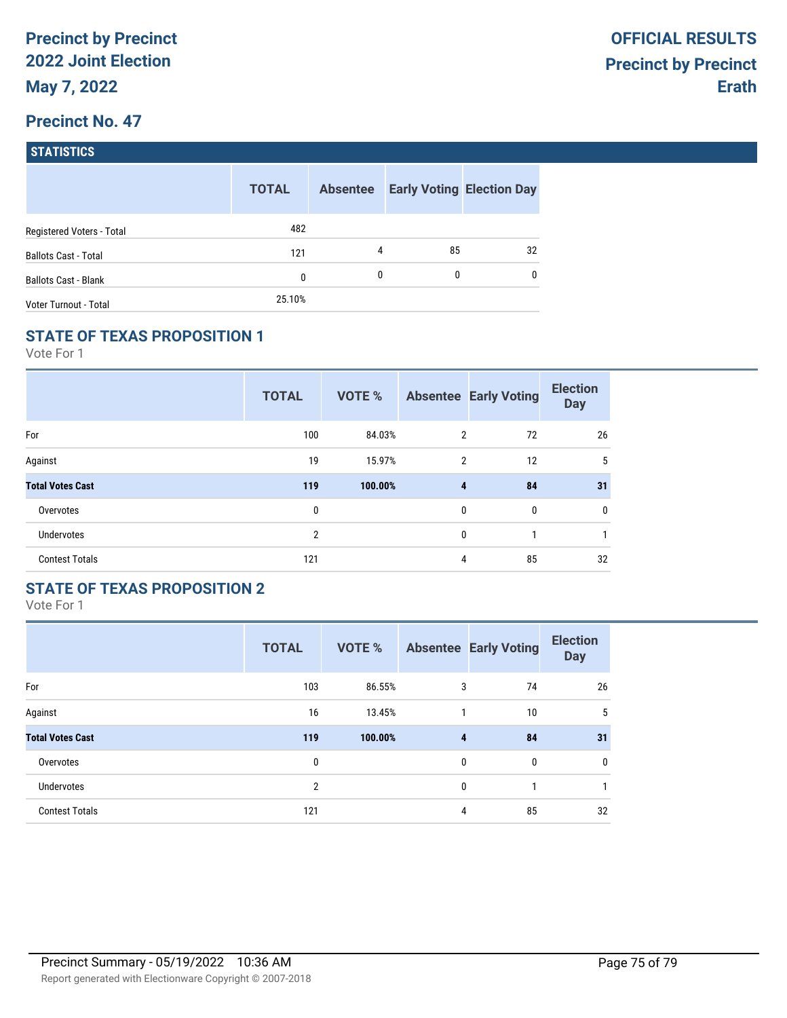## **Precinct No. 47**

| <b>STATISTICS</b> |  |
|-------------------|--|
|                   |  |
|                   |  |

|                             | <b>TOTAL</b> | <b>Absentee</b> |    | <b>Early Voting Election Day</b> |
|-----------------------------|--------------|-----------------|----|----------------------------------|
| Registered Voters - Total   | 482          |                 |    |                                  |
| <b>Ballots Cast - Total</b> | 121          | 4               | 85 | 32                               |
| <b>Ballots Cast - Blank</b> | 0            | 0               | 0  | $\mathbf{0}$                     |
| Voter Turnout - Total       | 25.10%       |                 |    |                                  |

## **STATE OF TEXAS PROPOSITION 1**

Vote For 1

|                         | <b>TOTAL</b>   | <b>VOTE %</b> |                | <b>Absentee Early Voting</b> | <b>Election</b><br><b>Day</b> |
|-------------------------|----------------|---------------|----------------|------------------------------|-------------------------------|
| For                     | 100            | 84.03%        | $\overline{2}$ | 72                           | 26                            |
| Against                 | 19             | 15.97%        | $\overline{2}$ | 12                           | 5                             |
| <b>Total Votes Cast</b> | 119            | 100.00%       | 4              | 84                           | 31                            |
| Overvotes               | 0              |               | 0              | 0                            | 0                             |
| <b>Undervotes</b>       | $\overline{2}$ |               | $\mathbf{0}$   | 1                            |                               |
| <b>Contest Totals</b>   | 121            |               | 4              | 85                           | 32                            |

## **STATE OF TEXAS PROPOSITION 2**

|                         | <b>TOTAL</b>   | <b>VOTE %</b> |              | <b>Absentee Early Voting</b> | <b>Election</b><br><b>Day</b> |
|-------------------------|----------------|---------------|--------------|------------------------------|-------------------------------|
| For                     | 103            | 86.55%        | 3            | 74                           | 26                            |
| Against                 | 16             | 13.45%        | 1            | 10                           | 5                             |
| <b>Total Votes Cast</b> | 119            | 100.00%       | 4            | 84                           | 31                            |
| Overvotes               | 0              |               | $\mathbf{0}$ | $\mathbf{0}$                 | 0                             |
| Undervotes              | $\overline{2}$ |               | $\mathbf{0}$ | 1                            |                               |
| <b>Contest Totals</b>   | 121            |               | 4            | 85                           | 32                            |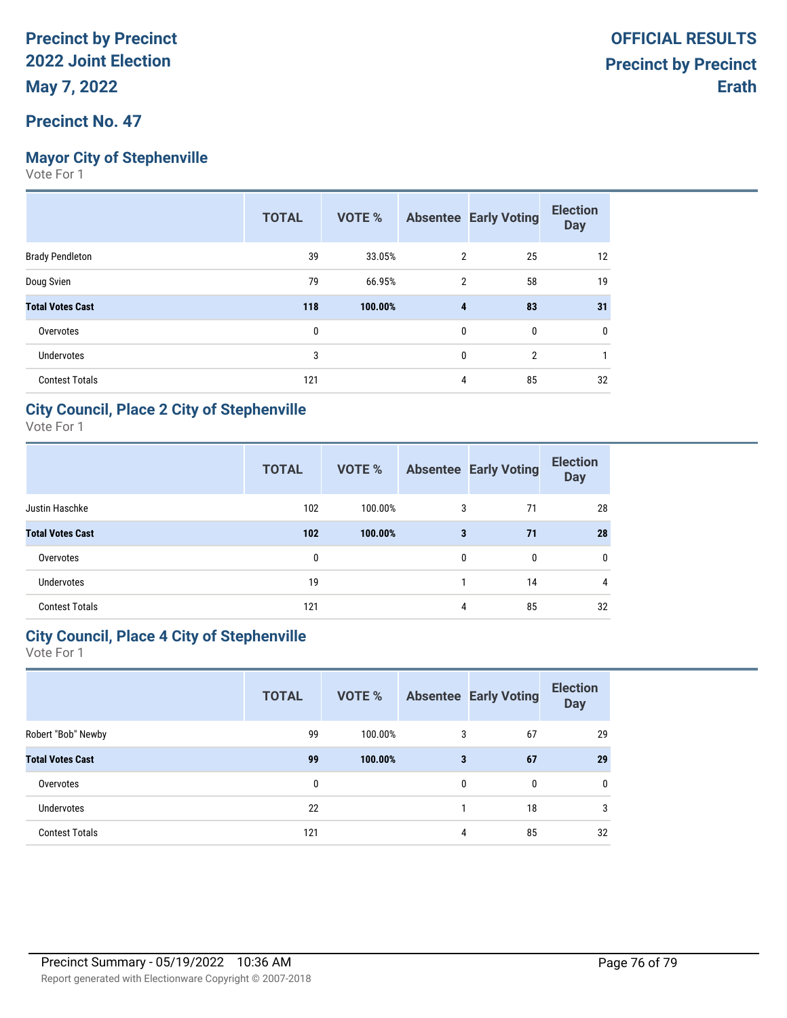## **Mayor City of Stephenville**

Vote For 1

|                         | <b>TOTAL</b> | <b>VOTE %</b> |              | <b>Absentee Early Voting</b> | <b>Election</b><br><b>Day</b> |
|-------------------------|--------------|---------------|--------------|------------------------------|-------------------------------|
| <b>Brady Pendleton</b>  | 39           | 33.05%        | 2            | 25                           | 12                            |
| Doug Svien              | 79           | 66.95%        | 2            | 58                           | 19                            |
| <b>Total Votes Cast</b> | 118          | 100.00%       | 4            | 83                           | 31                            |
| Overvotes               | 0            |               | 0            | 0                            | 0                             |
| Undervotes              | 3            |               | $\mathbf{0}$ | $\overline{2}$               |                               |
| <b>Contest Totals</b>   | 121          |               | 4            | 85                           | 32                            |

#### **City Council, Place 2 City of Stephenville**

Vote For 1

|                         | <b>TOTAL</b> | VOTE %  |              | <b>Absentee Early Voting</b> | <b>Election</b><br><b>Day</b> |
|-------------------------|--------------|---------|--------------|------------------------------|-------------------------------|
| Justin Haschke          | 102          | 100.00% | 3            | 71                           | 28                            |
| <b>Total Votes Cast</b> | 102          | 100.00% | 3            | 71                           | 28                            |
| Overvotes               | 0            |         | $\mathbf{0}$ | $\mathbf{0}$                 | 0                             |
| <b>Undervotes</b>       | 19           |         |              | 14                           | 4                             |
| <b>Contest Totals</b>   | 121          |         | 4            | 85                           | 32                            |

## **City Council, Place 4 City of Stephenville**

|                         | <b>TOTAL</b> | VOTE %  |   | <b>Absentee Early Voting</b> | <b>Election</b><br><b>Day</b> |
|-------------------------|--------------|---------|---|------------------------------|-------------------------------|
| Robert "Bob" Newby      | 99           | 100.00% | 3 | 67                           | 29                            |
| <b>Total Votes Cast</b> | 99           | 100.00% | 3 | 67                           | 29                            |
| Overvotes               | 0            |         | 0 | $\mathbf{0}$                 | $\mathbf{0}$                  |
| <b>Undervotes</b>       | 22           |         |   | 18                           | 3                             |
| <b>Contest Totals</b>   | 121          |         | 4 | 85                           | 32                            |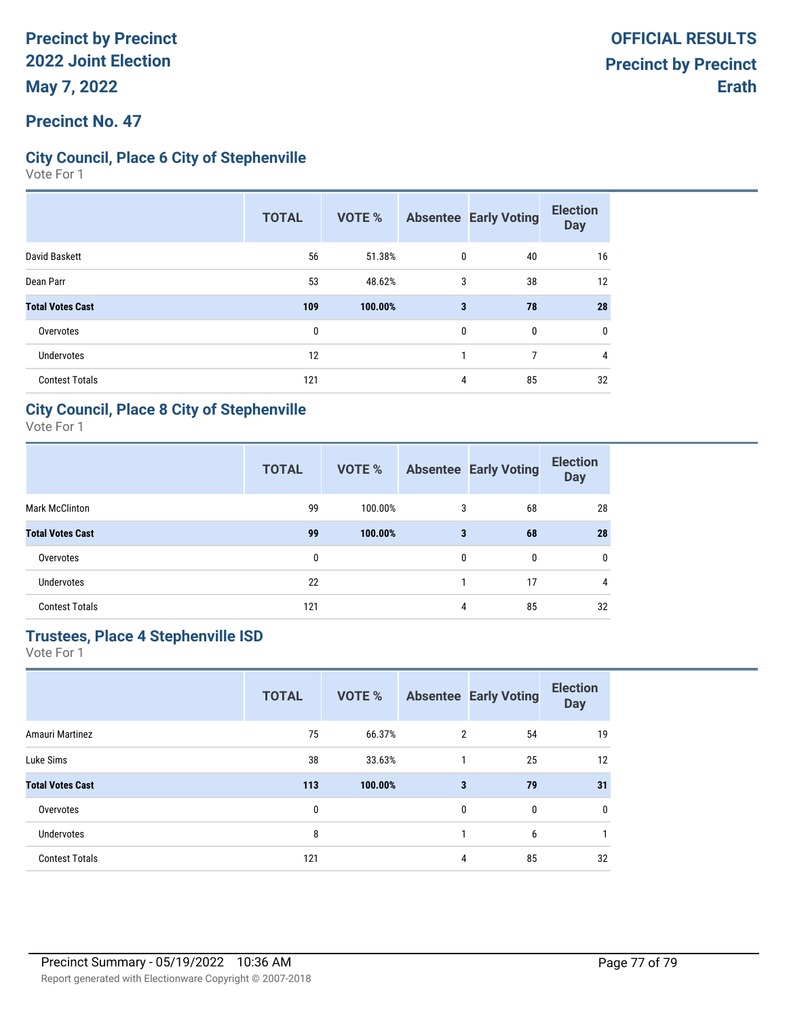### **Precinct No. 47**

### **City Council, Place 6 City of Stephenville**

Vote For 1

|                         | <b>TOTAL</b> | <b>VOTE %</b> |   | <b>Absentee Early Voting</b> | <b>Election</b><br><b>Day</b> |
|-------------------------|--------------|---------------|---|------------------------------|-------------------------------|
| David Baskett           | 56           | 51.38%        | 0 | 40                           | 16                            |
| Dean Parr               | 53           | 48.62%        | 3 | 38                           | 12                            |
| <b>Total Votes Cast</b> | 109          | 100.00%       | 3 | 78                           | 28                            |
| Overvotes               | $\mathbf{0}$ |               | 0 | 0                            | 0                             |
| Undervotes              | 12           |               |   | 7                            | 4                             |
| <b>Contest Totals</b>   | 121          |               | 4 | 85                           | 32                            |

#### **City Council, Place 8 City of Stephenville**

Vote For 1

|                         | <b>TOTAL</b> | <b>VOTE %</b> |   | <b>Absentee Early Voting</b> | <b>Election</b><br><b>Day</b> |
|-------------------------|--------------|---------------|---|------------------------------|-------------------------------|
| <b>Mark McClinton</b>   | 99           | 100.00%       | 3 | 68                           | 28                            |
| <b>Total Votes Cast</b> | 99           | 100.00%       | 3 | 68                           | 28                            |
| Overvotes               | 0            |               | 0 | 0                            | $\mathbf{0}$                  |
| Undervotes              | 22           |               |   | 17                           | 4                             |
| <b>Contest Totals</b>   | 121          |               | 4 | 85                           | 32                            |

## **Trustees, Place 4 Stephenville ISD**

|                         | <b>TOTAL</b> | <b>VOTE %</b> |              | <b>Absentee Early Voting</b> | <b>Election</b><br><b>Day</b> |
|-------------------------|--------------|---------------|--------------|------------------------------|-------------------------------|
| Amauri Martinez         | 75           | 66.37%        | 2            | 54                           | 19                            |
| Luke Sims               | 38           | 33.63%        | $\mathbf{1}$ | 25                           | 12                            |
| <b>Total Votes Cast</b> | 113          | 100.00%       | 3            | 79                           | 31                            |
| Overvotes               | 0            |               | 0            | 0                            | 0                             |
| <b>Undervotes</b>       | 8            |               |              | 6                            |                               |
| <b>Contest Totals</b>   | 121          |               | 4            | 85                           | 32                            |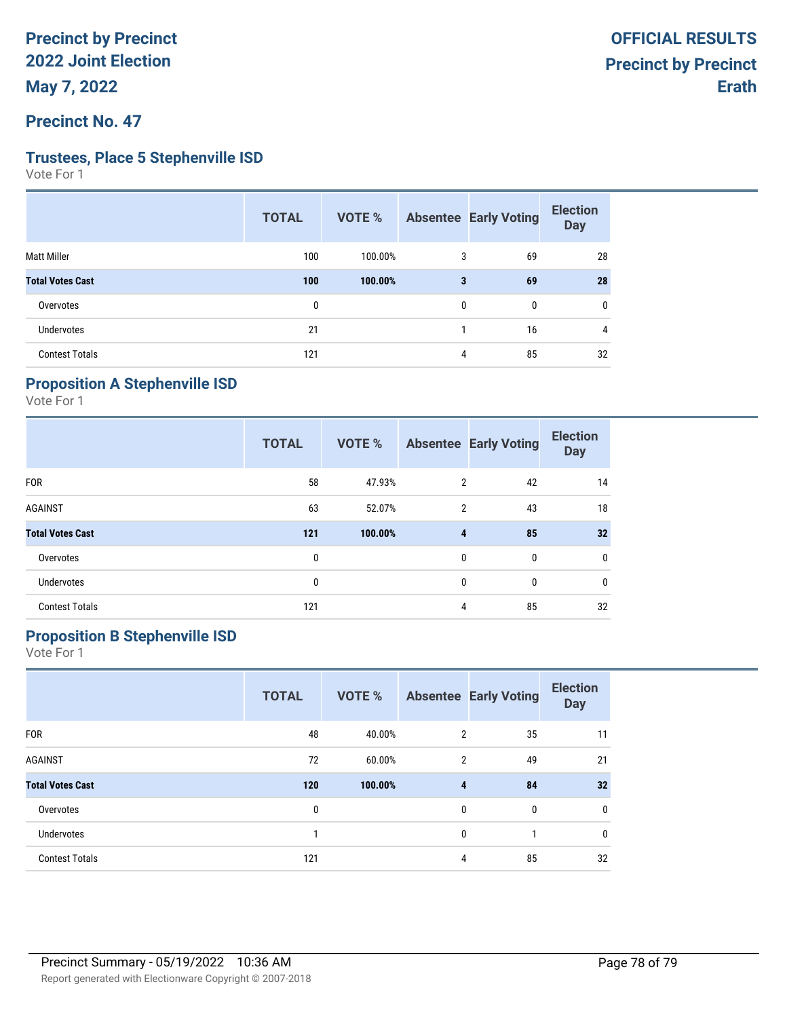#### **Precinct No. 47**

#### **Trustees, Place 5 Stephenville ISD**

Vote For 1

| <b>TOTAL</b> | <b>VOTE %</b> |              |    | <b>Election</b><br><b>Day</b> |
|--------------|---------------|--------------|----|-------------------------------|
| 100          | 100.00%       | 3            | 69 | 28                            |
| 100          | 100.00%       | 3            | 69 | 28                            |
| 0            |               | $\mathbf{0}$ | 0  | 0                             |
| 21           |               |              | 16 | 4                             |
| 121          |               | 4            | 85 | 32                            |
|              |               |              |    | <b>Absentee Early Voting</b>  |

## **Proposition A Stephenville ISD**

Vote For 1

|                         | <b>TOTAL</b> | <b>VOTE %</b> |                | <b>Absentee Early Voting</b> | <b>Election</b><br><b>Day</b> |
|-------------------------|--------------|---------------|----------------|------------------------------|-------------------------------|
| <b>FOR</b>              | 58           | 47.93%        | $\overline{2}$ | 42                           | 14                            |
| <b>AGAINST</b>          | 63           | 52.07%        | 2              | 43                           | 18                            |
| <b>Total Votes Cast</b> | 121          | 100.00%       | 4              | 85                           | 32                            |
| Overvotes               | 0            |               | $\mathbf{0}$   | $\mathbf{0}$                 | 0                             |
| <b>Undervotes</b>       | 0            |               | $\mathbf{0}$   | $\mathbf{0}$                 | 0                             |
| <b>Contest Totals</b>   | 121          |               | 4              | 85                           | 32                            |

## **Proposition B Stephenville ISD**

|                         | <b>TOTAL</b> | <b>VOTE %</b> |                | <b>Absentee Early Voting</b> | <b>Election</b><br><b>Day</b> |
|-------------------------|--------------|---------------|----------------|------------------------------|-------------------------------|
| <b>FOR</b>              | 48           | 40.00%        | $\overline{2}$ | 35                           | 11                            |
| <b>AGAINST</b>          | 72           | 60.00%        | $\overline{2}$ | 49                           | 21                            |
| <b>Total Votes Cast</b> | 120          | 100.00%       | 4              | 84                           | 32                            |
| Overvotes               | 0            |               | 0              | 0                            | $\mathbf 0$                   |
| <b>Undervotes</b>       |              |               | 0              |                              | 0                             |
| <b>Contest Totals</b>   | 121          |               | 4              | 85                           | 32                            |